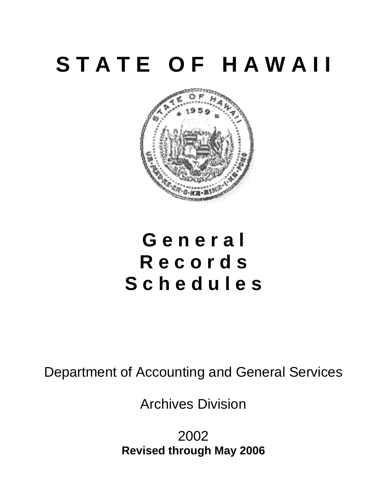# **S T A T E O F H A W A I I**



## **G e n e r a l R e c o r d s S c h e d u l e s**

Department of Accounting and General Services

Archives Division

2002 **Revised through May 2006**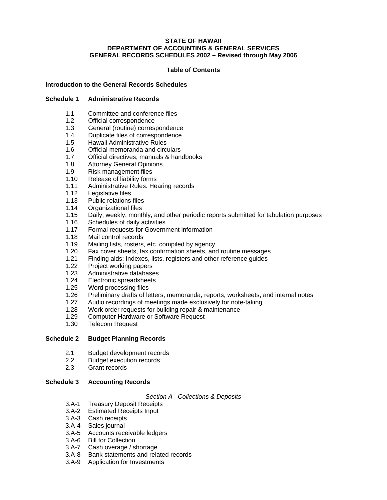#### **STATE OF HAWAII DEPARTMENT OF ACCOUNTING & GENERAL SERVICES GENERAL RECORDS SCHEDULES 2002 – Revised through May 2006**

#### **Table of Contents**

#### **Introduction to the General Records Schedules**

#### **Schedule 1 Administrative Records**

- [1.1 Committee and conference files](#page-8-0)
- 1.2 Official correspondence
- 1.3 General (routine) correspondence
- [1.4 Duplicate files of correspondence](#page-9-0)
- 1.5 Hawaii Administrative Rules
- 1.6 Official memoranda and circulars
- [1.7 Official directives, manuals & handbooks](#page-10-0)
- 1.8 Attorney General Opinions
- 1.9 Risk management files
- 1.10 Release of liability forms
- 1.11 Administrative Rules: Hearing records
- 1.12 Legislative files
- [1.13 Public relations files](#page-11-0)
- 1.14 Organizational files
- [1.15 Daily, weekly, monthly, and other periodic reports submitted for tabulation purposes](#page-12-0)
- 1.16 Schedules of daily activities
- 1.17 Formal requests for Government information
- 1.18 Mail control records
- 1.19 Mailing lists, rosters, etc. compiled by agency
- [1.20 Fax cover sheets, fax confirmation sheets, and routine messages](#page-13-0)
- 1.21 Finding aids: Indexes, lists, registers and other reference guides
- 1.22 Project working papers
- 1.23 Administrative databases
- 1.24 Electronic spreadsheets
- 1.25 Word processing files
- [1.26 Preliminary drafts of letters, memoranda, reports, worksheets, and internal notes](#page-14-0)
- 1.27 Audio recordings of meetings made exclusively for note-taking<br>1.28 Work order requests for building repair & maintenance
- Work order requests for building repair & maintenance
- 1.29 Computer Hardware or Software Request
- 1.30 Telecom Request

#### **Schedule 2 Budget Planning Records**

- [2.1 Budget development records](#page-16-0)
- 2.2 Budget execution records
- 2.3 Grant records

#### **Schedule 3 Accounting Records**

#### *Section A Collections & Deposits*

- 3.A-1 Treasury Deposit Receipts
- 3.A-2 Estimated Receipts Input
- 3.A-3 Cash receipts
- 3.A-4 Sales journal
- [3.A-5 Accounts receivable ledgers](#page-18-0)
- 3.A-6 Bill for Collection
- 3.A-7 Cash overage / shortage
- [3.A-8 Bank statements and related records](#page-19-0)
- 3.A-9 Application for Investments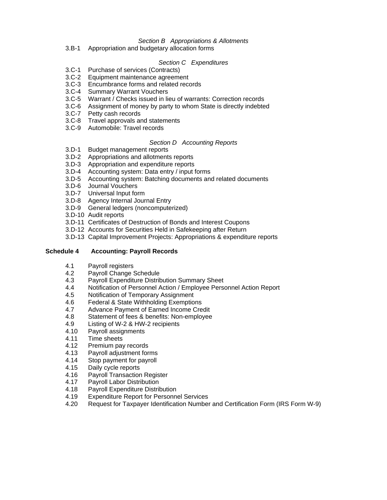#### *Section B Appropriations & Allotments*

[3.B-1 Appropriation and budgetary allocation forms](#page-19-0) 

#### *Section C Expenditures*

- 3.C-1 Purchase of services (Contracts)
- 3.C-2 Equipment maintenance agreement
- [3.C-3 Encumbrance forms and related records](#page-20-0)
- 3.C-4 Summary Warrant Vouchers
- 3.C-5 Warrant / Checks issued in lieu of warrants: Correction records
- [3.C-6 Assignment of money by party to whom State is directly indebted](#page-21-0)
- 3.C-7 Petty cash records
- [3.C-8 Travel approvals and statements](#page-22-0)
- [3.C-9 Automobile: Travel records](#page-23-0)

#### *Section D Accounting Reports*

- 3.D-1 Budget management reports
- [3.D-2 Appropriations and allotments reports](#page-24-0)
- [3.D-3 Appropriation and expenditure reports](#page-26-0)
- [3.D-4 Accounting system: Data entry / input forms](#page-27-0)
- [3.D-5 Accounting system: Batching documents and related documents](#page-28-0)
- 3.D-6 Journal Vouchers
- 3.D-7 Universal Input form
- 3.D-8 Agency Internal Journal Entry
- 3.D-9 General ledgers (noncomputerized)
- 3.D-10 Audit reports
- [3.D-11 Certificates of Destruction of Bonds and Interest Coupons](#page-29-0)
- 3.D-12 Accounts for Securities Held in Safekeeping after Return
- [3.D-13 Capital Improvement Projects: Appropriations & expenditure reports](#page-30-0)

#### **Schedule 4 Accounting: Payroll Records**

- 4.1 Payroll registers
- 4.2 Payroll Change Schedule
- 4.3 Payroll Expenditure Distribution Summary Sheet
- [4.4 Notification of Personnel Action / Employee Personnel Action Report](#page-31-0)
- 4.5 Notification of Temporary Assignment
- 
- 4.6 Federal & State Withholding Exemptions<br>4.7 Advance Payment of Earned Income Cre Advance Payment of Earned Income Credit
- [4.8 Statement of fees & benefits: Non-employee](#page-32-0)
- 4.9 Listing of W-2 & HW-2 recipients
- 4.10 Payroll assignments
- 4.11 Time sheets
- 4.12 Premium pay records
- 4.13 Payroll adjustment forms
- 4.14 Stop payment for payroll
- 4.15 Daily cycle reports
- [4.16 Payroll Transaction Register](#page-33-0)
- 4.17 Payroll Labor Distribution
- 4.18 Payroll Expenditure Distribution
- 4.19 Expenditure Report for Personnel Services
- [4.20 Request for Taxpayer Identification Number and Certification Form \(IRS Form W-9\)](#page-34-0)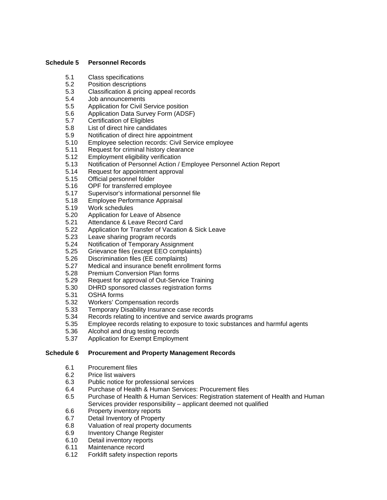#### **Schedule 5 Personnel Records**

- 5.1 Class specifications<br>5.2 Position descriptions
- Position descriptions
- [5.3 Classification & pricing appeal records](#page-35-0)
- 5.4 Job announcements
- 5.5 Application for Civil Service position
- 5.6 Application Data Survey Form (ADSF)
- 5.7 Certification of Eligibles
- 5.8 List of direct hire candidates
- 5.9 Notification of direct hire appointment
- [5.10 Employee selection records: Civil Service employee](#page-36-0)
- 5.11 Request for criminal history clearance
- 5.12 Employment eligibility verification
- [5.13 Notification of Personnel Action / Employee Personnel Action Report](#page-37-0)
- 5.14 Request for appointment approval
- 5.15 Official personnel folder
- 5.16 OPF for transferred employee
- [5.17 Supervisor's informational personnel file](#page-38-0)
- 5.18 Employee Performance Appraisal
- 5.19 Work schedules
- 5.20 Application for Leave of Absence
- 5.21 Attendance & Leave Record Card
- [5.22 Application for Transfer of Vacation & Sick Leave](#page-39-0)
- 5.23 Leave sharing program records
- 5.24 Notification of Temporary Assignment
- 5.25 Grievance files (except EEO complaints)
- 5.26 Discrimination files (EE complaints)
- [5.27 Medical and insurance benefit enrollment forms](#page-40-0)
- 5.28 Premium Conversion Plan forms
- 5.29 Request for approval of Out-Service Training
- [5.30 DHRD sponsored classes registration forms](#page-41-0)
- 5.31 OSHA forms
- 
- 5.32 Workers' Compensation records<br>5.33 Temporary Disability Insurance c Temporary Disability Insurance case records
- [5.34 Records relating to incentive and service awards programs](#page-42-0)
- [5.35 Employee records relating to exposure to toxic substances and harmful agents](#page-43-0)
- 5.36 Alcohol and drug testing records
- [5.37 Application for Exempt Employment](#page-44-0)

#### **Schedule 6 Procurement and Property Management Records**

- [6.1 Procurement files](#page-45-0)
- 6.2 Price list waivers
- 6.3 Public notice for professional services<br>6.4 Purchase of Health & Human Services
- Purchase of Health & Human Services: Procurement files
- [6.5 Purchase of Health & Human Services: Registration statement of Health and Human](#page-47-0)  Services provider responsibility – applicant deemed not qualified
- 6.6 Property inventory reports
- 6.7 Detail Inventory of Property
- 6.8 Valuation of real property documents
- 6.9 Inventory Change Register
- 6.10 Detail inventory reports
- 6.11 Maintenance record
- [6.12 Forklift safety inspection reports](#page-48-0)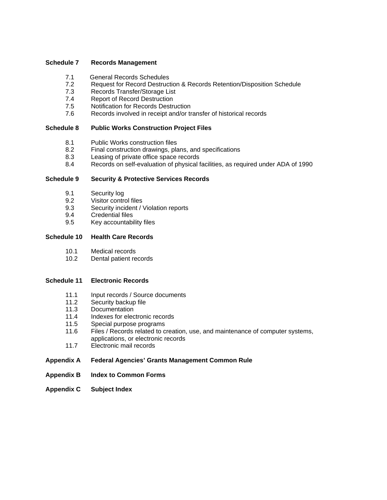#### **Schedule 7 Records Management**

- 
- 7.1 General Records Schedules<br>7.2 Request for Record Destruct Request for Record Destruction & Records Retention/Disposition Schedule
- 7.3 Records Transfer/Storage List
- 7.4 Report of Record Destruction<br>7.5 Notification for Records Destru
- **Notification for Records Destruction**
- [7.6 Records involved in receipt and/or transfer of historical records](#page-50-0)

#### **Schedule 8 Public Works Construction Project Files**

- 8.1 Public Works construction files
- [8.2 Final construction drawings, plans, and specifications](#page-51-0)
- 8.3 Leasing of private office space records
- [8.4 Records on self-evaluation of physical facilities, as required under ADA of 1990](#page-52-0)

#### **Schedule 9 Security & Protective Services Records**

- 9.1 Security log
- 9.2 Visitor control files
- [9.3 Security incident / Violation reports](#page-53-0)
- 9.4 Credential files<br>9.5 Kev accountabi
- Key accountability files

#### **Schedule 10 Health Care Records**

- 10.1 Medical records
- [10.2 Dental patient records](#page-54-0)

#### **Schedule 11 Electronic Records**

- 11.1 Input records / Source documents
- 11.2 Security backup file<br>11.3 Documentation
- Documentation
- 11.4 Indexes for electronic records
- 11.5 Special purpose programs
- [11.6 Files / Records related to creation, use, and maintenance of computer systems,](#page-56-0)  applications, or electronic records
- [11.7 Electronic mail records](#page-57-0)

#### **[Appendix A Federal Agencies' Grants Management Common Rule](#page-58-0)**

- **[Appendix B Index to Common Forms](#page-59-0)**
- **[Appendix C Subject Index](#page-63-0)**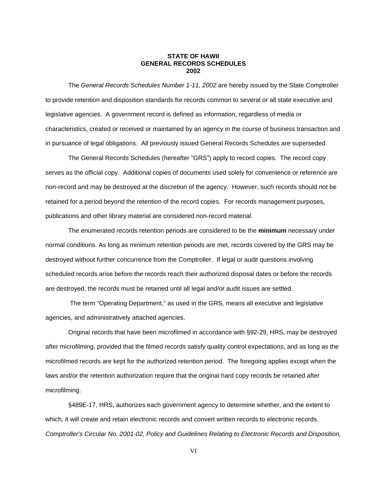#### **STATE OF HAWII GENERAL RECORDS SCHEDULES 2002**

The *General Records Schedules Number 1-11, 2002* are hereby issued by the State Comptroller to provide retention and disposition standards for records common to several or all state executive and legislative agencies. A government record is defined as information, regardless of media or characteristics, created or received or maintained by an agency in the course of business transaction and in pursuance of legal obligations. All previously issued General Records Schedules are superseded.

The General Records Schedules (hereafter "GRS") apply to record copies. The record copy serves as the official copy. Additional copies of documents used solely for convenience or reference are non-record and may be destroyed at the discretion of the agency. However, such records should not be retained for a period beyond the retention of the record copies. For records management purposes, publications and other library material are considered non-record material.

The enumerated records retention periods are considered to be the **minimum** necessary under normal conditions. As long as minimum retention periods are met, records covered by the GRS may be destroyed without further concurrence from the Comptroller. If legal or audit questions involving scheduled records arise before the records reach their authorized disposal dates or before the records are destroyed, the records must be retained until all legal and/or audit issues are settled.

 The term "Operating Department," as used in the GRS, means all executive and legislative agencies, and administratively attached agencies.

Original records that have been microfilmed in accordance with §92-29, HRS, may be destroyed after microfilming, provided that the filmed records satisfy quality control expectations, and as long as the microfilmed records are kept for the authorized retention period. The foregoing applies except when the laws and/or the retention authorization require that the original hard copy records be retained after microfilming.

§489E-17, HRS, authorizes each government agency to determine whether, and the extent to which, it will create and retain electronic records and convert written records to electronic records. *Comptroller's Circular No. 2001-02, Policy and Guidelines Relating to Electronic Records and Disposition,*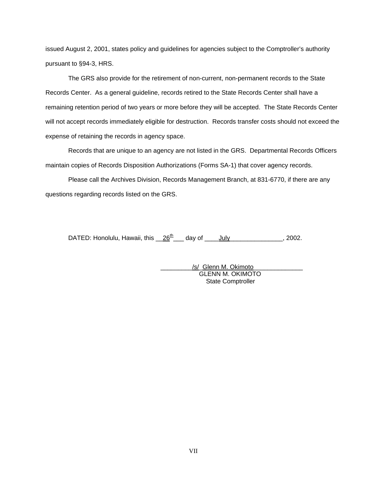issued August 2, 2001, states policy and guidelines for agencies subject to the Comptroller's authority pursuant to §94-3, HRS.

The GRS also provide for the retirement of non-current, non-permanent records to the State Records Center. As a general guideline, records retired to the State Records Center shall have a remaining retention period of two years or more before they will be accepted. The State Records Center will not accept records immediately eligible for destruction. Records transfer costs should not exceed the expense of retaining the records in agency space.

Records that are unique to an agency are not listed in the GRS. Departmental Records Officers maintain copies of Records Disposition Authorizations (Forms SA-1) that cover agency records.

Please call the Archives Division, Records Management Branch, at 831-6770, if there are any questions regarding records listed on the GRS.

DATED: Honolulu, Hawaii, this  $26<sup>th</sup>$  day of July \_\_\_\_\_\_\_\_\_\_\_\_, 2002.

/s/ Glenn M. Okimoto GLENN M. OKIMOTO State Comptroller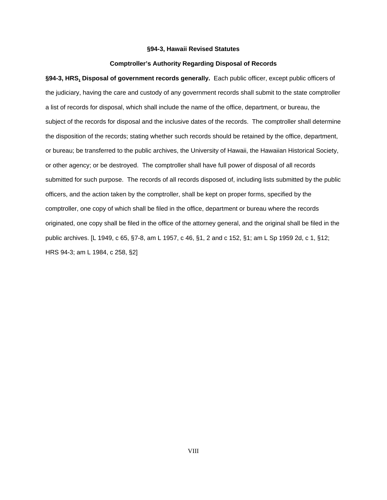#### **§94-3, Hawaii Revised Statutes**

#### **Comptroller's Authority Regarding Disposal of Records**

**§94-3, HRS, Disposal of government records generally.** Each public officer, except public officers of the judiciary, having the care and custody of any government records shall submit to the state comptroller a list of records for disposal, which shall include the name of the office, department, or bureau, the subject of the records for disposal and the inclusive dates of the records. The comptroller shall determine the disposition of the records; stating whether such records should be retained by the office, department, or bureau; be transferred to the public archives, the University of Hawaii, the Hawaiian Historical Society, or other agency; or be destroyed. The comptroller shall have full power of disposal of all records submitted for such purpose. The records of all records disposed of, including lists submitted by the public officers, and the action taken by the comptroller, shall be kept on proper forms, specified by the comptroller, one copy of which shall be filed in the office, department or bureau where the records originated, one copy shall be filed in the office of the attorney general, and the original shall be filed in the public archives. [L 1949, c 65, §7-8, am L 1957, c 46, §1, 2 and c 152, §1; am L Sp 1959 2d, c 1, §12; HRS 94-3; am L 1984, c 258, §2]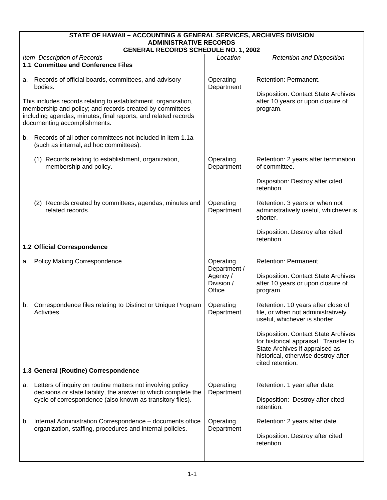<span id="page-8-0"></span>

| STATE OF HAWAII - ACCOUNTING & GENERAL SERVICES, ARCHIVES DIVISION |                                                                                                                                                                                                                              |                                  |                                                                                                                                                                                  |  |  |
|--------------------------------------------------------------------|------------------------------------------------------------------------------------------------------------------------------------------------------------------------------------------------------------------------------|----------------------------------|----------------------------------------------------------------------------------------------------------------------------------------------------------------------------------|--|--|
|                                                                    | <b>ADMINISTRATIVE RECORDS</b><br><b>GENERAL RECORDS SCHEDULE NO. 1, 2002</b>                                                                                                                                                 |                                  |                                                                                                                                                                                  |  |  |
|                                                                    | Item Description of Records                                                                                                                                                                                                  | Location                         | <b>Retention and Disposition</b>                                                                                                                                                 |  |  |
|                                                                    | 1.1 Committee and Conference Files                                                                                                                                                                                           |                                  |                                                                                                                                                                                  |  |  |
| а.                                                                 | Records of official boards, committees, and advisory<br>bodies.                                                                                                                                                              | Operating<br>Department          | Retention: Permanent.                                                                                                                                                            |  |  |
|                                                                    | This includes records relating to establishment, organization,<br>membership and policy; and records created by committees<br>including agendas, minutes, final reports, and related records<br>documenting accomplishments. |                                  | <b>Disposition: Contact State Archives</b><br>after 10 years or upon closure of<br>program.                                                                                      |  |  |
|                                                                    | b. Records of all other committees not included in item 1.1a<br>(such as internal, ad hoc committees).                                                                                                                       |                                  |                                                                                                                                                                                  |  |  |
|                                                                    | (1) Records relating to establishment, organization,<br>membership and policy.                                                                                                                                               | Operating<br>Department          | Retention: 2 years after termination<br>of committee.                                                                                                                            |  |  |
|                                                                    |                                                                                                                                                                                                                              |                                  | Disposition: Destroy after cited<br>retention.                                                                                                                                   |  |  |
|                                                                    | (2) Records created by committees; agendas, minutes and<br>related records.                                                                                                                                                  | Operating<br>Department          | Retention: 3 years or when not<br>administratively useful, whichever is<br>shorter.                                                                                              |  |  |
|                                                                    |                                                                                                                                                                                                                              |                                  | Disposition: Destroy after cited<br>retention.                                                                                                                                   |  |  |
|                                                                    | 1.2 Official Correspondence                                                                                                                                                                                                  |                                  |                                                                                                                                                                                  |  |  |
|                                                                    | a. Policy Making Correspondence                                                                                                                                                                                              | Operating<br>Department /        | <b>Retention: Permanent</b>                                                                                                                                                      |  |  |
|                                                                    |                                                                                                                                                                                                                              | Agency /<br>Division /<br>Office | <b>Disposition: Contact State Archives</b><br>after 10 years or upon closure of<br>program.                                                                                      |  |  |
| b.                                                                 | Correspondence files relating to Distinct or Unique Program<br>Activities                                                                                                                                                    | Operating<br>Department          | Retention: 10 years after close of<br>file, or when not administratively<br>useful, whichever is shorter.                                                                        |  |  |
|                                                                    |                                                                                                                                                                                                                              |                                  | <b>Disposition: Contact State Archives</b><br>for historical appraisal. Transfer to<br>State Archives if appraised as<br>historical, otherwise destroy after<br>cited retention. |  |  |
|                                                                    | 1.3 General (Routine) Correspondence                                                                                                                                                                                         |                                  |                                                                                                                                                                                  |  |  |
|                                                                    | a. Letters of inquiry on routine matters not involving policy<br>decisions or state liability, the answer to which complete the                                                                                              | Operating<br>Department          | Retention: 1 year after date.                                                                                                                                                    |  |  |
|                                                                    | cycle of correspondence (also known as transitory files).                                                                                                                                                                    |                                  | Disposition: Destroy after cited<br>retention.                                                                                                                                   |  |  |
| b.                                                                 | Internal Administration Correspondence - documents office<br>organization, staffing, procedures and internal policies.                                                                                                       | Operating<br>Department          | Retention: 2 years after date.                                                                                                                                                   |  |  |
|                                                                    |                                                                                                                                                                                                                              |                                  | Disposition: Destroy after cited<br>retention.                                                                                                                                   |  |  |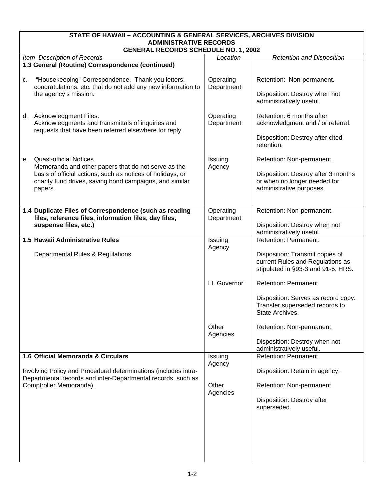<span id="page-9-0"></span>

| STATE OF HAWAII - ACCOUNTING & GENERAL SERVICES, ARCHIVES DIVISION           |                                                                                                                              |  |  |  |
|------------------------------------------------------------------------------|------------------------------------------------------------------------------------------------------------------------------|--|--|--|
| <b>ADMINISTRATIVE RECORDS</b><br><b>GENERAL RECORDS SCHEDULE NO. 1, 2002</b> |                                                                                                                              |  |  |  |
| Location                                                                     | <b>Retention and Disposition</b>                                                                                             |  |  |  |
|                                                                              |                                                                                                                              |  |  |  |
| Operating<br>Department                                                      | Retention: Non-permanent.<br>Disposition: Destroy when not<br>administratively useful.                                       |  |  |  |
| Operating<br>Department                                                      | Retention: 6 months after<br>acknowledgment and / or referral.<br>Disposition: Destroy after cited<br>retention.             |  |  |  |
| Issuing<br>Agency                                                            | Retention: Non-permanent.<br>Disposition: Destroy after 3 months<br>or when no longer needed for<br>administrative purposes. |  |  |  |
| Operating<br>Department                                                      | Retention: Non-permanent.<br>Disposition: Destroy when not<br>administratively useful.                                       |  |  |  |
| Issuing                                                                      | Retention: Permanent.                                                                                                        |  |  |  |
| Agency                                                                       | Disposition: Transmit copies of<br>current Rules and Regulations as<br>stipulated in §93-3 and 91-5, HRS.                    |  |  |  |
| Lt. Governor                                                                 | Retention: Permanent.<br>Disposition: Serves as record copy.<br>Transfer superseded records to<br>State Archives.            |  |  |  |
| Other<br>Agencies                                                            | Retention: Non-permanent.<br>Disposition: Destroy when not<br>administratively useful.                                       |  |  |  |
| Issuing<br>Agency                                                            | Retention: Permanent.<br>Disposition: Retain in agency.                                                                      |  |  |  |
| Other<br>Agencies                                                            | Retention: Non-permanent.<br>Disposition: Destroy after<br>superseded.                                                       |  |  |  |
|                                                                              |                                                                                                                              |  |  |  |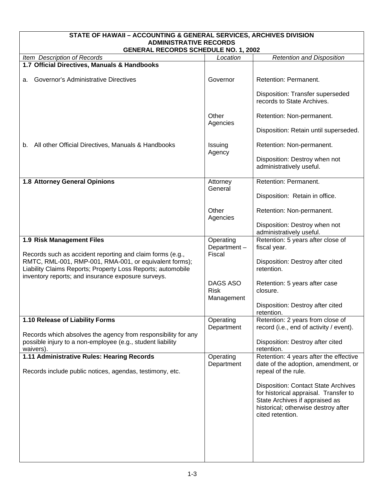<span id="page-10-0"></span>

| STATE OF HAWAII - ACCOUNTING & GENERAL SERVICES, ARCHIVES DIVISION                                                                       |                                       |                                                                                                                                                                                  |  |  |
|------------------------------------------------------------------------------------------------------------------------------------------|---------------------------------------|----------------------------------------------------------------------------------------------------------------------------------------------------------------------------------|--|--|
| <b>ADMINISTRATIVE RECORDS</b><br><b>GENERAL RECORDS SCHEDULE NO. 1, 2002</b>                                                             |                                       |                                                                                                                                                                                  |  |  |
| Item Description of Records                                                                                                              | Location                              | <b>Retention and Disposition</b>                                                                                                                                                 |  |  |
| 1.7 Official Directives, Manuals & Handbooks                                                                                             |                                       |                                                                                                                                                                                  |  |  |
| Governor's Administrative Directives<br>а.                                                                                               | Governor                              | Retention: Permanent.                                                                                                                                                            |  |  |
|                                                                                                                                          |                                       | Disposition: Transfer superseded<br>records to State Archives.                                                                                                                   |  |  |
|                                                                                                                                          | Other<br>Agencies                     | Retention: Non-permanent.                                                                                                                                                        |  |  |
|                                                                                                                                          |                                       | Disposition: Retain until superseded.                                                                                                                                            |  |  |
| All other Official Directives, Manuals & Handbooks<br>b.                                                                                 | Issuing<br>Agency                     | Retention: Non-permanent.                                                                                                                                                        |  |  |
|                                                                                                                                          |                                       | Disposition: Destroy when not<br>administratively useful.                                                                                                                        |  |  |
| 1.8 Attorney General Opinions                                                                                                            | Attorney<br>General                   | Retention: Permanent.                                                                                                                                                            |  |  |
|                                                                                                                                          |                                       | Disposition: Retain in office.                                                                                                                                                   |  |  |
|                                                                                                                                          | Other<br>Agencies                     | Retention: Non-permanent.                                                                                                                                                        |  |  |
|                                                                                                                                          |                                       | Disposition: Destroy when not<br>administratively useful.                                                                                                                        |  |  |
| 1.9 Risk Management Files                                                                                                                | Operating<br>Department-              | Retention: 5 years after close of<br>fiscal year.                                                                                                                                |  |  |
| Records such as accident reporting and claim forms (e.g.,<br>RMTC, RML-001, RMP-001, RMA-001, or equivalent forms);                      | Fiscal                                | Disposition: Destroy after cited                                                                                                                                                 |  |  |
| Liability Claims Reports; Property Loss Reports; automobile<br>inventory reports; and insurance exposure surveys.                        |                                       | retention.                                                                                                                                                                       |  |  |
|                                                                                                                                          | DAGS ASO<br><b>Risk</b><br>Management | Retention: 5 years after case<br>closure.                                                                                                                                        |  |  |
|                                                                                                                                          |                                       | Disposition: Destroy after cited<br>retention.                                                                                                                                   |  |  |
| 1.10 Release of Liability Forms                                                                                                          | Operating<br>Department               | Retention: 2 years from close of<br>record (i.e., end of activity / event).                                                                                                      |  |  |
| Records which absolves the agency from responsibility for any<br>possible injury to a non-employee (e.g., student liability<br>waivers). |                                       | Disposition: Destroy after cited<br>retention.                                                                                                                                   |  |  |
| 1.11 Administrative Rules: Hearing Records<br>Records include public notices, agendas, testimony, etc.                                   | Operating<br>Department               | Retention: 4 years after the effective<br>date of the adoption, amendment, or<br>repeal of the rule.                                                                             |  |  |
|                                                                                                                                          |                                       | <b>Disposition: Contact State Archives</b><br>for historical appraisal. Transfer to<br>State Archives if appraised as<br>historical; otherwise destroy after<br>cited retention. |  |  |
|                                                                                                                                          |                                       |                                                                                                                                                                                  |  |  |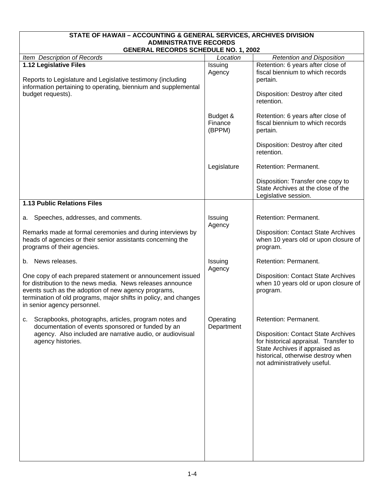<span id="page-11-0"></span>

| STATE OF HAWAII - ACCOUNTING & GENERAL SERVICES, ARCHIVES DIVISION                                                                                                                                                                                                                 |                               |                                                                                                                                                                                             |  |  |
|------------------------------------------------------------------------------------------------------------------------------------------------------------------------------------------------------------------------------------------------------------------------------------|-------------------------------|---------------------------------------------------------------------------------------------------------------------------------------------------------------------------------------------|--|--|
| <b>ADMINISTRATIVE RECORDS</b><br><b>GENERAL RECORDS SCHEDULE NO. 1, 2002</b>                                                                                                                                                                                                       |                               |                                                                                                                                                                                             |  |  |
| Item Description of Records                                                                                                                                                                                                                                                        | Location                      | <b>Retention and Disposition</b>                                                                                                                                                            |  |  |
| 1.12 Legislative Files<br>Reports to Legislature and Legislative testimony (including                                                                                                                                                                                              | Issuing<br>Agency             | Retention: 6 years after close of<br>fiscal biennium to which records<br>pertain.                                                                                                           |  |  |
| information pertaining to operating, biennium and supplemental<br>budget requests).                                                                                                                                                                                                |                               | Disposition: Destroy after cited<br>retention.                                                                                                                                              |  |  |
|                                                                                                                                                                                                                                                                                    | Budget &<br>Finance<br>(BPPM) | Retention: 6 years after close of<br>fiscal biennium to which records<br>pertain.                                                                                                           |  |  |
|                                                                                                                                                                                                                                                                                    |                               | Disposition: Destroy after cited<br>retention.                                                                                                                                              |  |  |
|                                                                                                                                                                                                                                                                                    | Legislature                   | Retention: Permanent.                                                                                                                                                                       |  |  |
|                                                                                                                                                                                                                                                                                    |                               | Disposition: Transfer one copy to<br>State Archives at the close of the<br>Legislative session.                                                                                             |  |  |
| <b>1.13 Public Relations Files</b>                                                                                                                                                                                                                                                 |                               |                                                                                                                                                                                             |  |  |
| Speeches, addresses, and comments.<br>а.                                                                                                                                                                                                                                           | Issuing<br>Agency             | Retention: Permanent.                                                                                                                                                                       |  |  |
| Remarks made at formal ceremonies and during interviews by<br>heads of agencies or their senior assistants concerning the<br>programs of their agencies.                                                                                                                           |                               | <b>Disposition: Contact State Archives</b><br>when 10 years old or upon closure of<br>program.                                                                                              |  |  |
| b. News releases.                                                                                                                                                                                                                                                                  | Issuing<br>Agency             | Retention: Permanent.                                                                                                                                                                       |  |  |
| One copy of each prepared statement or announcement issued<br>for distribution to the news media. News releases announce<br>events such as the adoption of new agency programs,<br>termination of old programs, major shifts in policy, and changes<br>in senior agency personnel. |                               | <b>Disposition: Contact State Archives</b><br>when 10 years old or upon closure of<br>program.                                                                                              |  |  |
| Scrapbooks, photographs, articles, program notes and<br>c.<br>documentation of events sponsored or funded by an                                                                                                                                                                    | Operating<br>Department       | Retention: Permanent.                                                                                                                                                                       |  |  |
| agency. Also included are narrative audio, or audiovisual<br>agency histories.                                                                                                                                                                                                     |                               | <b>Disposition: Contact State Archives</b><br>for historical appraisal. Transfer to<br>State Archives if appraised as<br>historical, otherwise destroy when<br>not administratively useful. |  |  |
|                                                                                                                                                                                                                                                                                    |                               |                                                                                                                                                                                             |  |  |
|                                                                                                                                                                                                                                                                                    |                               |                                                                                                                                                                                             |  |  |
|                                                                                                                                                                                                                                                                                    |                               |                                                                                                                                                                                             |  |  |
|                                                                                                                                                                                                                                                                                    |                               |                                                                                                                                                                                             |  |  |
|                                                                                                                                                                                                                                                                                    |                               |                                                                                                                                                                                             |  |  |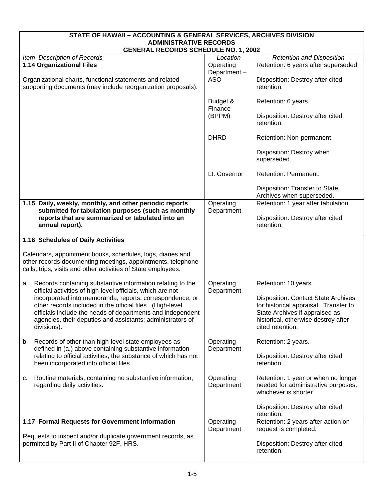<span id="page-12-0"></span>

| STATE OF HAWAII - ACCOUNTING & GENERAL SERVICES, ARCHIVES DIVISION                                                                                                                                                                                               |                         |                                                                                                                                                                                  |  |  |
|------------------------------------------------------------------------------------------------------------------------------------------------------------------------------------------------------------------------------------------------------------------|-------------------------|----------------------------------------------------------------------------------------------------------------------------------------------------------------------------------|--|--|
| <b>ADMINISTRATIVE RECORDS</b><br><b>GENERAL RECORDS SCHEDULE NO. 1, 2002</b>                                                                                                                                                                                     |                         |                                                                                                                                                                                  |  |  |
| Item Description of Records                                                                                                                                                                                                                                      | Location                | <b>Retention and Disposition</b>                                                                                                                                                 |  |  |
| 1.14 Organizational Files                                                                                                                                                                                                                                        | Operating               | Retention: 6 years after superseded.                                                                                                                                             |  |  |
|                                                                                                                                                                                                                                                                  | Department-             |                                                                                                                                                                                  |  |  |
| Organizational charts, functional statements and related<br>supporting documents (may include reorganization proposals).                                                                                                                                         | <b>ASO</b>              | Disposition: Destroy after cited<br>retention.                                                                                                                                   |  |  |
|                                                                                                                                                                                                                                                                  | Budget &<br>Finance     | Retention: 6 years.                                                                                                                                                              |  |  |
|                                                                                                                                                                                                                                                                  | (BPPM)                  | Disposition: Destroy after cited<br>retention.                                                                                                                                   |  |  |
|                                                                                                                                                                                                                                                                  | <b>DHRD</b>             | Retention: Non-permanent.                                                                                                                                                        |  |  |
|                                                                                                                                                                                                                                                                  |                         | Disposition: Destroy when<br>superseded.                                                                                                                                         |  |  |
|                                                                                                                                                                                                                                                                  | Lt. Governor            | Retention: Permanent.                                                                                                                                                            |  |  |
|                                                                                                                                                                                                                                                                  |                         | Disposition: Transfer to State<br>Archives when superseded.                                                                                                                      |  |  |
| 1.15 Daily, weekly, monthly, and other periodic reports                                                                                                                                                                                                          | Operating               | Retention: 1 year after tabulation.                                                                                                                                              |  |  |
| submitted for tabulation purposes (such as monthly<br>reports that are summarized or tabulated into an<br>annual report).                                                                                                                                        | Department              | Disposition: Destroy after cited<br>retention.                                                                                                                                   |  |  |
| 1.16 Schedules of Daily Activities                                                                                                                                                                                                                               |                         |                                                                                                                                                                                  |  |  |
| Calendars, appointment books, schedules, logs, diaries and<br>other records documenting meetings, appointments, telephone<br>calls, trips, visits and other activities of State employees.                                                                       |                         |                                                                                                                                                                                  |  |  |
| Records containing substantive information relating to the<br>a.<br>official activities of high-level officials, which are not                                                                                                                                   | Operating<br>Department | Retention: 10 years.                                                                                                                                                             |  |  |
| incorporated into memoranda, reports, correspondence, or<br>other records included in the official files. (High-level<br>officials include the heads of departments and independent<br>agencies, their deputies and assistants; administrators of<br>divisions). |                         | <b>Disposition: Contact State Archives</b><br>for historical appraisal. Transfer to<br>State Archives if appraised as<br>historical, otherwise destroy after<br>cited retention. |  |  |
| Records of other than high-level state employees as<br>b.<br>defined in (a.) above containing substantive information                                                                                                                                            | Operating<br>Department | Retention: 2 years.                                                                                                                                                              |  |  |
| relating to official activities, the substance of which has not<br>been incorporated into official files.                                                                                                                                                        |                         | Disposition: Destroy after cited<br>retention.                                                                                                                                   |  |  |
| Routine materials, containing no substantive information,<br>c.<br>regarding daily activities.                                                                                                                                                                   | Operating<br>Department | Retention: 1 year or when no longer<br>needed for administrative purposes,<br>whichever is shorter.                                                                              |  |  |
|                                                                                                                                                                                                                                                                  |                         | Disposition: Destroy after cited<br>retention.                                                                                                                                   |  |  |
| 1.17 Formal Requests for Government Information                                                                                                                                                                                                                  | Operating               | Retention: 2 years after action on                                                                                                                                               |  |  |
| Requests to inspect and/or duplicate government records, as                                                                                                                                                                                                      | Department              | request is completed.                                                                                                                                                            |  |  |
| permitted by Part II of Chapter 92F, HRS.                                                                                                                                                                                                                        |                         | Disposition: Destroy after cited<br>retention.                                                                                                                                   |  |  |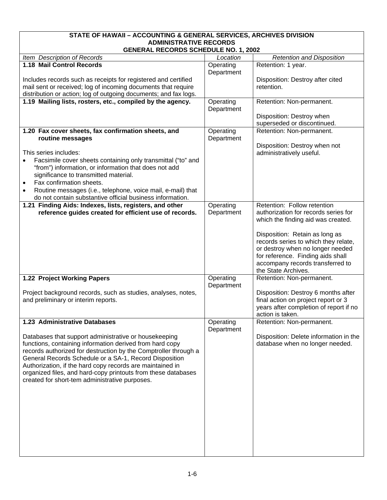<span id="page-13-0"></span>

| STATE OF HAWAII - ACCOUNTING & GENERAL SERVICES, ARCHIVES DIVISION                                                                    |            |                                                            |  |  |
|---------------------------------------------------------------------------------------------------------------------------------------|------------|------------------------------------------------------------|--|--|
| <b>ADMINISTRATIVE RECORDS</b><br><b>GENERAL RECORDS SCHEDULE NO. 1, 2002</b>                                                          |            |                                                            |  |  |
| Item Description of Records                                                                                                           | Location   | <b>Retention and Disposition</b>                           |  |  |
| 1.18 Mail Control Records                                                                                                             | Operating  | Retention: 1 year.                                         |  |  |
|                                                                                                                                       | Department |                                                            |  |  |
| Includes records such as receipts for registered and certified                                                                        |            | Disposition: Destroy after cited                           |  |  |
| mail sent or received; log of incoming documents that require<br>distribution or action; log of outgoing documents; and fax logs.     |            | retention.                                                 |  |  |
| 1.19 Mailing lists, rosters, etc., compiled by the agency.                                                                            | Operating  | Retention: Non-permanent.                                  |  |  |
|                                                                                                                                       | Department |                                                            |  |  |
|                                                                                                                                       |            | Disposition: Destroy when                                  |  |  |
|                                                                                                                                       |            | superseded or discontinued.                                |  |  |
| 1.20 Fax cover sheets, fax confirmation sheets, and                                                                                   | Operating  | Retention: Non-permanent.                                  |  |  |
| routine messages                                                                                                                      | Department | Disposition: Destroy when not                              |  |  |
| This series includes:                                                                                                                 |            | administratively useful.                                   |  |  |
| Facsimile cover sheets containing only transmittal ("to" and                                                                          |            |                                                            |  |  |
| "from") information, or information that does not add                                                                                 |            |                                                            |  |  |
| significance to transmitted material.                                                                                                 |            |                                                            |  |  |
| Fax confirmation sheets.                                                                                                              |            |                                                            |  |  |
| Routine messages (i.e., telephone, voice mail, e-mail) that<br>$\bullet$<br>do not contain substantive official business information. |            |                                                            |  |  |
| 1.21 Finding Aids: Indexes, lists, registers, and other                                                                               | Operating  | Retention: Follow retention                                |  |  |
| reference guides created for efficient use of records.                                                                                | Department | authorization for records series for                       |  |  |
|                                                                                                                                       |            | which the finding aid was created.                         |  |  |
|                                                                                                                                       |            | Disposition: Retain as long as                             |  |  |
|                                                                                                                                       |            | records series to which they relate,                       |  |  |
|                                                                                                                                       |            | or destroy when no longer needed                           |  |  |
|                                                                                                                                       |            | for reference. Finding aids shall                          |  |  |
|                                                                                                                                       |            | accompany records transferred to<br>the State Archives.    |  |  |
| 1.22 Project Working Papers                                                                                                           | Operating  | Retention: Non-permanent.                                  |  |  |
|                                                                                                                                       | Department |                                                            |  |  |
| Project background records, such as studies, analyses, notes,                                                                         |            | Disposition: Destroy 6 months after                        |  |  |
| and preliminary or interim reports.                                                                                                   |            | final action on project report or 3                        |  |  |
|                                                                                                                                       |            | years after completion of report if no<br>action is taken. |  |  |
| 1.23 Administrative Databases                                                                                                         | Operating  | Retention: Non-permanent.                                  |  |  |
|                                                                                                                                       | Department |                                                            |  |  |
| Databases that support administrative or housekeeping                                                                                 |            | Disposition: Delete information in the                     |  |  |
| functions, containing information derived from hard copy                                                                              |            | database when no longer needed.                            |  |  |
| records authorized for destruction by the Comptroller through a<br>General Records Schedule or a SA-1, Record Disposition             |            |                                                            |  |  |
| Authorization, if the hard copy records are maintained in                                                                             |            |                                                            |  |  |
| organized files, and hard-copy printouts from these databases                                                                         |            |                                                            |  |  |
| created for short-tem administrative purposes.                                                                                        |            |                                                            |  |  |
|                                                                                                                                       |            |                                                            |  |  |
|                                                                                                                                       |            |                                                            |  |  |
|                                                                                                                                       |            |                                                            |  |  |
|                                                                                                                                       |            |                                                            |  |  |
|                                                                                                                                       |            |                                                            |  |  |
|                                                                                                                                       |            |                                                            |  |  |
|                                                                                                                                       |            |                                                            |  |  |
|                                                                                                                                       |            |                                                            |  |  |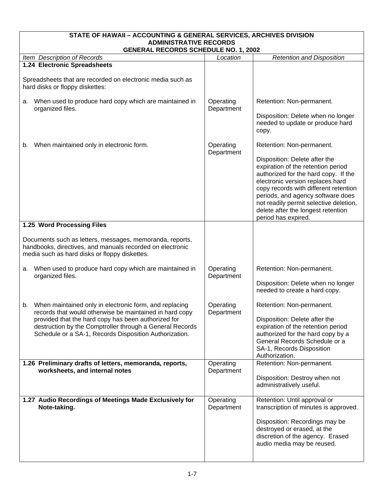<span id="page-14-0"></span>

| STATE OF HAWAII - ACCOUNTING & GENERAL SERVICES, ARCHIVES DIVISION<br><b>ADMINISTRATIVE RECORDS</b>                                                                                                                                                                                                  |                         |                                                                                                                                                                                                                                                                                                                                                                   |  |  |
|------------------------------------------------------------------------------------------------------------------------------------------------------------------------------------------------------------------------------------------------------------------------------------------------------|-------------------------|-------------------------------------------------------------------------------------------------------------------------------------------------------------------------------------------------------------------------------------------------------------------------------------------------------------------------------------------------------------------|--|--|
| <b>GENERAL RECORDS SCHEDULE NO. 1, 2002</b>                                                                                                                                                                                                                                                          |                         |                                                                                                                                                                                                                                                                                                                                                                   |  |  |
| Item Description of Records<br>1.24 Electronic Spreadsheets                                                                                                                                                                                                                                          | Location                | <b>Retention and Disposition</b>                                                                                                                                                                                                                                                                                                                                  |  |  |
| Spreadsheets that are recorded on electronic media such as<br>hard disks or floppy diskettes:                                                                                                                                                                                                        |                         |                                                                                                                                                                                                                                                                                                                                                                   |  |  |
| When used to produce hard copy which are maintained in<br>a.<br>organized files.                                                                                                                                                                                                                     | Operating<br>Department | Retention: Non-permanent.<br>Disposition: Delete when no longer<br>needed to update or produce hard<br>copy.                                                                                                                                                                                                                                                      |  |  |
| When maintained only in electronic form.<br>b.                                                                                                                                                                                                                                                       | Operating<br>Department | Retention: Non-permanent.<br>Disposition: Delete after the<br>expiration of the retention period<br>authorized for the hard copy. If the<br>electronic version replaces hard<br>copy records with different retention<br>periods, and agency software does<br>not readily permit selective deletion,<br>delete after the longest retention<br>period has expired. |  |  |
| 1.25 Word Processing Files                                                                                                                                                                                                                                                                           |                         |                                                                                                                                                                                                                                                                                                                                                                   |  |  |
| Documents such as letters, messages, memoranda, reports,<br>handbooks, directives, and manuals recorded on electronic<br>media such as hard disks or floppy diskettes.                                                                                                                               |                         |                                                                                                                                                                                                                                                                                                                                                                   |  |  |
| When used to produce hard copy which are maintained in<br>а.<br>organized files.                                                                                                                                                                                                                     | Operating<br>Department | Retention: Non-permanent.<br>Disposition: Delete when no longer<br>needed to create a hard copy.                                                                                                                                                                                                                                                                  |  |  |
| When maintained only in electronic form, and replacing<br>b.<br>records that would otherwise be maintained in hard copy<br>provided that the hard copy has been authorized for<br>destruction by the Comptroller through a General Records<br>Schedule or a SA-1, Records Disposition Authorization. | Operating<br>Department | Retention: Non-permanent.<br>Disposition: Delete after the<br>expiration of the retention period<br>authorized for the hard copy by a<br>General Records Schedule or a<br>SA-1, Records Disposition<br>Authorization.                                                                                                                                             |  |  |
| 1.26 Preliminary drafts of letters, memoranda, reports,<br>worksheets, and internal notes                                                                                                                                                                                                            | Operating<br>Department | Retention: Non-permanent.<br>Disposition: Destroy when not<br>administratively useful.                                                                                                                                                                                                                                                                            |  |  |
| 1.27 Audio Recordings of Meetings Made Exclusively for<br>Note-taking.                                                                                                                                                                                                                               | Operating<br>Department | Retention: Until approval or<br>transcription of minutes is approved.<br>Disposition: Recordings may be<br>destroyed or erased, at the<br>discretion of the agency. Erased<br>audio media may be reused.                                                                                                                                                          |  |  |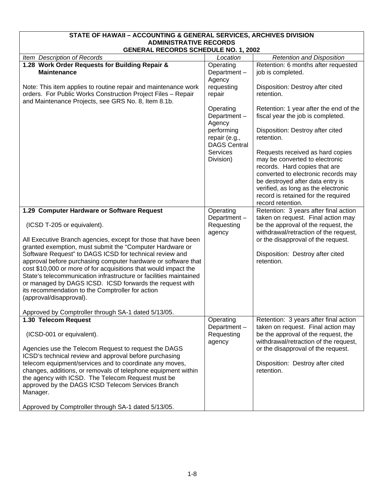<span id="page-15-0"></span>

| STATE OF HAWAII - ACCOUNTING & GENERAL SERVICES, ARCHIVES DIVISION                                                                                                                                                                                                                                                                                                                                                                                                                                                                                                                                                                                                           |                                                                   |                                                                                                                                                                                                                                                                                   |  |  |
|------------------------------------------------------------------------------------------------------------------------------------------------------------------------------------------------------------------------------------------------------------------------------------------------------------------------------------------------------------------------------------------------------------------------------------------------------------------------------------------------------------------------------------------------------------------------------------------------------------------------------------------------------------------------------|-------------------------------------------------------------------|-----------------------------------------------------------------------------------------------------------------------------------------------------------------------------------------------------------------------------------------------------------------------------------|--|--|
| <b>ADMINISTRATIVE RECORDS</b><br><b>GENERAL RECORDS SCHEDULE NO. 1, 2002</b>                                                                                                                                                                                                                                                                                                                                                                                                                                                                                                                                                                                                 |                                                                   |                                                                                                                                                                                                                                                                                   |  |  |
| Item Description of Records                                                                                                                                                                                                                                                                                                                                                                                                                                                                                                                                                                                                                                                  | Location                                                          | <b>Retention and Disposition</b>                                                                                                                                                                                                                                                  |  |  |
| 1.28 Work Order Requests for Building Repair &<br><b>Maintenance</b>                                                                                                                                                                                                                                                                                                                                                                                                                                                                                                                                                                                                         | Operating<br>Department-<br>Agency                                | Retention: 6 months after requested<br>job is completed.                                                                                                                                                                                                                          |  |  |
| Note: This item applies to routine repair and maintenance work<br>orders. For Public Works Construction Project Files - Repair<br>and Maintenance Projects, see GRS No. 8, Item 8.1b.                                                                                                                                                                                                                                                                                                                                                                                                                                                                                        | requesting<br>repair                                              | Disposition: Destroy after cited<br>retention.                                                                                                                                                                                                                                    |  |  |
|                                                                                                                                                                                                                                                                                                                                                                                                                                                                                                                                                                                                                                                                              | Operating<br>Department-<br>Agency<br>performing<br>repair (e.g., | Retention: 1 year after the end of the<br>fiscal year the job is completed.<br>Disposition: Destroy after cited<br>retention.                                                                                                                                                     |  |  |
|                                                                                                                                                                                                                                                                                                                                                                                                                                                                                                                                                                                                                                                                              | <b>DAGS Central</b><br>Services<br>Division)                      | Requests received as hard copies<br>may be converted to electronic<br>records. Hard copies that are<br>converted to electronic records may<br>be destroyed after data entry is<br>verified, as long as the electronic<br>record is retained for the required<br>record retention. |  |  |
| 1.29 Computer Hardware or Software Request<br>(ICSD T-205 or equivalent).<br>All Executive Branch agencies, except for those that have been<br>granted exemption, must submit the "Computer Hardware or<br>Software Request" to DAGS ICSD for technical review and<br>approval before purchasing computer hardware or software that<br>cost \$10,000 or more of for acquisitions that would impact the<br>State's telecommunication infrastructure or facilities maintained<br>or managed by DAGS ICSD. ICSD forwards the request with<br>its recommendation to the Comptroller for action<br>(approval/disapproval).<br>Approved by Comptroller through SA-1 dated 5/13/05. | Operating<br>Department-<br>Requesting<br>agency                  | Retention: 3 years after final action<br>taken on request. Final action may<br>be the approval of the request, the<br>withdrawal/retraction of the request,<br>or the disapproval of the request.<br>Disposition: Destroy after cited<br>retention.                               |  |  |
| 1.30 Telecom Request<br>(ICSD-001 or equivalent).<br>Agencies use the Telecom Request to request the DAGS<br>ICSD's technical review and approval before purchasing<br>telecom equipment/services and to coordinate any moves,<br>changes, additions, or removals of telephone equipment within<br>the agency with ICSD. The Telecom Request must be<br>approved by the DAGS ICSD Telecom Services Branch<br>Manager.<br>Approved by Comptroller through SA-1 dated 5/13/05.                                                                                                                                                                                                 | Operating<br>Department-<br>Requesting<br>agency                  | Retention: 3 years after final action<br>taken on request. Final action may<br>be the approval of the request, the<br>withdrawal/retraction of the request,<br>or the disapproval of the request.<br>Disposition: Destroy after cited<br>retention.                               |  |  |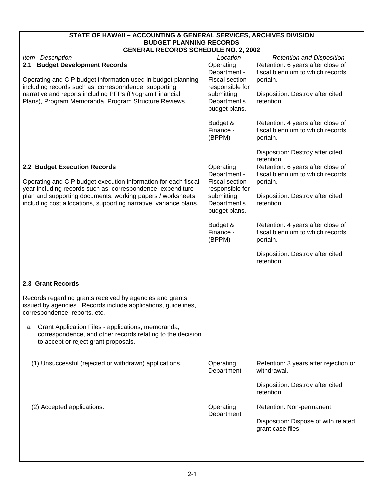<span id="page-16-0"></span>

| STATE OF HAWAII - ACCOUNTING & GENERAL SERVICES, ARCHIVES DIVISION                                                                                             |                                                                       |                                                                                   |  |  |
|----------------------------------------------------------------------------------------------------------------------------------------------------------------|-----------------------------------------------------------------------|-----------------------------------------------------------------------------------|--|--|
| <b>BUDGET PLANNING RECORDS</b><br><b>GENERAL RECORDS SCHEDULE NO. 2, 2002</b>                                                                                  |                                                                       |                                                                                   |  |  |
| Item Description                                                                                                                                               | Location                                                              | <b>Retention and Disposition</b>                                                  |  |  |
| 2.1 Budget Development Records<br>Operating and CIP budget information used in budget planning<br>including records such as: correspondence, supporting        | Operating<br>Department -<br><b>Fiscal section</b><br>responsible for | Retention: 6 years after close of<br>fiscal biennium to which records<br>pertain. |  |  |
| narrative and reports including PFPs (Program Financial<br>Plans), Program Memoranda, Program Structure Reviews.                                               | submitting<br>Department's<br>budget plans.                           | Disposition: Destroy after cited<br>retention.                                    |  |  |
|                                                                                                                                                                | Budget &<br>Finance -<br>(BPPM)                                       | Retention: 4 years after close of<br>fiscal biennium to which records<br>pertain. |  |  |
|                                                                                                                                                                |                                                                       | Disposition: Destroy after cited<br>retention.                                    |  |  |
| 2.2 Budget Execution Records<br>Operating and CIP budget execution information for each fiscal<br>year including records such as: correspondence, expenditure  | Operating<br>Department -<br><b>Fiscal section</b><br>responsible for | Retention: 6 years after close of<br>fiscal biennium to which records<br>pertain. |  |  |
| plan and supporting documents, working papers / worksheets<br>including cost allocations, supporting narrative, variance plans.                                | submitting<br>Department's<br>budget plans.                           | Disposition: Destroy after cited<br>retention.                                    |  |  |
|                                                                                                                                                                | Budget &<br>Finance -<br>(BPPM)                                       | Retention: 4 years after close of<br>fiscal biennium to which records<br>pertain. |  |  |
|                                                                                                                                                                |                                                                       | Disposition: Destroy after cited<br>retention.                                    |  |  |
| 2.3 Grant Records                                                                                                                                              |                                                                       |                                                                                   |  |  |
| Records regarding grants received by agencies and grants<br>issued by agencies. Records include applications, guidelines,<br>correspondence, reports, etc.     |                                                                       |                                                                                   |  |  |
| Grant Application Files - applications, memoranda,<br>а.<br>correspondence, and other records relating to the decision<br>to accept or reject grant proposals. |                                                                       |                                                                                   |  |  |
| (1) Unsuccessful (rejected or withdrawn) applications.                                                                                                         | Operating<br>Department                                               | Retention: 3 years after rejection or<br>withdrawal.                              |  |  |
|                                                                                                                                                                |                                                                       | Disposition: Destroy after cited<br>retention.                                    |  |  |
| (2) Accepted applications.                                                                                                                                     | Operating<br>Department                                               | Retention: Non-permanent.                                                         |  |  |
|                                                                                                                                                                |                                                                       | Disposition: Dispose of with related<br>grant case files.                         |  |  |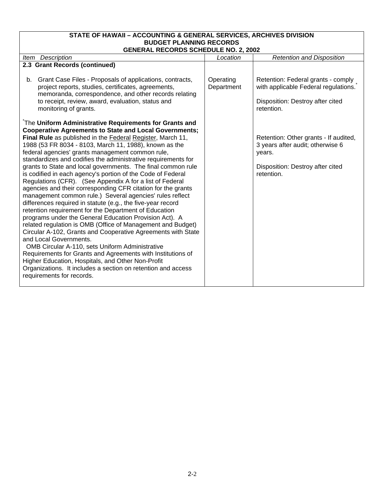### **STATE OF HAWAII – ACCOUNTING & GENERAL SERVICES, ARCHIVES DIVISION BUDGET PLANNING RECORDS**

| <b>GENERAL RECORDS SCHEDULE NO. 2, 2002</b>                                                                                                                                                                                                                                                                                                                                                                                               |                         |                                                                                                                                       |  |  |
|-------------------------------------------------------------------------------------------------------------------------------------------------------------------------------------------------------------------------------------------------------------------------------------------------------------------------------------------------------------------------------------------------------------------------------------------|-------------------------|---------------------------------------------------------------------------------------------------------------------------------------|--|--|
| Item Description                                                                                                                                                                                                                                                                                                                                                                                                                          | Location                | <b>Retention and Disposition</b>                                                                                                      |  |  |
| 2.3 Grant Records (continued)                                                                                                                                                                                                                                                                                                                                                                                                             |                         |                                                                                                                                       |  |  |
| Grant Case Files - Proposals of applications, contracts,<br>b.<br>project reports, studies, certificates, agreements,<br>memoranda, correspondence, and other records relating<br>to receipt, review, award, evaluation, status and<br>monitoring of grants.                                                                                                                                                                              | Operating<br>Department | Retention: Federal grants - comply<br>with applicable Federal regulations.<br>Disposition: Destroy after cited<br>retention.          |  |  |
| The Uniform Administrative Requirements for Grants and                                                                                                                                                                                                                                                                                                                                                                                    |                         |                                                                                                                                       |  |  |
| <b>Cooperative Agreements to State and Local Governments;</b><br>Final Rule as published in the Federal Register, March 11,<br>1988 (53 FR 8034 - 8103, March 11, 1988), known as the<br>federal agencies' grants management common rule,<br>standardizes and codifies the administrative requirements for<br>grants to State and local governments. The final common rule<br>is codified in each agency's portion of the Code of Federal |                         | Retention: Other grants - If audited,<br>3 years after audit; otherwise 6<br>years.<br>Disposition: Destroy after cited<br>retention. |  |  |
| Regulations (CFR). (See Appendix A for a list of Federal<br>agencies and their corresponding CFR citation for the grants<br>management common rule.) Several agencies' rules reflect<br>differences required in statute (e.g., the five-year record<br>retention requirement for the Department of Education                                                                                                                              |                         |                                                                                                                                       |  |  |
| programs under the General Education Provision Act). A<br>related regulation is OMB (Office of Management and Budget)<br>Circular A-102, Grants and Cooperative Agreements with State<br>and Local Governments.<br>OMB Circular A-110, sets Uniform Administrative                                                                                                                                                                        |                         |                                                                                                                                       |  |  |
| Requirements for Grants and Agreements with Institutions of<br>Higher Education, Hospitals, and Other Non-Profit<br>Organizations. It includes a section on retention and access<br>requirements for records.                                                                                                                                                                                                                             |                         |                                                                                                                                       |  |  |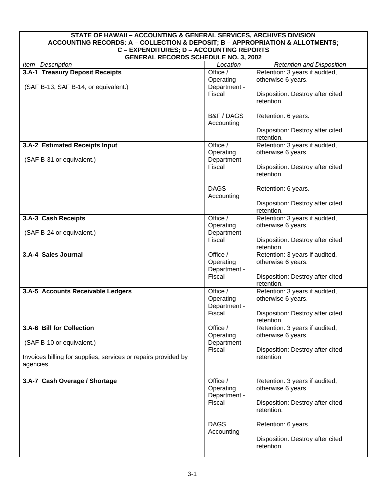<span id="page-18-0"></span>

| STATE OF HAWAII - ACCOUNTING & GENERAL SERVICES, ARCHIVES DIVISION<br>ACCOUNTING RECORDS: A - COLLECTION & DEPOSIT; B - APPROPRIATION & ALLOTMENTS;<br>C - EXPENDITURES; D - ACCOUNTING REPORTS |                                                 |                                                                                                        |  |
|-------------------------------------------------------------------------------------------------------------------------------------------------------------------------------------------------|-------------------------------------------------|--------------------------------------------------------------------------------------------------------|--|
| <b>GENERAL RECORDS SCHEDULE NO. 3, 2002</b>                                                                                                                                                     |                                                 |                                                                                                        |  |
| Item Description                                                                                                                                                                                | Location                                        | <b>Retention and Disposition</b>                                                                       |  |
| 3.A-1 Treasury Deposit Receipts<br>(SAF B-13, SAF B-14, or equivalent.)                                                                                                                         | Office /<br>Operating<br>Department -           | Retention: 3 years if audited,<br>otherwise 6 years.                                                   |  |
|                                                                                                                                                                                                 | Fiscal<br>B&F / DAGS                            | Disposition: Destroy after cited<br>retention.<br>Retention: 6 years.                                  |  |
|                                                                                                                                                                                                 | Accounting                                      | Disposition: Destroy after cited<br>retention.                                                         |  |
| 3.A-2 Estimated Receipts Input                                                                                                                                                                  | Office /<br>Operating                           | Retention: 3 years if audited,<br>otherwise 6 years.                                                   |  |
| (SAF B-31 or equivalent.)                                                                                                                                                                       | Department -<br>Fiscal                          | Disposition: Destroy after cited<br>retention.                                                         |  |
|                                                                                                                                                                                                 | <b>DAGS</b><br>Accounting                       | Retention: 6 years.                                                                                    |  |
|                                                                                                                                                                                                 |                                                 | Disposition: Destroy after cited<br>retention.                                                         |  |
| 3.A-3 Cash Receipts                                                                                                                                                                             | Office /<br>Operating                           | Retention: 3 years if audited,<br>otherwise 6 years.                                                   |  |
| (SAF B-24 or equivalent.)                                                                                                                                                                       | Department -<br>Fiscal                          | Disposition: Destroy after cited<br>retention.                                                         |  |
| 3.A-4 Sales Journal                                                                                                                                                                             | Office /<br>Operating<br>Department -<br>Fiscal | Retention: 3 years if audited,<br>otherwise 6 years.<br>Disposition: Destroy after cited<br>retention. |  |
| 3.A-5 Accounts Receivable Ledgers                                                                                                                                                               | Office /<br>Operating<br>Department -<br>Fiscal | Retention: 3 years if audited,<br>otherwise 6 years.<br>Disposition: Destroy after cited<br>retention. |  |
| 3.A-6 Bill for Collection<br>(SAF B-10 or equivalent.)                                                                                                                                          | Office /<br>Operating<br>Department -           | Retention: 3 years if audited,<br>otherwise 6 years.                                                   |  |
| Invoices billing for supplies, services or repairs provided by<br>agencies.                                                                                                                     | Fiscal                                          | Disposition: Destroy after cited<br>retention                                                          |  |
| 3.A-7 Cash Overage / Shortage                                                                                                                                                                   | Office /                                        | Retention: 3 years if audited,                                                                         |  |
|                                                                                                                                                                                                 | Operating<br>Department -<br>Fiscal             | otherwise 6 years.<br>Disposition: Destroy after cited<br>retention.                                   |  |
|                                                                                                                                                                                                 | <b>DAGS</b><br>Accounting                       | Retention: 6 years.<br>Disposition: Destroy after cited<br>retention.                                  |  |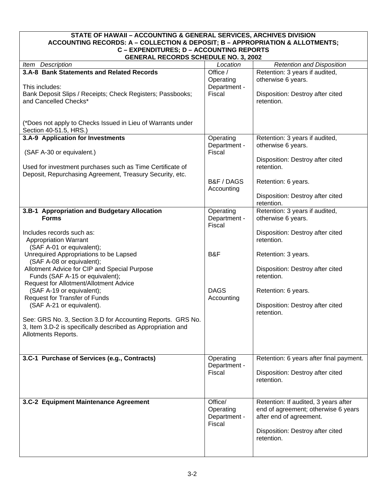#### <span id="page-19-0"></span>**STATE OF HAWAII – ACCOUNTING & GENERAL SERVICES, ARCHIVES DIVISION ACCOUNTING RECORDS: A – COLLECTION & DEPOSIT; B – APPROPRIATION & ALLOTMENTS; C – EXPENDITURES; D – ACCOUNTING REPORTS GENERAL RECORDS SCHEDULE NO. 3, 2002**

| GENERAL RECORDS SCHEDULE NO. 3, 2002                         |              |                                         |  |  |
|--------------------------------------------------------------|--------------|-----------------------------------------|--|--|
| Item Description                                             | Location     | <b>Retention and Disposition</b>        |  |  |
| 3.A-8 Bank Statements and Related Records                    | Office /     | Retention: 3 years if audited,          |  |  |
|                                                              | Operating    | otherwise 6 years.                      |  |  |
| This includes:                                               | Department - |                                         |  |  |
| Bank Deposit Slips / Receipts; Check Registers; Passbooks;   | Fiscal       | Disposition: Destroy after cited        |  |  |
|                                                              |              |                                         |  |  |
| and Cancelled Checks*                                        |              | retention.                              |  |  |
|                                                              |              |                                         |  |  |
|                                                              |              |                                         |  |  |
| (*Does not apply to Checks Issued in Lieu of Warrants under  |              |                                         |  |  |
| Section 40-51.5, HRS.)                                       |              |                                         |  |  |
| 3.A-9 Application for Investments                            | Operating    | Retention: 3 years if audited,          |  |  |
|                                                              | Department - | otherwise 6 years.                      |  |  |
|                                                              |              |                                         |  |  |
| (SAF A-30 or equivalent.)                                    | Fiscal       |                                         |  |  |
|                                                              |              | Disposition: Destroy after cited        |  |  |
| Used for investment purchases such as Time Certificate of    |              | retention.                              |  |  |
| Deposit, Repurchasing Agreement, Treasury Security, etc.     |              |                                         |  |  |
|                                                              | B&F / DAGS   | Retention: 6 years.                     |  |  |
|                                                              | Accounting   |                                         |  |  |
|                                                              |              | Disposition: Destroy after cited        |  |  |
|                                                              |              |                                         |  |  |
|                                                              |              | retention.                              |  |  |
| 3.B-1 Appropriation and Budgetary Allocation                 | Operating    | Retention: 3 years if audited,          |  |  |
| <b>Forms</b>                                                 | Department - | otherwise 6 years.                      |  |  |
|                                                              | Fiscal       |                                         |  |  |
| Includes records such as:                                    |              | Disposition: Destroy after cited        |  |  |
| <b>Appropriation Warrant</b>                                 |              | retention.                              |  |  |
| (SAF A-01 or equivalent);                                    |              |                                         |  |  |
|                                                              |              |                                         |  |  |
| Unrequired Appropriations to be Lapsed                       | B&F          | Retention: 3 years.                     |  |  |
| (SAF A-08 or equivalent);                                    |              |                                         |  |  |
| Allotment Advice for CIP and Special Purpose                 |              | Disposition: Destroy after cited        |  |  |
| Funds (SAF A-15 or equivalent);                              |              | retention.                              |  |  |
| Request for Allotment/Allotment Advice                       |              |                                         |  |  |
| (SAF A-19 or equivalent);                                    | <b>DAGS</b>  | Retention: 6 years.                     |  |  |
| Request for Transfer of Funds                                | Accounting   |                                         |  |  |
|                                                              |              | Disposition: Destroy after cited        |  |  |
| (SAF A-21 or equivalent).                                    |              |                                         |  |  |
|                                                              |              | retention.                              |  |  |
| See: GRS No. 3, Section 3.D for Accounting Reports. GRS No.  |              |                                         |  |  |
| 3, Item 3.D-2 is specifically described as Appropriation and |              |                                         |  |  |
| Allotments Reports.                                          |              |                                         |  |  |
|                                                              |              |                                         |  |  |
|                                                              |              |                                         |  |  |
|                                                              |              |                                         |  |  |
| 3.C-1 Purchase of Services (e.g., Contracts)                 | Operating    | Retention: 6 years after final payment. |  |  |
|                                                              | Department - |                                         |  |  |
|                                                              | Fiscal       | Disposition: Destroy after cited        |  |  |
|                                                              |              | retention.                              |  |  |
|                                                              |              |                                         |  |  |
|                                                              |              |                                         |  |  |
| 3.C-2 Equipment Maintenance Agreement                        | Office/      | Retention: If audited, 3 years after    |  |  |
|                                                              |              |                                         |  |  |
|                                                              | Operating    | end of agreement; otherwise 6 years     |  |  |
|                                                              | Department - | after end of agreement.                 |  |  |
|                                                              | Fiscal       |                                         |  |  |
|                                                              |              | Disposition: Destroy after cited        |  |  |
|                                                              |              | retention.                              |  |  |
|                                                              |              |                                         |  |  |
|                                                              |              |                                         |  |  |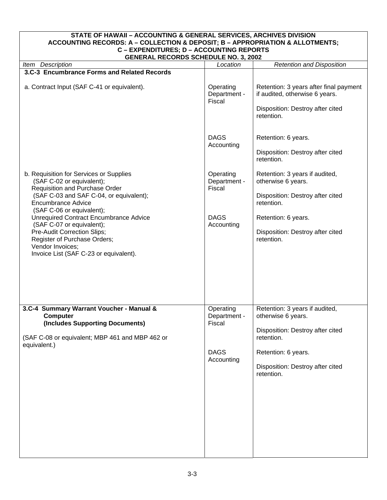<span id="page-20-0"></span>

| STATE OF HAWAII - ACCOUNTING & GENERAL SERVICES, ARCHIVES DIVISION<br>ACCOUNTING RECORDS: A - COLLECTION & DEPOSIT; B - APPROPRIATION & ALLOTMENTS;<br>C - EXPENDITURES; D - ACCOUNTING REPORTS<br><b>GENERAL RECORDS SCHEDULE NO. 3, 2002</b> |                                            |                                                                                                                            |
|------------------------------------------------------------------------------------------------------------------------------------------------------------------------------------------------------------------------------------------------|--------------------------------------------|----------------------------------------------------------------------------------------------------------------------------|
| Item Description                                                                                                                                                                                                                               | Location                                   | <b>Retention and Disposition</b>                                                                                           |
| 3.C-3 Encumbrance Forms and Related Records                                                                                                                                                                                                    |                                            |                                                                                                                            |
| a. Contract Input (SAF C-41 or equivalent).                                                                                                                                                                                                    | Operating<br>Department -<br><b>Fiscal</b> | Retention: 3 years after final payment<br>if audited, otherwise 6 years.<br>Disposition: Destroy after cited<br>retention. |
|                                                                                                                                                                                                                                                | <b>DAGS</b><br>Accounting                  | Retention: 6 years.<br>Disposition: Destroy after cited<br>retention.                                                      |
| b. Requisition for Services or Supplies<br>(SAF C-02 or equivalent);<br>Requisition and Purchase Order<br>(SAF C-03 and SAF C-04, or equivalent);<br><b>Encumbrance Advice</b>                                                                 | Operating<br>Department -<br>Fiscal        | Retention: 3 years if audited,<br>otherwise 6 years.<br>Disposition: Destroy after cited<br>retention.                     |
| (SAF C-06 or equivalent);<br><b>Unrequired Contract Encumbrance Advice</b><br>(SAF C-07 or equivalent);<br>Pre-Audit Correction Slips;<br>Register of Purchase Orders;<br>Vendor Invoices;<br>Invoice List (SAF C-23 or equivalent).           | <b>DAGS</b><br>Accounting                  | Retention: 6 years.<br>Disposition: Destroy after cited<br>retention.                                                      |
| 3.C-4 Summary Warrant Voucher - Manual &<br><b>Computer</b><br>(Includes Supporting Documents)                                                                                                                                                 | Operating<br>Department -<br>Fiscal        | Retention: 3 years if audited,<br>otherwise 6 years.<br>Disposition: Destroy after cited                                   |
| (SAF C-08 or equivalent; MBP 461 and MBP 462 or<br>equivalent.)                                                                                                                                                                                | <b>DAGS</b><br>Accounting                  | retention.<br>Retention: 6 years.<br>Disposition: Destroy after cited<br>retention.                                        |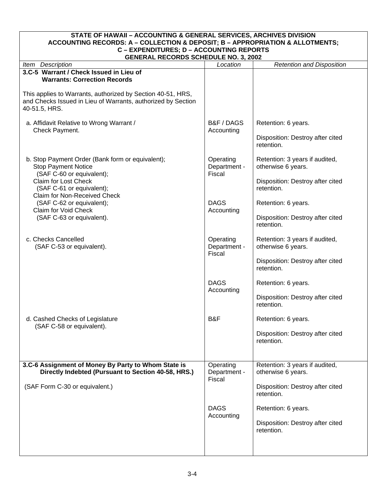<span id="page-21-0"></span>

| <b>STATE OF HAWAII - ACCOUNTING &amp; GENERAL SERVICES, ARCHIVES DIVISION</b><br>ACCOUNTING RECORDS: A - COLLECTION & DEPOSIT; B - APPROPRIATION & ALLOTMENTS; |                                     |                                                      |  |
|----------------------------------------------------------------------------------------------------------------------------------------------------------------|-------------------------------------|------------------------------------------------------|--|
| C - EXPENDITURES; D - ACCOUNTING REPORTS                                                                                                                       |                                     |                                                      |  |
| <b>GENERAL RECORDS SCHEDULE NO. 3, 2002</b><br>Item Description                                                                                                | Location                            | <b>Retention and Disposition</b>                     |  |
| 3.C-5 Warrant / Check Issued in Lieu of                                                                                                                        |                                     |                                                      |  |
| <b>Warrants: Correction Records</b>                                                                                                                            |                                     |                                                      |  |
| This applies to Warrants, authorized by Section 40-51, HRS,<br>and Checks Issued in Lieu of Warrants, authorized by Section<br>40-51.5, HRS.                   |                                     |                                                      |  |
| a. Affidavit Relative to Wrong Warrant /<br>Check Payment.                                                                                                     | B&F / DAGS<br>Accounting            | Retention: 6 years.                                  |  |
|                                                                                                                                                                |                                     | Disposition: Destroy after cited<br>retention.       |  |
| b. Stop Payment Order (Bank form or equivalent);<br><b>Stop Payment Notice</b><br>(SAF C-60 or equivalent);                                                    | Operating<br>Department -<br>Fiscal | Retention: 3 years if audited,<br>otherwise 6 years. |  |
| <b>Claim for Lost Check</b><br>(SAF C-61 or equivalent);<br>Claim for Non-Received Check                                                                       |                                     | Disposition: Destroy after cited<br>retention.       |  |
| (SAF C-62 or equivalent);<br>Claim for Void Check                                                                                                              | <b>DAGS</b><br>Accounting           | Retention: 6 years.                                  |  |
| (SAF C-63 or equivalent).                                                                                                                                      |                                     | Disposition: Destroy after cited<br>retention.       |  |
| c. Checks Cancelled<br>(SAF C-53 or equivalent).                                                                                                               | Operating<br>Department -<br>Fiscal | Retention: 3 years if audited,<br>otherwise 6 years. |  |
|                                                                                                                                                                |                                     | Disposition: Destroy after cited<br>retention.       |  |
|                                                                                                                                                                | <b>DAGS</b><br>Accounting           | Retention: 6 years.                                  |  |
|                                                                                                                                                                |                                     | Disposition: Destroy after cited<br>retention.       |  |
| d. Cashed Checks of Legislature<br>(SAF C-58 or equivalent).                                                                                                   | B&F                                 | Retention: 6 years.                                  |  |
|                                                                                                                                                                |                                     | Disposition: Destroy after cited<br>retention.       |  |
|                                                                                                                                                                |                                     |                                                      |  |
| 3.C-6 Assignment of Money By Party to Whom State is<br>Directly Indebted (Pursuant to Section 40-58, HRS.)                                                     | Operating<br>Department -<br>Fiscal | Retention: 3 years if audited,<br>otherwise 6 years. |  |
| (SAF Form C-30 or equivalent.)                                                                                                                                 |                                     | Disposition: Destroy after cited<br>retention.       |  |
|                                                                                                                                                                | <b>DAGS</b><br>Accounting           | Retention: 6 years.                                  |  |
|                                                                                                                                                                |                                     | Disposition: Destroy after cited<br>retention.       |  |
|                                                                                                                                                                |                                     |                                                      |  |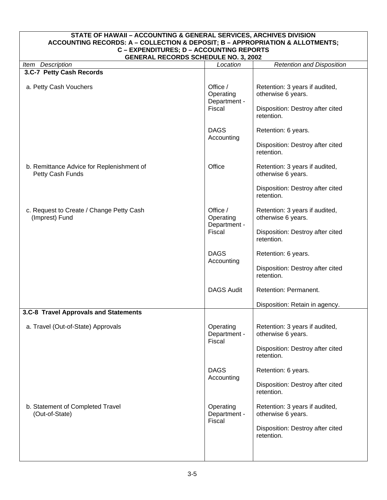<span id="page-22-0"></span>

| STATE OF HAWAII - ACCOUNTING & GENERAL SERVICES, ARCHIVES DIVISION<br>ACCOUNTING RECORDS: A - COLLECTION & DEPOSIT; B - APPROPRIATION & ALLOTMENTS; |                                                 |                                                                                                        |  |  |
|-----------------------------------------------------------------------------------------------------------------------------------------------------|-------------------------------------------------|--------------------------------------------------------------------------------------------------------|--|--|
| C - EXPENDITURES; D - ACCOUNTING REPORTS<br><b>GENERAL RECORDS SCHEDULE NO. 3, 2002</b>                                                             |                                                 |                                                                                                        |  |  |
| <b>Retention and Disposition</b><br>Item Description<br>Location                                                                                    |                                                 |                                                                                                        |  |  |
| 3.C-7 Petty Cash Records                                                                                                                            |                                                 |                                                                                                        |  |  |
| a. Petty Cash Vouchers                                                                                                                              | Office /<br>Operating<br>Department -<br>Fiscal | Retention: 3 years if audited,<br>otherwise 6 years.<br>Disposition: Destroy after cited<br>retention. |  |  |
|                                                                                                                                                     | <b>DAGS</b><br>Accounting                       | Retention: 6 years.<br>Disposition: Destroy after cited<br>retention.                                  |  |  |
| b. Remittance Advice for Replenishment of<br>Petty Cash Funds                                                                                       | Office                                          | Retention: 3 years if audited,<br>otherwise 6 years.<br>Disposition: Destroy after cited<br>retention. |  |  |
| c. Request to Create / Change Petty Cash<br>(Imprest) Fund                                                                                          | Office /<br>Operating<br>Department -<br>Fiscal | Retention: 3 years if audited,<br>otherwise 6 years.<br>Disposition: Destroy after cited<br>retention. |  |  |
|                                                                                                                                                     | <b>DAGS</b><br>Accounting                       | Retention: 6 years.<br>Disposition: Destroy after cited<br>retention.                                  |  |  |
|                                                                                                                                                     | <b>DAGS Audit</b>                               | Retention: Permanent.                                                                                  |  |  |
|                                                                                                                                                     |                                                 | Disposition: Retain in agency.                                                                         |  |  |
| 3.C-8 Travel Approvals and Statements<br>a. Travel (Out-of-State) Approvals                                                                         | Operating<br>Department -<br>Fiscal             | Retention: 3 years if audited,<br>otherwise 6 years.<br>Disposition: Destroy after cited<br>retention. |  |  |
|                                                                                                                                                     | <b>DAGS</b><br>Accounting                       | Retention: 6 years.<br>Disposition: Destroy after cited<br>retention.                                  |  |  |
| b. Statement of Completed Travel<br>(Out-of-State)                                                                                                  | Operating<br>Department -<br>Fiscal             | Retention: 3 years if audited,<br>otherwise 6 years.<br>Disposition: Destroy after cited<br>retention. |  |  |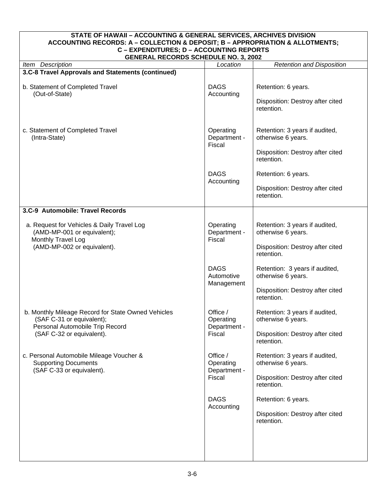<span id="page-23-0"></span>

| STATE OF HAWAII - ACCOUNTING & GENERAL SERVICES, ARCHIVES DIVISION<br>ACCOUNTING RECORDS: A - COLLECTION & DEPOSIT; B - APPROPRIATION & ALLOTMENTS; |                                                 |                                                         |  |
|-----------------------------------------------------------------------------------------------------------------------------------------------------|-------------------------------------------------|---------------------------------------------------------|--|
| C - EXPENDITURES; D - ACCOUNTING REPORTS<br><b>GENERAL RECORDS SCHEDULE NO. 3, 2002</b>                                                             |                                                 |                                                         |  |
| Item Description                                                                                                                                    | Location                                        | <b>Retention and Disposition</b>                        |  |
| 3.C-8 Travel Approvals and Statements (continued)                                                                                                   |                                                 |                                                         |  |
| b. Statement of Completed Travel<br>(Out-of-State)                                                                                                  | <b>DAGS</b><br>Accounting                       | Retention: 6 years.<br>Disposition: Destroy after cited |  |
|                                                                                                                                                     |                                                 | retention.                                              |  |
| c. Statement of Completed Travel<br>(Intra-State)                                                                                                   | Operating<br>Department -<br>Fiscal             | Retention: 3 years if audited,<br>otherwise 6 years.    |  |
|                                                                                                                                                     |                                                 | Disposition: Destroy after cited<br>retention.          |  |
|                                                                                                                                                     | <b>DAGS</b><br>Accounting                       | Retention: 6 years.<br>Disposition: Destroy after cited |  |
|                                                                                                                                                     |                                                 | retention.                                              |  |
| 3.C-9 Automobile: Travel Records                                                                                                                    |                                                 |                                                         |  |
| a. Request for Vehicles & Daily Travel Log<br>(AMD-MP-001 or equivalent);<br>Monthly Travel Log                                                     | Operating<br>Department -<br>Fiscal             | Retention: 3 years if audited,<br>otherwise 6 years.    |  |
| (AMD-MP-002 or equivalent).                                                                                                                         |                                                 | Disposition: Destroy after cited<br>retention.          |  |
|                                                                                                                                                     | <b>DAGS</b><br>Automotive<br>Management         | Retention: 3 years if audited,<br>otherwise 6 years.    |  |
|                                                                                                                                                     |                                                 | Disposition: Destroy after cited<br>retention.          |  |
| b. Monthly Mileage Record for State Owned Vehicles<br>(SAF C-31 or equivalent);<br>Personal Automobile Trip Record                                  | Office /<br>Operating<br>Department -           | Retention: 3 years if audited,<br>otherwise 6 years.    |  |
| (SAF C-32 or equivalent).                                                                                                                           | Fiscal                                          | Disposition: Destroy after cited<br>retention.          |  |
| c. Personal Automobile Mileage Voucher &<br><b>Supporting Documents</b><br>(SAF C-33 or equivalent).                                                | Office /<br>Operating<br>Department -<br>Fiscal | Retention: 3 years if audited,<br>otherwise 6 years.    |  |
|                                                                                                                                                     |                                                 | Disposition: Destroy after cited<br>retention.          |  |
|                                                                                                                                                     | <b>DAGS</b><br>Accounting                       | Retention: 6 years.                                     |  |
|                                                                                                                                                     |                                                 | Disposition: Destroy after cited<br>retention.          |  |
|                                                                                                                                                     |                                                 |                                                         |  |
|                                                                                                                                                     |                                                 |                                                         |  |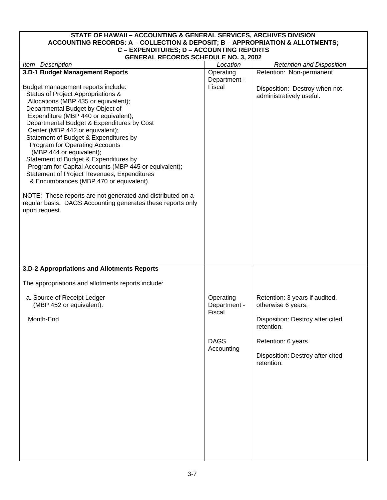#### <span id="page-24-0"></span>**STATE OF HAWAII – ACCOUNTING & GENERAL SERVICES, ARCHIVES DIVISION ACCOUNTING RECORDS: A – COLLECTION & DEPOSIT; B – APPROPRIATION & ALLOTMENTS; C – EXPENDITURES; D – ACCOUNTING REPORTS GENERAL RECORDS SCHEDULE NO. 3, 2002**

| <b>GENERAL RECORDS SCHEDULE NO. 3, 2002</b>                 |              |                                  |
|-------------------------------------------------------------|--------------|----------------------------------|
| Item Description                                            | Location     | <b>Retention and Disposition</b> |
| 3.D-1 Budget Management Reports                             | Operating    | Retention: Non-permanent         |
|                                                             | Department - |                                  |
| Budget management reports include:                          | Fiscal       | Disposition: Destroy when not    |
| Status of Project Appropriations &                          |              | administratively useful.         |
| Allocations (MBP 435 or equivalent);                        |              |                                  |
| Departmental Budget by Object of                            |              |                                  |
| Expenditure (MBP 440 or equivalent);                        |              |                                  |
| Departmental Budget & Expenditures by Cost                  |              |                                  |
| Center (MBP 442 or equivalent);                             |              |                                  |
| Statement of Budget & Expenditures by                       |              |                                  |
| Program for Operating Accounts                              |              |                                  |
| (MBP 444 or equivalent);                                    |              |                                  |
| Statement of Budget & Expenditures by                       |              |                                  |
| Program for Capital Accounts (MBP 445 or equivalent);       |              |                                  |
| Statement of Project Revenues, Expenditures                 |              |                                  |
| & Encumbrances (MBP 470 or equivalent).                     |              |                                  |
|                                                             |              |                                  |
| NOTE: These reports are not generated and distributed on a  |              |                                  |
| regular basis. DAGS Accounting generates these reports only |              |                                  |
| upon request.                                               |              |                                  |
|                                                             |              |                                  |
|                                                             |              |                                  |
|                                                             |              |                                  |
|                                                             |              |                                  |
|                                                             |              |                                  |
|                                                             |              |                                  |
|                                                             |              |                                  |
| 3.D-2 Appropriations and Allotments Reports                 |              |                                  |
|                                                             |              |                                  |
| The appropriations and allotments reports include:          |              |                                  |
|                                                             |              |                                  |
| a. Source of Receipt Ledger                                 | Operating    | Retention: 3 years if audited,   |
| (MBP 452 or equivalent).                                    | Department - | otherwise 6 years.               |
|                                                             | Fiscal       |                                  |
| Month-End                                                   |              | Disposition: Destroy after cited |
|                                                             |              | retention.                       |
|                                                             |              |                                  |
|                                                             | <b>DAGS</b>  | Retention: 6 years.              |
|                                                             | Accounting   |                                  |
|                                                             |              | Disposition: Destroy after cited |
|                                                             |              | retention.                       |
|                                                             |              |                                  |
|                                                             |              |                                  |
|                                                             |              |                                  |
|                                                             |              |                                  |
|                                                             |              |                                  |
|                                                             |              |                                  |
|                                                             |              |                                  |
|                                                             |              |                                  |
|                                                             |              |                                  |
|                                                             |              |                                  |
|                                                             |              |                                  |
|                                                             |              |                                  |
|                                                             |              |                                  |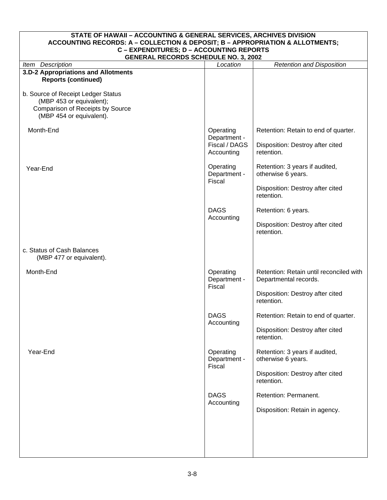| STATE OF HAWAII - ACCOUNTING & GENERAL SERVICES, ARCHIVES DIVISION<br>ACCOUNTING RECORDS: A - COLLECTION & DEPOSIT; B - APPROPRIATION & ALLOTMENTS; |                                     |                                                                  |  |
|-----------------------------------------------------------------------------------------------------------------------------------------------------|-------------------------------------|------------------------------------------------------------------|--|
| <b>C - EXPENDITURES; D - ACCOUNTING REPORTS</b><br><b>GENERAL RECORDS SCHEDULE NO. 3, 2002</b>                                                      |                                     |                                                                  |  |
| Item Description                                                                                                                                    | Location                            | <b>Retention and Disposition</b>                                 |  |
| 3.D-2 Appropriations and Allotments<br><b>Reports (continued)</b>                                                                                   |                                     |                                                                  |  |
| b. Source of Receipt Ledger Status<br>(MBP 453 or equivalent);<br>Comparison of Receipts by Source<br>(MBP 454 or equivalent).                      |                                     |                                                                  |  |
| Month-End                                                                                                                                           | Operating<br>Department -           | Retention: Retain to end of quarter.                             |  |
|                                                                                                                                                     | Fiscal / DAGS<br>Accounting         | Disposition: Destroy after cited<br>retention.                   |  |
| Year-End                                                                                                                                            | Operating<br>Department -           | Retention: 3 years if audited,<br>otherwise 6 years.             |  |
|                                                                                                                                                     | Fiscal                              | Disposition: Destroy after cited<br>retention.                   |  |
|                                                                                                                                                     | <b>DAGS</b><br>Accounting           | Retention: 6 years.                                              |  |
|                                                                                                                                                     |                                     | Disposition: Destroy after cited<br>retention.                   |  |
| c. Status of Cash Balances<br>(MBP 477 or equivalent).                                                                                              |                                     |                                                                  |  |
| Month-End                                                                                                                                           | Operating<br>Department -<br>Fiscal | Retention: Retain until reconciled with<br>Departmental records. |  |
|                                                                                                                                                     |                                     | Disposition: Destroy after cited<br>retention.                   |  |
|                                                                                                                                                     | <b>DAGS</b><br>Accounting           | Retention: Retain to end of quarter.                             |  |
|                                                                                                                                                     |                                     | Disposition: Destroy after cited<br>retention.                   |  |
| Year-End                                                                                                                                            | Operating<br>Department -<br>Fiscal | Retention: 3 years if audited,<br>otherwise 6 years.             |  |
|                                                                                                                                                     |                                     | Disposition: Destroy after cited<br>retention.                   |  |
|                                                                                                                                                     | <b>DAGS</b><br>Accounting           | Retention: Permanent.                                            |  |
|                                                                                                                                                     |                                     | Disposition: Retain in agency.                                   |  |
|                                                                                                                                                     |                                     |                                                                  |  |
|                                                                                                                                                     |                                     |                                                                  |  |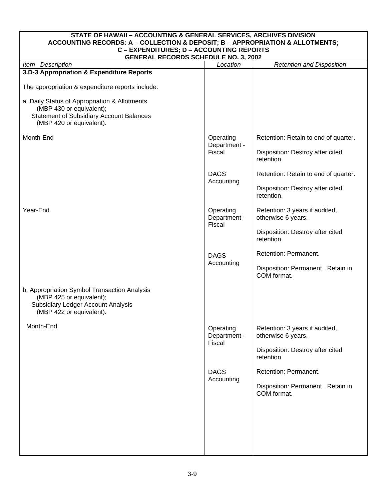#### <span id="page-26-0"></span>**STATE OF HAWAII – ACCOUNTING & GENERAL SERVICES, ARCHIVES DIVISION ACCOUNTING RECORDS: A – COLLECTION & DEPOSIT; B – APPROPRIATION & ALLOTMENTS; C – EXPENDITURES; D – ACCOUNTING REPORTS GENERAL RECORDS SCHEDULE NO. 3, 2002**  *Item Description* **Location** *Location Retention and Disposition Location Retention and Disposition* **3.D-3 Appropriation & Expenditure Reports**  The appropriation & expenditure reports include: a. Daily Status of Appropriation & Allotments (MBP 430 or equivalent); Statement of Subsidiary Account Balances (MBP 420 or equivalent). Month-End Year-End b. Appropriation Symbol Transaction Analysis (MBP 425 or equivalent); Subsidiary Ledger Account Analysis (MBP 422 or equivalent). Month-End **Operating** Department - Fiscal DAGS Accounting **Operating** Department - Fiscal DAGS Accounting **Operating** Department - Fiscal DAGS Accounting Retention: Retain to end of quarter. Disposition: Destroy after cited retention. Retention: Retain to end of quarter. Disposition: Destroy after cited retention. Retention: 3 years if audited, otherwise 6 years. Disposition: Destroy after cited retention. Retention: Permanent. Disposition: Permanent. Retain in COM format. Retention: 3 years if audited, otherwise 6 years. Disposition: Destroy after cited retention. Retention: Permanent. Disposition: Permanent. Retain in COM format.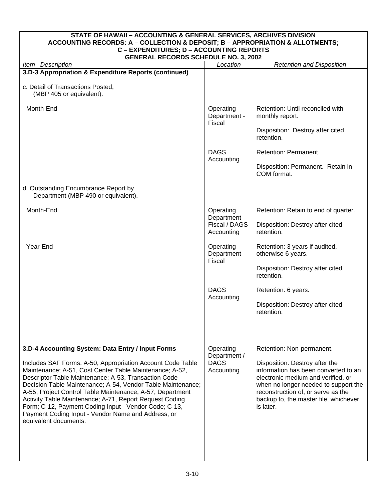<span id="page-27-0"></span>

| STATE OF HAWAII - ACCOUNTING & GENERAL SERVICES, ARCHIVES DIVISION<br>ACCOUNTING RECORDS: A - COLLECTION & DEPOSIT; B - APPROPRIATION & ALLOTMENTS;                                                                                                                                                                                                                                                                                                                                                                                      |                                                        |                                                                                                                                                                                                                                                                               |  |
|------------------------------------------------------------------------------------------------------------------------------------------------------------------------------------------------------------------------------------------------------------------------------------------------------------------------------------------------------------------------------------------------------------------------------------------------------------------------------------------------------------------------------------------|--------------------------------------------------------|-------------------------------------------------------------------------------------------------------------------------------------------------------------------------------------------------------------------------------------------------------------------------------|--|
| C - EXPENDITURES; D - ACCOUNTING REPORTS<br><b>GENERAL RECORDS SCHEDULE NO. 3, 2002</b>                                                                                                                                                                                                                                                                                                                                                                                                                                                  |                                                        |                                                                                                                                                                                                                                                                               |  |
| Item Description                                                                                                                                                                                                                                                                                                                                                                                                                                                                                                                         | Location                                               | <b>Retention and Disposition</b>                                                                                                                                                                                                                                              |  |
| 3.D-3 Appropriation & Expenditure Reports (continued)                                                                                                                                                                                                                                                                                                                                                                                                                                                                                    |                                                        |                                                                                                                                                                                                                                                                               |  |
| c. Detail of Transactions Posted,<br>(MBP 405 or equivalent).                                                                                                                                                                                                                                                                                                                                                                                                                                                                            |                                                        |                                                                                                                                                                                                                                                                               |  |
| Month-End                                                                                                                                                                                                                                                                                                                                                                                                                                                                                                                                | Operating<br>Department -<br>Fiscal                    | Retention: Until reconciled with<br>monthly report.                                                                                                                                                                                                                           |  |
|                                                                                                                                                                                                                                                                                                                                                                                                                                                                                                                                          |                                                        | Disposition: Destroy after cited<br>retention.                                                                                                                                                                                                                                |  |
|                                                                                                                                                                                                                                                                                                                                                                                                                                                                                                                                          | <b>DAGS</b><br>Accounting                              | Retention: Permanent.                                                                                                                                                                                                                                                         |  |
|                                                                                                                                                                                                                                                                                                                                                                                                                                                                                                                                          |                                                        | Disposition: Permanent. Retain in<br>COM format.                                                                                                                                                                                                                              |  |
| d. Outstanding Encumbrance Report by<br>Department (MBP 490 or equivalent).                                                                                                                                                                                                                                                                                                                                                                                                                                                              |                                                        |                                                                                                                                                                                                                                                                               |  |
| Month-End                                                                                                                                                                                                                                                                                                                                                                                                                                                                                                                                | Operating<br>Department -                              | Retention: Retain to end of quarter.                                                                                                                                                                                                                                          |  |
|                                                                                                                                                                                                                                                                                                                                                                                                                                                                                                                                          | Fiscal / DAGS<br>Accounting                            | Disposition: Destroy after cited<br>retention.                                                                                                                                                                                                                                |  |
| Year-End                                                                                                                                                                                                                                                                                                                                                                                                                                                                                                                                 | Operating<br>Department-<br>Fiscal                     | Retention: 3 years if audited,<br>otherwise 6 years.                                                                                                                                                                                                                          |  |
|                                                                                                                                                                                                                                                                                                                                                                                                                                                                                                                                          |                                                        | Disposition: Destroy after cited<br>retention.                                                                                                                                                                                                                                |  |
|                                                                                                                                                                                                                                                                                                                                                                                                                                                                                                                                          | <b>DAGS</b><br>Accounting                              | Retention: 6 years.                                                                                                                                                                                                                                                           |  |
|                                                                                                                                                                                                                                                                                                                                                                                                                                                                                                                                          |                                                        | Disposition: Destroy after cited<br>retention.                                                                                                                                                                                                                                |  |
|                                                                                                                                                                                                                                                                                                                                                                                                                                                                                                                                          |                                                        |                                                                                                                                                                                                                                                                               |  |
| 3.D-4 Accounting System: Data Entry / Input Forms<br>Includes SAF Forms: A-50, Appropriation Account Code Table<br>Maintenance; A-51, Cost Center Table Maintenance; A-52,<br>Descriptor Table Maintenance; A-53, Transaction Code<br>Decision Table Maintenance; A-54, Vendor Table Maintenance;<br>A-55, Project Control Table Maintenance; A-57, Department<br>Activity Table Maintenance; A-71, Report Request Coding<br>Form; C-12, Payment Coding Input - Vendor Code; C-13,<br>Payment Coding Input - Vendor Name and Address; or | Operating<br>Department /<br><b>DAGS</b><br>Accounting | Retention: Non-permanent.<br>Disposition: Destroy after the<br>information has been converted to an<br>electronic medium and verified, or<br>when no longer needed to support the<br>reconstruction of, or serve as the<br>backup to, the master file, whichever<br>is later. |  |
| equivalent documents.                                                                                                                                                                                                                                                                                                                                                                                                                                                                                                                    |                                                        |                                                                                                                                                                                                                                                                               |  |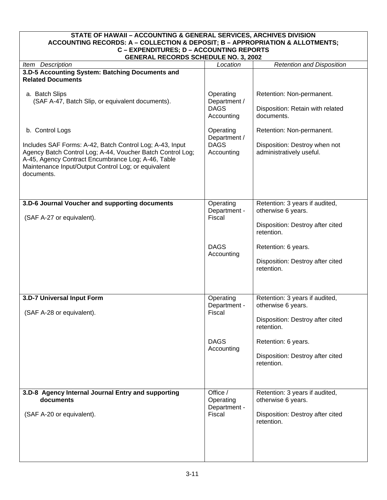<span id="page-28-0"></span>

| STATE OF HAWAII - ACCOUNTING & GENERAL SERVICES, ARCHIVES DIVISION<br>ACCOUNTING RECORDS: A - COLLECTION & DEPOSIT; B - APPROPRIATION & ALLOTMENTS;                                                                                                                  |                                                        |                                                                                                        |  |
|----------------------------------------------------------------------------------------------------------------------------------------------------------------------------------------------------------------------------------------------------------------------|--------------------------------------------------------|--------------------------------------------------------------------------------------------------------|--|
| C - EXPENDITURES; D - ACCOUNTING REPORTS<br><b>GENERAL RECORDS SCHEDULE NO. 3, 2002</b>                                                                                                                                                                              |                                                        |                                                                                                        |  |
| Item Description                                                                                                                                                                                                                                                     | Location                                               | <b>Retention and Disposition</b>                                                                       |  |
| 3.D-5 Accounting System: Batching Documents and<br><b>Related Documents</b>                                                                                                                                                                                          |                                                        |                                                                                                        |  |
| a. Batch Slips<br>(SAF A-47, Batch Slip, or equivalent documents).                                                                                                                                                                                                   | Operating<br>Department /<br><b>DAGS</b><br>Accounting | Retention: Non-permanent.<br>Disposition: Retain with related<br>documents.                            |  |
| b. Control Logs<br>Includes SAF Forms: A-42, Batch Control Log; A-43, Input<br>Agency Batch Control Log; A-44, Voucher Batch Control Log;<br>A-45, Agency Contract Encumbrance Log; A-46, Table<br>Maintenance Input/Output Control Log; or equivalent<br>documents. | Operating<br>Department /<br><b>DAGS</b><br>Accounting | Retention: Non-permanent.<br>Disposition: Destroy when not<br>administratively useful.                 |  |
| 3.D-6 Journal Voucher and supporting documents<br>(SAF A-27 or equivalent).                                                                                                                                                                                          | Operating<br>Department -<br>Fiscal                    | Retention: 3 years if audited,<br>otherwise 6 years.<br>Disposition: Destroy after cited<br>retention. |  |
|                                                                                                                                                                                                                                                                      | <b>DAGS</b><br>Accounting                              | Retention: 6 years.<br>Disposition: Destroy after cited<br>retention.                                  |  |
| 3.D-7 Universal Input Form<br>(SAF A-28 or equivalent).                                                                                                                                                                                                              | Operating<br>Department -<br>Fiscal                    | Retention: 3 years if audited,<br>otherwise 6 years.<br>Disposition: Destroy after cited<br>retention. |  |
|                                                                                                                                                                                                                                                                      | <b>DAGS</b><br>Accounting                              | Retention: 6 years.<br>Disposition: Destroy after cited<br>retention.                                  |  |
| 3.D-8 Agency Internal Journal Entry and supporting<br>documents<br>(SAF A-20 or equivalent).                                                                                                                                                                         | Office /<br>Operating<br>Department -<br>Fiscal        | Retention: 3 years if audited,<br>otherwise 6 years.<br>Disposition: Destroy after cited<br>retention. |  |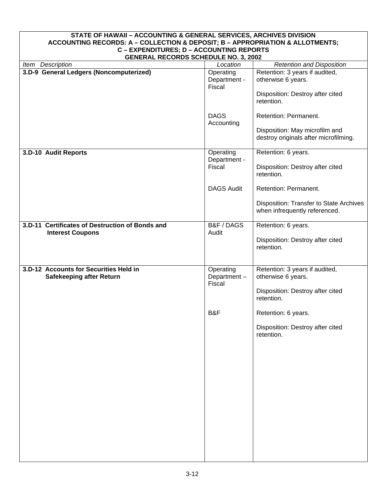<span id="page-29-0"></span>

| STATE OF HAWAII - ACCOUNTING & GENERAL SERVICES, ARCHIVES DIVISION<br>ACCOUNTING RECORDS: A - COLLECTION & DEPOSIT; B - APPROPRIATION & ALLOTMENTS;<br>C - EXPENDITURES; D - ACCOUNTING REPORTS<br><b>GENERAL RECORDS SCHEDULE NO. 3, 2002</b> |                                           |                                                                                                                               |
|------------------------------------------------------------------------------------------------------------------------------------------------------------------------------------------------------------------------------------------------|-------------------------------------------|-------------------------------------------------------------------------------------------------------------------------------|
| Item Description                                                                                                                                                                                                                               | Location                                  | <b>Retention and Disposition</b>                                                                                              |
| 3.D-9 General Ledgers (Noncomputerized)                                                                                                                                                                                                        | Operating<br>Department -<br>Fiscal       | Retention: 3 years if audited,<br>otherwise 6 years.<br>Disposition: Destroy after cited<br>retention.                        |
|                                                                                                                                                                                                                                                | <b>DAGS</b><br>Accounting                 | Retention: Permanent.<br>Disposition: May microfilm and<br>destroy originals after microfilming.                              |
| 3.D-10 Audit Reports                                                                                                                                                                                                                           | Operating<br>Department -<br>Fiscal       | Retention: 6 years.<br>Disposition: Destroy after cited<br>retention.                                                         |
|                                                                                                                                                                                                                                                | <b>DAGS Audit</b>                         | Retention: Permanent.<br>Disposition: Transfer to State Archives<br>when infrequently referenced.                             |
| 3.D-11 Certificates of Destruction of Bonds and<br><b>Interest Coupons</b>                                                                                                                                                                     | B&F/DAGS<br>Audit                         | Retention: 6 years.<br>Disposition: Destroy after cited<br>retention.                                                         |
| 3.D-12 Accounts for Securities Held in<br><b>Safekeeping after Return</b>                                                                                                                                                                      | Operating<br>Department-<br>Fiscal<br>B&F | Retention: 3 years if audited,<br>otherwise 6 years.<br>Disposition: Destroy after cited<br>retention.<br>Retention: 6 years. |
|                                                                                                                                                                                                                                                |                                           | Disposition: Destroy after cited<br>retention.                                                                                |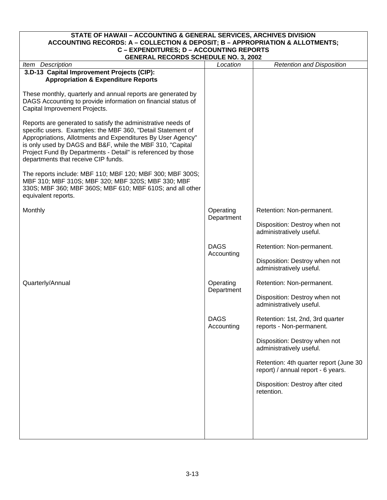#### <span id="page-30-0"></span>**STATE OF HAWAII – ACCOUNTING & GENERAL SERVICES, ARCHIVES DIVISION ACCOUNTING RECORDS: A – COLLECTION & DEPOSIT; B – APPROPRIATION & ALLOTMENTS; C – EXPENDITURES; D – ACCOUNTING REPORTS GENERAL RECORDS SCHEDULE NO. 3, 2002**

| <b>GENERAL RECORDS SCHEDULE NO. 3, 2002</b>                                                                                                                                                                                                                                                                                                                    |                           |                                                                              |
|----------------------------------------------------------------------------------------------------------------------------------------------------------------------------------------------------------------------------------------------------------------------------------------------------------------------------------------------------------------|---------------------------|------------------------------------------------------------------------------|
| Item Description                                                                                                                                                                                                                                                                                                                                               | Location                  | <b>Retention and Disposition</b>                                             |
| 3.D-13 Capital Improvement Projects (CIP):                                                                                                                                                                                                                                                                                                                     |                           |                                                                              |
| <b>Appropriation &amp; Expenditure Reports</b>                                                                                                                                                                                                                                                                                                                 |                           |                                                                              |
| These monthly, quarterly and annual reports are generated by<br>DAGS Accounting to provide information on financial status of<br>Capital Improvement Projects.                                                                                                                                                                                                 |                           |                                                                              |
| Reports are generated to satisfy the administrative needs of<br>specific users. Examples: the MBF 360, "Detail Statement of<br>Appropriations, Allotments and Expenditures By User Agency"<br>is only used by DAGS and B&F, while the MBF 310, "Capital<br>Project Fund By Departments - Detail" is referenced by those<br>departments that receive CIP funds. |                           |                                                                              |
| The reports include: MBF 110; MBF 120; MBF 300; MBF 300S;<br>MBF 310; MBF 310S; MBF 320; MBF 320S; MBF 330; MBF<br>330S; MBF 360; MBF 360S; MBF 610; MBF 610S; and all other<br>equivalent reports.                                                                                                                                                            |                           |                                                                              |
| Monthly                                                                                                                                                                                                                                                                                                                                                        | Operating<br>Department   | Retention: Non-permanent.                                                    |
|                                                                                                                                                                                                                                                                                                                                                                |                           | Disposition: Destroy when not<br>administratively useful.                    |
|                                                                                                                                                                                                                                                                                                                                                                | <b>DAGS</b><br>Accounting | Retention: Non-permanent.                                                    |
|                                                                                                                                                                                                                                                                                                                                                                |                           | Disposition: Destroy when not<br>administratively useful.                    |
| Quarterly/Annual                                                                                                                                                                                                                                                                                                                                               | Operating                 | Retention: Non-permanent.                                                    |
|                                                                                                                                                                                                                                                                                                                                                                | Department                | Disposition: Destroy when not<br>administratively useful.                    |
|                                                                                                                                                                                                                                                                                                                                                                | <b>DAGS</b><br>Accounting | Retention: 1st, 2nd, 3rd quarter<br>reports - Non-permanent.                 |
|                                                                                                                                                                                                                                                                                                                                                                |                           | Disposition: Destroy when not<br>administratively useful.                    |
|                                                                                                                                                                                                                                                                                                                                                                |                           | Retention: 4th quarter report (June 30<br>report) / annual report - 6 years. |
|                                                                                                                                                                                                                                                                                                                                                                |                           | Disposition: Destroy after cited<br>retention.                               |
|                                                                                                                                                                                                                                                                                                                                                                |                           |                                                                              |
|                                                                                                                                                                                                                                                                                                                                                                |                           |                                                                              |
|                                                                                                                                                                                                                                                                                                                                                                |                           |                                                                              |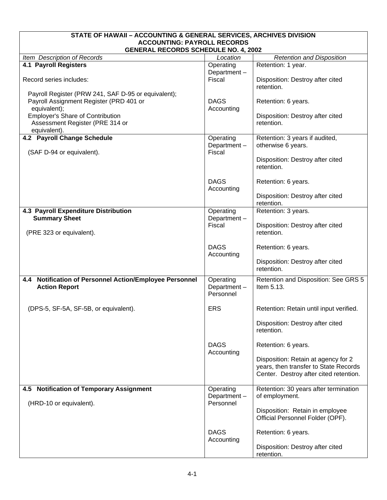<span id="page-31-0"></span>

| STATE OF HAWAII - ACCOUNTING & GENERAL SERVICES, ARCHIVES DIVISION                |                                       |                                                                                                                        |  |
|-----------------------------------------------------------------------------------|---------------------------------------|------------------------------------------------------------------------------------------------------------------------|--|
| <b>ACCOUNTING: PAYROLL RECORDS</b><br><b>GENERAL RECORDS SCHEDULE NO. 4, 2002</b> |                                       |                                                                                                                        |  |
| Item Description of Records                                                       | Location                              | <b>Retention and Disposition</b>                                                                                       |  |
| <b>4.1 Payroll Registers</b>                                                      | Operating                             | Retention: 1 year.                                                                                                     |  |
|                                                                                   | Department-                           |                                                                                                                        |  |
| Record series includes:                                                           | Fiscal                                | Disposition: Destroy after cited<br>retention.                                                                         |  |
| Payroll Register (PRW 241, SAF D-95 or equivalent);                               |                                       |                                                                                                                        |  |
| Payroll Assignment Register (PRD 401 or                                           | <b>DAGS</b>                           | Retention: 6 years.                                                                                                    |  |
| equivalent);<br>Employer's Share of Contribution                                  | Accounting                            | Disposition: Destroy after cited                                                                                       |  |
| Assessment Register (PRE 314 or                                                   |                                       | retention.                                                                                                             |  |
| equivalent).                                                                      |                                       |                                                                                                                        |  |
| 4.2 Payroll Change Schedule                                                       | Operating                             | Retention: 3 years if audited,                                                                                         |  |
| (SAF D-94 or equivalent).                                                         | Department-<br>Fiscal                 | otherwise 6 years.                                                                                                     |  |
|                                                                                   |                                       | Disposition: Destroy after cited<br>retention.                                                                         |  |
|                                                                                   | <b>DAGS</b><br>Accounting             | Retention: 6 years.                                                                                                    |  |
|                                                                                   |                                       | Disposition: Destroy after cited<br>retention.                                                                         |  |
| 4.3 Payroll Expenditure Distribution                                              | Operating                             | Retention: 3 years.                                                                                                    |  |
| <b>Summary Sheet</b>                                                              | Department-<br>Fiscal                 | Disposition: Destroy after cited                                                                                       |  |
| (PRE 323 or equivalent).                                                          |                                       | retention.                                                                                                             |  |
|                                                                                   | <b>DAGS</b><br>Accounting             | Retention: 6 years.                                                                                                    |  |
|                                                                                   |                                       | Disposition: Destroy after cited<br>retention.                                                                         |  |
| 4.4 Notification of Personnel Action/Employee Personnel<br><b>Action Report</b>   | Operating<br>Department-<br>Personnel | Retention and Disposition: See GRS 5<br>Item 5.13.                                                                     |  |
| (DPS-5, SF-5A, SF-5B, or equivalent).                                             | <b>ERS</b>                            | Retention: Retain until input verified.                                                                                |  |
|                                                                                   |                                       | Disposition: Destroy after cited<br>retention.                                                                         |  |
|                                                                                   | <b>DAGS</b><br>Accounting             | Retention: 6 years.                                                                                                    |  |
|                                                                                   |                                       | Disposition: Retain at agency for 2<br>years, then transfer to State Records<br>Center. Destroy after cited retention. |  |
| 4.5 Notification of Temporary Assignment                                          | Operating<br>Department-              | Retention: 30 years after termination<br>of employment.                                                                |  |
| (HRD-10 or equivalent).                                                           | Personnel                             | Disposition: Retain in employee<br>Official Personnel Folder (OPF).                                                    |  |
|                                                                                   | <b>DAGS</b><br>Accounting             | Retention: 6 years.                                                                                                    |  |
|                                                                                   |                                       | Disposition: Destroy after cited<br>retention.                                                                         |  |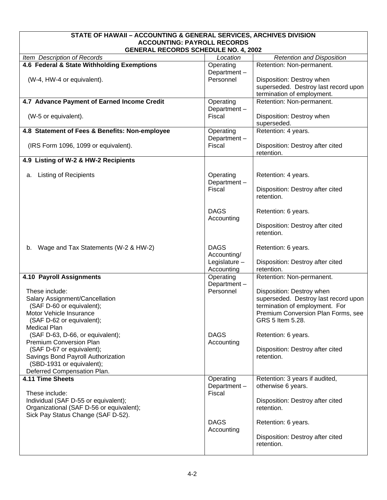<span id="page-32-0"></span>

| STATE OF HAWAII - ACCOUNTING & GENERAL SERVICES, ARCHIVES DIVISION                |                               |                                                        |
|-----------------------------------------------------------------------------------|-------------------------------|--------------------------------------------------------|
| <b>ACCOUNTING: PAYROLL RECORDS</b><br><b>GENERAL RECORDS SCHEDULE NO. 4, 2002</b> |                               |                                                        |
| Item Description of Records                                                       | Location                      | <b>Retention and Disposition</b>                       |
| 4.6 Federal & State Withholding Exemptions                                        | Operating                     | Retention: Non-permanent.                              |
|                                                                                   | Department-                   |                                                        |
| (W-4, HW-4 or equivalent).                                                        | Personnel                     | Disposition: Destroy when                              |
|                                                                                   |                               | superseded. Destroy last record upon                   |
|                                                                                   |                               | termination of employment.                             |
| 4.7 Advance Payment of Earned Income Credit                                       | Operating                     | Retention: Non-permanent.                              |
| (W-5 or equivalent).                                                              | Department-<br>Fiscal         | Disposition: Destroy when                              |
|                                                                                   |                               | superseded.                                            |
| 4.8 Statement of Fees & Benefits: Non-employee                                    | Operating                     | Retention: 4 years.                                    |
|                                                                                   | Department-                   |                                                        |
| (IRS Form 1096, 1099 or equivalent).                                              | Fiscal                        | Disposition: Destroy after cited                       |
|                                                                                   |                               | retention.                                             |
| 4.9 Listing of W-2 & HW-2 Recipients                                              |                               |                                                        |
| <b>Listing of Recipients</b><br>а.                                                | Operating                     | Retention: 4 years.                                    |
|                                                                                   | Department-                   |                                                        |
|                                                                                   | Fiscal                        | Disposition: Destroy after cited                       |
|                                                                                   |                               | retention.                                             |
|                                                                                   |                               |                                                        |
|                                                                                   | <b>DAGS</b><br>Accounting     | Retention: 6 years.                                    |
|                                                                                   |                               | Disposition: Destroy after cited                       |
|                                                                                   |                               | retention.                                             |
|                                                                                   |                               |                                                        |
| Wage and Tax Statements (W-2 & HW-2)<br>b.                                        | <b>DAGS</b>                   | Retention: 6 years.                                    |
|                                                                                   | Accounting/                   |                                                        |
|                                                                                   | Legislature $-$<br>Accounting | Disposition: Destroy after cited<br>retention.         |
| 4.10 Payroll Assignments                                                          | Operating                     | Retention: Non-permanent.                              |
|                                                                                   | Department-                   |                                                        |
| These include:                                                                    | Personnel                     | Disposition: Destroy when                              |
| Salary Assignment/Cancellation                                                    |                               | superseded. Destroy last record upon                   |
| (SAF D-60 or equivalent);                                                         |                               | termination of employment. For                         |
| Motor Vehicle Insurance                                                           |                               | Premium Conversion Plan Forms, see<br>GRS 5 Item 5.28. |
| (SAF D-62 or equivalent);<br><b>Medical Plan</b>                                  |                               |                                                        |
| (SAF D-63, D-66, or equivalent);                                                  | <b>DAGS</b>                   | Retention: 6 years.                                    |
| Premium Conversion Plan                                                           | Accounting                    |                                                        |
| (SAF D-67 or equivalent);                                                         |                               | Disposition: Destroy after cited                       |
| Savings Bond Payroll Authorization                                                |                               | retention.                                             |
| (SBD-1931 or equivalent);                                                         |                               |                                                        |
| Deferred Compensation Plan.<br>4.11 Time Sheets                                   | Operating                     | Retention: 3 years if audited,                         |
|                                                                                   | Department-                   | otherwise 6 years.                                     |
| These include:                                                                    | Fiscal                        |                                                        |
| Individual (SAF D-55 or equivalent);                                              |                               | Disposition: Destroy after cited                       |
| Organizational (SAF D-56 or equivalent);                                          |                               | retention.                                             |
| Sick Pay Status Change (SAF D-52).                                                |                               |                                                        |
|                                                                                   | <b>DAGS</b>                   | Retention: 6 years.                                    |
|                                                                                   | Accounting                    | Disposition: Destroy after cited                       |
|                                                                                   |                               | retention.                                             |
|                                                                                   |                               |                                                        |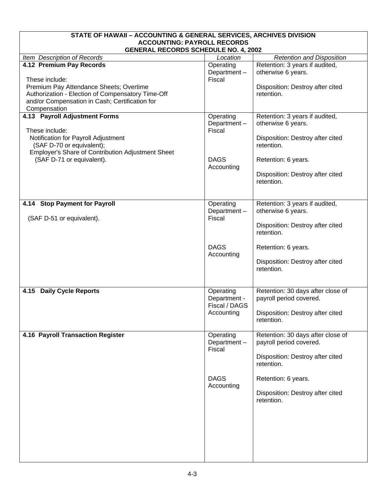<span id="page-33-0"></span>

| STATE OF HAWAII - ACCOUNTING & GENERAL SERVICES, ARCHIVES DIVISION                |               |                                                |  |  |  |
|-----------------------------------------------------------------------------------|---------------|------------------------------------------------|--|--|--|
| <b>ACCOUNTING: PAYROLL RECORDS</b><br><b>GENERAL RECORDS SCHEDULE NO. 4, 2002</b> |               |                                                |  |  |  |
| Item Description of Records                                                       | Location      | <b>Retention and Disposition</b>               |  |  |  |
| 4.12 Premium Pay Records                                                          | Operating     | Retention: 3 years if audited,                 |  |  |  |
|                                                                                   | Department-   | otherwise 6 years.                             |  |  |  |
| These include:                                                                    | Fiscal        |                                                |  |  |  |
| Premium Pay Attendance Sheets; Overtime                                           |               | Disposition: Destroy after cited               |  |  |  |
| Authorization - Election of Compensatory Time-Off                                 |               | retention.                                     |  |  |  |
| and/or Compensation in Cash; Certification for                                    |               |                                                |  |  |  |
| Compensation                                                                      |               |                                                |  |  |  |
| 4.13 Payroll Adjustment Forms                                                     | Operating     | Retention: 3 years if audited,                 |  |  |  |
|                                                                                   | Department-   | otherwise 6 years.                             |  |  |  |
| These include:                                                                    | Fiscal        |                                                |  |  |  |
| Notification for Payroll Adjustment<br>(SAF D-70 or equivalent);                  |               | Disposition: Destroy after cited<br>retention. |  |  |  |
| Employer's Share of Contribution Adjustment Sheet                                 |               |                                                |  |  |  |
| (SAF D-71 or equivalent).                                                         | <b>DAGS</b>   | Retention: 6 years.                            |  |  |  |
|                                                                                   | Accounting    |                                                |  |  |  |
|                                                                                   |               | Disposition: Destroy after cited               |  |  |  |
|                                                                                   |               | retention.                                     |  |  |  |
|                                                                                   |               |                                                |  |  |  |
|                                                                                   |               |                                                |  |  |  |
| 4.14 Stop Payment for Payroll                                                     | Operating     | Retention: 3 years if audited,                 |  |  |  |
|                                                                                   | Department-   | otherwise 6 years.                             |  |  |  |
| (SAF D-51 or equivalent).                                                         | Fiscal        | Disposition: Destroy after cited               |  |  |  |
|                                                                                   |               | retention.                                     |  |  |  |
|                                                                                   |               |                                                |  |  |  |
|                                                                                   | <b>DAGS</b>   | Retention: 6 years.                            |  |  |  |
|                                                                                   | Accounting    |                                                |  |  |  |
|                                                                                   |               | Disposition: Destroy after cited               |  |  |  |
|                                                                                   |               | retention.                                     |  |  |  |
|                                                                                   |               |                                                |  |  |  |
| <b>Daily Cycle Reports</b><br>4.15                                                | Operating     | Retention: 30 days after close of              |  |  |  |
|                                                                                   | Department -  | payroll period covered.                        |  |  |  |
|                                                                                   | Fiscal / DAGS |                                                |  |  |  |
|                                                                                   | Accounting    | Disposition: Destroy after cited               |  |  |  |
|                                                                                   |               | retention.                                     |  |  |  |
|                                                                                   |               |                                                |  |  |  |
| 4.16 Payroll Transaction Register                                                 | Operating     | Retention: 30 days after close of              |  |  |  |
|                                                                                   | Department-   | payroll period covered.                        |  |  |  |
|                                                                                   | Fiscal        |                                                |  |  |  |
|                                                                                   |               | Disposition: Destroy after cited<br>retention. |  |  |  |
|                                                                                   |               |                                                |  |  |  |
|                                                                                   | <b>DAGS</b>   | Retention: 6 years.                            |  |  |  |
|                                                                                   | Accounting    |                                                |  |  |  |
|                                                                                   |               | Disposition: Destroy after cited               |  |  |  |
|                                                                                   |               | retention.                                     |  |  |  |
|                                                                                   |               |                                                |  |  |  |
|                                                                                   |               |                                                |  |  |  |
|                                                                                   |               |                                                |  |  |  |
|                                                                                   |               |                                                |  |  |  |
|                                                                                   |               |                                                |  |  |  |
|                                                                                   |               |                                                |  |  |  |
|                                                                                   |               |                                                |  |  |  |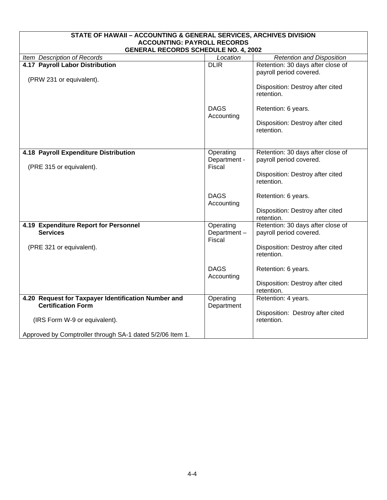<span id="page-34-0"></span>

| STATE OF HAWAII - ACCOUNTING & GENERAL SERVICES, ARCHIVES DIVISION               |                                    |                                                              |  |  |
|----------------------------------------------------------------------------------|------------------------------------|--------------------------------------------------------------|--|--|
| <b>ACCOUNTING: PAYROLL RECORDS</b>                                               |                                    |                                                              |  |  |
| <b>GENERAL RECORDS SCHEDULE NO. 4, 2002</b>                                      |                                    |                                                              |  |  |
| Item Description of Records                                                      | Location                           | <b>Retention and Disposition</b>                             |  |  |
| 4.17 Payroll Labor Distribution                                                  | <b>DLIR</b>                        | Retention: 30 days after close of                            |  |  |
|                                                                                  |                                    | payroll period covered.                                      |  |  |
| (PRW 231 or equivalent).                                                         |                                    | Disposition: Destroy after cited<br>retention.               |  |  |
|                                                                                  | <b>DAGS</b><br>Accounting          | Retention: 6 years.                                          |  |  |
|                                                                                  |                                    | Disposition: Destroy after cited<br>retention.               |  |  |
| 4.18 Payroll Expenditure Distribution                                            | Operating<br>Department -          | Retention: 30 days after close of<br>payroll period covered. |  |  |
| (PRE 315 or equivalent).                                                         | Fiscal                             | Disposition: Destroy after cited<br>retention.               |  |  |
|                                                                                  | <b>DAGS</b><br>Accounting          | Retention: 6 years.                                          |  |  |
|                                                                                  |                                    | Disposition: Destroy after cited<br>retention.               |  |  |
| 4.19 Expenditure Report for Personnel<br><b>Services</b>                         | Operating<br>Department-<br>Fiscal | Retention: 30 days after close of<br>payroll period covered. |  |  |
| (PRE 321 or equivalent).                                                         |                                    | Disposition: Destroy after cited<br>retention.               |  |  |
|                                                                                  | <b>DAGS</b><br>Accounting          | Retention: 6 years.                                          |  |  |
|                                                                                  |                                    | Disposition: Destroy after cited<br>retention.               |  |  |
| 4.20 Request for Taxpayer Identification Number and<br><b>Certification Form</b> | Operating<br>Department            | Retention: 4 years.                                          |  |  |
| (IRS Form W-9 or equivalent).                                                    |                                    | Disposition: Destroy after cited<br>retention.               |  |  |
| Approved by Comptroller through SA-1 dated 5/2/06 Item 1.                        |                                    |                                                              |  |  |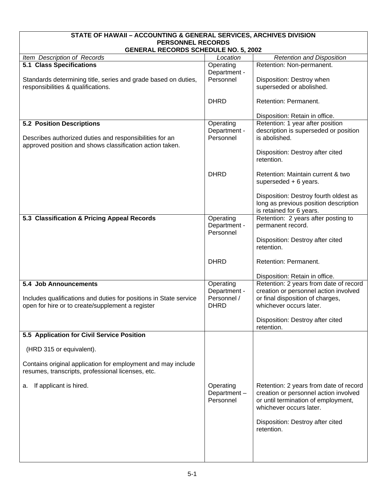<span id="page-35-0"></span>

| STATE OF HAWAII - ACCOUNTING & GENERAL SERVICES, ARCHIVES DIVISION                                                  |              |                                                                          |  |  |
|---------------------------------------------------------------------------------------------------------------------|--------------|--------------------------------------------------------------------------|--|--|
| <b>PERSONNEL RECORDS</b><br><b>GENERAL RECORDS SCHEDULE NO. 5, 2002</b>                                             |              |                                                                          |  |  |
| Item Description of Records                                                                                         | Location     | <b>Retention and Disposition</b>                                         |  |  |
| <b>5.1 Class Specifications</b>                                                                                     | Operating    | Retention: Non-permanent.                                                |  |  |
|                                                                                                                     | Department - |                                                                          |  |  |
| Standards determining title, series and grade based on duties,                                                      | Personnel    | Disposition: Destroy when                                                |  |  |
| responsibilities & qualifications.                                                                                  |              | superseded or abolished.                                                 |  |  |
|                                                                                                                     | <b>DHRD</b>  | Retention: Permanent.                                                    |  |  |
|                                                                                                                     |              |                                                                          |  |  |
|                                                                                                                     |              | Disposition: Retain in office.                                           |  |  |
| <b>5.2 Position Descriptions</b>                                                                                    | Operating    | Retention: 1 year after position                                         |  |  |
|                                                                                                                     | Department - | description is superseded or position                                    |  |  |
| Describes authorized duties and responsibilities for an<br>approved position and shows classification action taken. | Personnel    | is abolished.                                                            |  |  |
|                                                                                                                     |              | Disposition: Destroy after cited                                         |  |  |
|                                                                                                                     |              | retention.                                                               |  |  |
|                                                                                                                     |              |                                                                          |  |  |
|                                                                                                                     | <b>DHRD</b>  | Retention: Maintain current & two                                        |  |  |
|                                                                                                                     |              | superseded + 6 years.                                                    |  |  |
|                                                                                                                     |              | Disposition: Destroy fourth oldest as                                    |  |  |
|                                                                                                                     |              | long as previous position description                                    |  |  |
|                                                                                                                     |              | is retained for 6 years.                                                 |  |  |
| 5.3 Classification & Pricing Appeal Records                                                                         | Operating    | Retention: 2 years after posting to                                      |  |  |
|                                                                                                                     | Department - | permanent record.                                                        |  |  |
|                                                                                                                     | Personnel    | Disposition: Destroy after cited                                         |  |  |
|                                                                                                                     |              | retention.                                                               |  |  |
|                                                                                                                     |              |                                                                          |  |  |
|                                                                                                                     | <b>DHRD</b>  | Retention: Permanent.                                                    |  |  |
|                                                                                                                     |              |                                                                          |  |  |
| 5.4 Job Announcements                                                                                               | Operating    | Disposition: Retain in office.<br>Retention: 2 years from date of record |  |  |
|                                                                                                                     | Department - | creation or personnel action involved                                    |  |  |
| Includes qualifications and duties for positions in State service                                                   | Personnel /  | or final disposition of charges,                                         |  |  |
| open for hire or to create/supplement a register                                                                    | <b>DHRD</b>  | whichever occurs later.                                                  |  |  |
|                                                                                                                     |              |                                                                          |  |  |
|                                                                                                                     |              | Disposition: Destroy after cited<br>retention.                           |  |  |
| 5.5 Application for Civil Service Position                                                                          |              |                                                                          |  |  |
|                                                                                                                     |              |                                                                          |  |  |
| (HRD 315 or equivalent).                                                                                            |              |                                                                          |  |  |
|                                                                                                                     |              |                                                                          |  |  |
| Contains original application for employment and may include<br>resumes, transcripts, professional licenses, etc.   |              |                                                                          |  |  |
|                                                                                                                     |              |                                                                          |  |  |
| If applicant is hired.<br>а.                                                                                        | Operating    | Retention: 2 years from date of record                                   |  |  |
|                                                                                                                     | Department-  | creation or personnel action involved                                    |  |  |
|                                                                                                                     | Personnel    | or until termination of employment,                                      |  |  |
|                                                                                                                     |              | whichever occurs later.                                                  |  |  |
|                                                                                                                     |              | Disposition: Destroy after cited                                         |  |  |
|                                                                                                                     |              | retention.                                                               |  |  |
|                                                                                                                     |              |                                                                          |  |  |
|                                                                                                                     |              |                                                                          |  |  |
|                                                                                                                     |              |                                                                          |  |  |
|                                                                                                                     |              |                                                                          |  |  |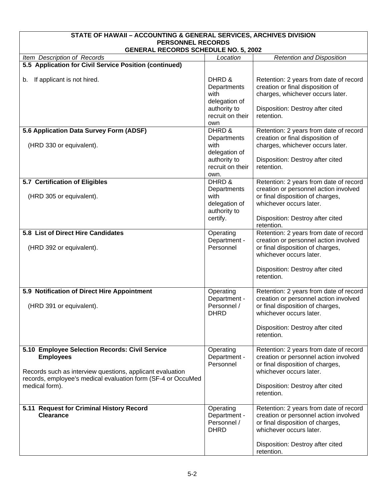| STATE OF HAWAII - ACCOUNTING & GENERAL SERVICES, ARCHIVES DIVISION                                                         |                               |                                                                                 |  |
|----------------------------------------------------------------------------------------------------------------------------|-------------------------------|---------------------------------------------------------------------------------|--|
| <b>PERSONNEL RECORDS</b>                                                                                                   |                               |                                                                                 |  |
| <b>GENERAL RECORDS SCHEDULE NO. 5, 2002</b><br>Item Description of Records<br><b>Retention and Disposition</b><br>Location |                               |                                                                                 |  |
| 5.5 Application for Civil Service Position (continued)                                                                     |                               |                                                                                 |  |
|                                                                                                                            |                               |                                                                                 |  |
| If applicant is not hired.<br>b.                                                                                           | DHRD &                        | Retention: 2 years from date of record                                          |  |
|                                                                                                                            | Departments                   | creation or final disposition of                                                |  |
|                                                                                                                            | with<br>delegation of         | charges, whichever occurs later.                                                |  |
|                                                                                                                            | authority to                  | Disposition: Destroy after cited                                                |  |
|                                                                                                                            | recruit on their              | retention.                                                                      |  |
|                                                                                                                            | own                           |                                                                                 |  |
| 5.6 Application Data Survey Form (ADSF)                                                                                    | DHRD &                        | Retention: 2 years from date of record                                          |  |
|                                                                                                                            | Departments                   | creation or final disposition of                                                |  |
| (HRD 330 or equivalent).                                                                                                   | with                          | charges, whichever occurs later.                                                |  |
|                                                                                                                            | delegation of<br>authority to | Disposition: Destroy after cited                                                |  |
|                                                                                                                            | recruit on their              | retention.                                                                      |  |
|                                                                                                                            | own.                          |                                                                                 |  |
| 5.7 Certification of Eligibles                                                                                             | DHRD &                        | Retention: 2 years from date of record                                          |  |
|                                                                                                                            | Departments                   | creation or personnel action involved                                           |  |
| (HRD 305 or equivalent).                                                                                                   | with                          | or final disposition of charges,                                                |  |
|                                                                                                                            | delegation of<br>authority to | whichever occurs later.                                                         |  |
|                                                                                                                            | certify.                      | Disposition: Destroy after cited                                                |  |
|                                                                                                                            |                               | retention.                                                                      |  |
| 5.8 List of Direct Hire Candidates                                                                                         | Operating                     | Retention: 2 years from date of record                                          |  |
|                                                                                                                            | Department -                  | creation or personnel action involved                                           |  |
| (HRD 392 or equivalent).                                                                                                   | Personnel                     | or final disposition of charges,                                                |  |
|                                                                                                                            |                               | whichever occurs later.                                                         |  |
|                                                                                                                            |                               | Disposition: Destroy after cited                                                |  |
|                                                                                                                            |                               | retention.                                                                      |  |
|                                                                                                                            |                               |                                                                                 |  |
| 5.9 Notification of Direct Hire Appointment                                                                                | Operating                     | Retention: 2 years from date of record                                          |  |
|                                                                                                                            | Department -<br>Personnel /   | creation or personnel action involved<br>or final disposition of charges,       |  |
| (HRD 391 or equivalent).                                                                                                   | <b>DHRD</b>                   | whichever occurs later.                                                         |  |
|                                                                                                                            |                               |                                                                                 |  |
|                                                                                                                            |                               | Disposition: Destroy after cited                                                |  |
|                                                                                                                            |                               | retention.                                                                      |  |
|                                                                                                                            |                               |                                                                                 |  |
| 5.10 Employee Selection Records: Civil Service<br><b>Employees</b>                                                         | Operating<br>Department -     | Retention: 2 years from date of record<br>creation or personnel action involved |  |
|                                                                                                                            | Personnel                     | or final disposition of charges,                                                |  |
| Records such as interview questions, applicant evaluation                                                                  |                               | whichever occurs later.                                                         |  |
| records, employee's medical evaluation form (SF-4 or OccuMed                                                               |                               |                                                                                 |  |
| medical form).                                                                                                             |                               | Disposition: Destroy after cited                                                |  |
|                                                                                                                            |                               | retention.                                                                      |  |
| 5.11 Request for Criminal History Record                                                                                   | Operating                     | Retention: 2 years from date of record                                          |  |
| <b>Clearance</b>                                                                                                           | Department -                  | creation or personnel action involved                                           |  |
|                                                                                                                            | Personnel /                   | or final disposition of charges,                                                |  |
|                                                                                                                            | <b>DHRD</b>                   | whichever occurs later.                                                         |  |
|                                                                                                                            |                               |                                                                                 |  |
|                                                                                                                            |                               | Disposition: Destroy after cited<br>retention.                                  |  |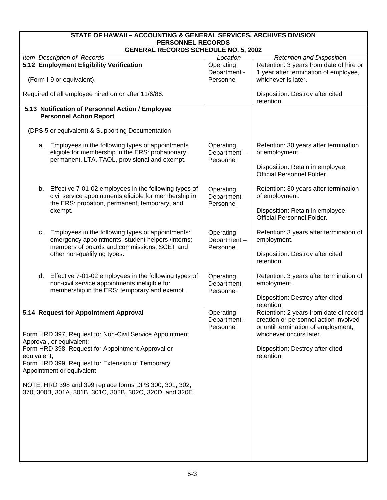| STATE OF HAWAII - ACCOUNTING & GENERAL SERVICES, ARCHIVES DIVISION<br><b>PERSONNEL RECORDS</b>                                                                     |                                        |                                                                                  |  |
|--------------------------------------------------------------------------------------------------------------------------------------------------------------------|----------------------------------------|----------------------------------------------------------------------------------|--|
| <b>GENERAL RECORDS SCHEDULE NO. 5, 2002</b>                                                                                                                        |                                        |                                                                                  |  |
| Item Description of Records                                                                                                                                        | Location                               | <b>Retention and Disposition</b>                                                 |  |
| 5.12 Employment Eligibility Verification                                                                                                                           | Operating<br>Department -              | Retention: 3 years from date of hire or<br>1 year after termination of employee, |  |
| (Form I-9 or equivalent).                                                                                                                                          | Personnel                              | whichever is later.                                                              |  |
| Required of all employee hired on or after 11/6/86.                                                                                                                |                                        | Disposition: Destroy after cited<br>retention.                                   |  |
| 5.13 Notification of Personnel Action / Employee<br><b>Personnel Action Report</b>                                                                                 |                                        |                                                                                  |  |
| (DPS 5 or equivalent) & Supporting Documentation                                                                                                                   |                                        |                                                                                  |  |
| Employees in the following types of appointments<br>а.<br>eligible for membership in the ERS: probationary,<br>permanent, LTA, TAOL, provisional and exempt.       | Operating<br>Department-<br>Personnel  | Retention: 30 years after termination<br>of employment.                          |  |
|                                                                                                                                                                    |                                        | Disposition: Retain in employee<br>Official Personnel Folder.                    |  |
| b. Effective 7-01-02 employees in the following types of<br>civil service appointments eligible for membership in<br>the ERS: probation, permanent, temporary, and | Operating<br>Department -<br>Personnel | Retention: 30 years after termination<br>of employment.                          |  |
| exempt.                                                                                                                                                            |                                        | Disposition: Retain in employee<br>Official Personnel Folder.                    |  |
| Employees in the following types of appointments:<br>C.<br>emergency appointments, student helpers /interns;<br>members of boards and commissions, SCET and        | Operating<br>Department-<br>Personnel  | Retention: 3 years after termination of<br>employment.                           |  |
| other non-qualifying types.                                                                                                                                        |                                        | Disposition: Destroy after cited<br>retention.                                   |  |
| Effective 7-01-02 employees in the following types of<br>d.<br>non-civil service appointments ineligible for<br>membership in the ERS: temporary and exempt.       | Operating<br>Department -<br>Personnel | Retention: 3 years after termination of<br>employment.                           |  |
|                                                                                                                                                                    |                                        | Disposition: Destroy after cited<br>retention.                                   |  |
| 5.14 Request for Appointment Approval                                                                                                                              | Operating<br>Department -              | Retention: 2 years from date of record<br>creation or personnel action involved  |  |
| Form HRD 397, Request for Non-Civil Service Appointment<br>Approval, or equivalent;                                                                                | Personnel                              | or until termination of employment,<br>whichever occurs later.                   |  |
| Form HRD 398, Request for Appointment Approval or<br>equivalent;                                                                                                   |                                        | Disposition: Destroy after cited<br>retention.                                   |  |
| Form HRD 399, Request for Extension of Temporary<br>Appointment or equivalent.                                                                                     |                                        |                                                                                  |  |
| NOTE: HRD 398 and 399 replace forms DPS 300, 301, 302,<br>370, 300B, 301A, 301B, 301C, 302B, 302C, 320D, and 320E.                                                 |                                        |                                                                                  |  |
|                                                                                                                                                                    |                                        |                                                                                  |  |
|                                                                                                                                                                    |                                        |                                                                                  |  |
|                                                                                                                                                                    |                                        |                                                                                  |  |
|                                                                                                                                                                    |                                        |                                                                                  |  |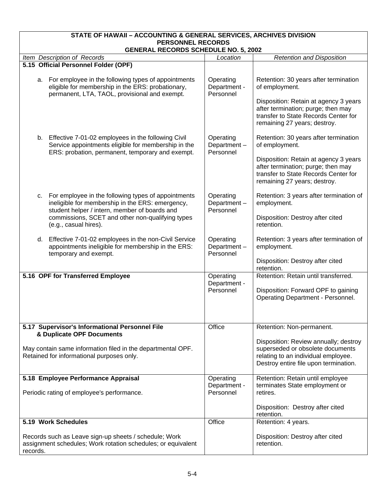| STATE OF HAWAII - ACCOUNTING & GENERAL SERVICES, ARCHIVES DIVISION<br><b>PERSONNEL RECORDS</b>                                                                   |                                        |                                                                                                                                                     |  |
|------------------------------------------------------------------------------------------------------------------------------------------------------------------|----------------------------------------|-----------------------------------------------------------------------------------------------------------------------------------------------------|--|
| <b>GENERAL RECORDS SCHEDULE NO. 5, 2002</b>                                                                                                                      |                                        |                                                                                                                                                     |  |
| Item Description of Records                                                                                                                                      | Location                               | <b>Retention and Disposition</b>                                                                                                                    |  |
| 5.15 Official Personnel Folder (OPF)                                                                                                                             |                                        |                                                                                                                                                     |  |
| a. For employee in the following types of appointments<br>eligible for membership in the ERS: probationary,<br>permanent, LTA, TAOL, provisional and exempt.     | Operating<br>Department -<br>Personnel | Retention: 30 years after termination<br>of employment.                                                                                             |  |
|                                                                                                                                                                  |                                        | Disposition: Retain at agency 3 years<br>after termination; purge; then may<br>transfer to State Records Center for<br>remaining 27 years; destroy. |  |
| b. Effective 7-01-02 employees in the following Civil<br>Service appointments eligible for membership in the<br>ERS: probation, permanent, temporary and exempt. | Operating<br>Department-<br>Personnel  | Retention: 30 years after termination<br>of employment.                                                                                             |  |
|                                                                                                                                                                  |                                        | Disposition: Retain at agency 3 years<br>after termination; purge; then may<br>transfer to State Records Center for<br>remaining 27 years; destroy. |  |
| For employee in the following types of appointments<br>C.<br>ineligible for membership in the ERS: emergency,<br>student helper / intern, member of boards and   | Operating<br>Department-<br>Personnel  | Retention: 3 years after termination of<br>employment.                                                                                              |  |
| commissions, SCET and other non-qualifying types<br>(e.g., casual hires).                                                                                        |                                        | Disposition: Destroy after cited<br>retention.                                                                                                      |  |
| Effective 7-01-02 employees in the non-Civil Service<br>d.<br>appointments ineligible for membership in the ERS:<br>temporary and exempt.                        | Operating<br>Department-<br>Personnel  | Retention: 3 years after termination of<br>employment.                                                                                              |  |
|                                                                                                                                                                  |                                        | Disposition: Destroy after cited<br>retention.                                                                                                      |  |
| 5.16 OPF for Transferred Employee                                                                                                                                | Operating<br>Department -              | Retention: Retain until transferred.                                                                                                                |  |
|                                                                                                                                                                  | Personnel                              | Disposition: Forward OPF to gaining<br>Operating Department - Personnel.                                                                            |  |
|                                                                                                                                                                  |                                        |                                                                                                                                                     |  |
| 5.17 Supervisor's Informational Personnel File<br>& Duplicate OPF Documents                                                                                      | Office                                 | Retention: Non-permanent.                                                                                                                           |  |
|                                                                                                                                                                  |                                        | Disposition: Review annually; destroy                                                                                                               |  |
| May contain same information filed in the departmental OPF.<br>Retained for informational purposes only.                                                         |                                        | superseded or obsolete documents<br>relating to an individual employee.                                                                             |  |
|                                                                                                                                                                  |                                        | Destroy entire file upon termination.                                                                                                               |  |
| 5.18 Employee Performance Appraisal                                                                                                                              | Operating                              | Retention: Retain until employee                                                                                                                    |  |
| Periodic rating of employee's performance.                                                                                                                       | Department -<br>Personnel              | terminates State employment or<br>retires.                                                                                                          |  |
|                                                                                                                                                                  |                                        | Disposition: Destroy after cited<br>retention.                                                                                                      |  |
| 5.19 Work Schedules                                                                                                                                              | Office                                 | Retention: 4 years.                                                                                                                                 |  |
| Records such as Leave sign-up sheets / schedule; Work<br>assignment schedules; Work rotation schedules; or equivalent<br>records.                                |                                        | Disposition: Destroy after cited<br>retention.                                                                                                      |  |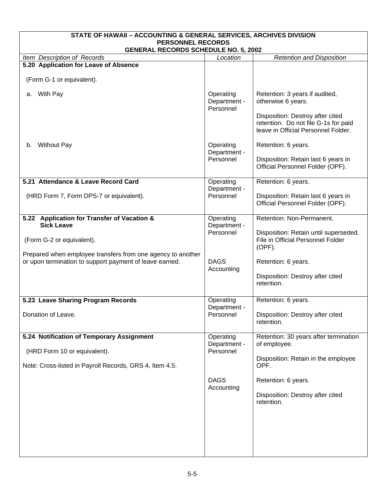| STATE OF HAWAII - ACCOUNTING & GENERAL SERVICES, ARCHIVES DIVISION                                            |                                        |                                                                                                                                                                         |  |
|---------------------------------------------------------------------------------------------------------------|----------------------------------------|-------------------------------------------------------------------------------------------------------------------------------------------------------------------------|--|
| <b>PERSONNEL RECORDS</b><br><b>GENERAL RECORDS SCHEDULE NO. 5, 2002</b>                                       |                                        |                                                                                                                                                                         |  |
| Item Description of Records                                                                                   | Location                               | <b>Retention and Disposition</b>                                                                                                                                        |  |
| 5.20 Application for Leave of Absence                                                                         |                                        |                                                                                                                                                                         |  |
| (Form G-1 or equivalent).                                                                                     |                                        |                                                                                                                                                                         |  |
| With Pay<br>а.                                                                                                | Operating<br>Department -<br>Personnel | Retention: 3 years if audited,<br>otherwise 6 years.<br>Disposition: Destroy after cited<br>retention. Do not file G-1s for paid<br>leave in Official Personnel Folder. |  |
| <b>Without Pay</b><br>b.                                                                                      | Operating<br>Department -<br>Personnel | Retention: 6 years.<br>Disposition: Retain last 6 years in<br>Official Personnel Folder (OPF).                                                                          |  |
| 5.21 Attendance & Leave Record Card                                                                           | Operating                              | Retention: 6 years.                                                                                                                                                     |  |
| (HRD Form 7, Form DPS-7 or equivalent).                                                                       | Department -<br>Personnel              | Disposition: Retain last 6 years in<br>Official Personnel Folder (OPF).                                                                                                 |  |
| 5.22 Application for Transfer of Vacation &                                                                   | Operating                              | Retention: Non-Permanent.                                                                                                                                               |  |
| <b>Sick Leave</b><br>(Form G-2 or equivalent).<br>Prepared when employee transfers from one agency to another | Department -<br>Personnel              | Disposition: Retain until superseded.<br>File in Official Personnel Folder<br>$(OPF)$ .                                                                                 |  |
| or upon termination to support payment of leave earned.                                                       | <b>DAGS</b><br>Accounting              | Retention: 6 years.<br>Disposition: Destroy after cited<br>retention.                                                                                                   |  |
| 5.23 Leave Sharing Program Records                                                                            | Operating                              | Retention: 6 years.                                                                                                                                                     |  |
| Donation of Leave.                                                                                            | Department -<br>Personnel              | Disposition: Destroy after cited<br>retention.                                                                                                                          |  |
| 5.24 Notification of Temporary Assignment                                                                     | Operating                              | Retention: 30 years after termination                                                                                                                                   |  |
| (HRD Form 10 or equivalent).                                                                                  | Department -<br>Personnel              | of employee.                                                                                                                                                            |  |
| Note: Cross-listed in Payroll Records, GRS 4, Item 4.5.                                                       |                                        | Disposition: Retain in the employee<br>OPF.                                                                                                                             |  |
|                                                                                                               | <b>DAGS</b><br>Accounting              | Retention: 6 years.<br>Disposition: Destroy after cited<br>retention.                                                                                                   |  |
|                                                                                                               |                                        |                                                                                                                                                                         |  |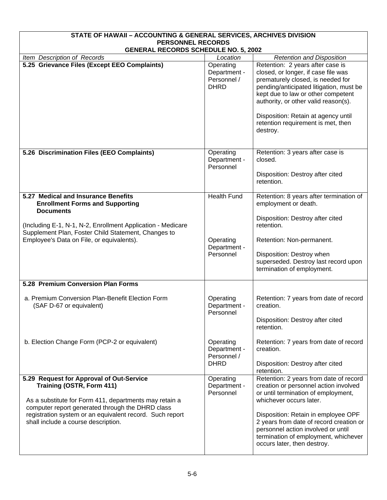| STATE OF HAWAII - ACCOUNTING & GENERAL SERVICES, ARCHIVES DIVISION                                                                                                                                                                                                                     |                                                              |                                                                                                                                                                                                                                                                                                                                                  |  |
|----------------------------------------------------------------------------------------------------------------------------------------------------------------------------------------------------------------------------------------------------------------------------------------|--------------------------------------------------------------|--------------------------------------------------------------------------------------------------------------------------------------------------------------------------------------------------------------------------------------------------------------------------------------------------------------------------------------------------|--|
| <b>PERSONNEL RECORDS</b><br><b>GENERAL RECORDS SCHEDULE NO. 5, 2002</b>                                                                                                                                                                                                                |                                                              |                                                                                                                                                                                                                                                                                                                                                  |  |
| Item Description of Records<br>Location<br><b>Retention and Disposition</b>                                                                                                                                                                                                            |                                                              |                                                                                                                                                                                                                                                                                                                                                  |  |
| 5.25 Grievance Files (Except EEO Complaints)                                                                                                                                                                                                                                           | Operating<br>Department -<br>Personnel /<br><b>DHRD</b>      | Retention: 2 years after case is<br>closed, or longer, if case file was<br>prematurely closed, is needed for<br>pending/anticipated litigation, must be<br>kept due to law or other competent<br>authority, or other valid reason(s).<br>Disposition: Retain at agency until<br>retention requirement is met, then<br>destroy.                   |  |
| 5.26 Discrimination Files (EEO Complaints)                                                                                                                                                                                                                                             | Operating<br>Department -<br>Personnel                       | Retention: 3 years after case is<br>closed.<br>Disposition: Destroy after cited<br>retention.                                                                                                                                                                                                                                                    |  |
| 5.27 Medical and Insurance Benefits<br><b>Enrollment Forms and Supporting</b><br><b>Documents</b><br>(Including E-1, N-1, N-2, Enrollment Application - Medicare<br>Supplement Plan, Foster Child Statement, Changes to<br>Employee's Data on File, or equivalents).                   | <b>Health Fund</b><br>Operating<br>Department -<br>Personnel | Retention: 8 years after termination of<br>employment or death.<br>Disposition: Destroy after cited<br>retention.<br>Retention: Non-permanent.<br>Disposition: Destroy when<br>superseded. Destroy last record upon<br>termination of employment.                                                                                                |  |
| 5.28 Premium Conversion Plan Forms                                                                                                                                                                                                                                                     |                                                              |                                                                                                                                                                                                                                                                                                                                                  |  |
| a. Premium Conversion Plan-Benefit Election Form<br>(SAF D-67 or equivalent)                                                                                                                                                                                                           | Operating<br>Department -<br>Personnel                       | Retention: 7 years from date of record<br>creation.<br>Disposition: Destroy after cited<br>retention.                                                                                                                                                                                                                                            |  |
| b. Election Change Form (PCP-2 or equivalent)                                                                                                                                                                                                                                          | Operating<br>Department -<br>Personnel /<br><b>DHRD</b>      | Retention: 7 years from date of record<br>creation.<br>Disposition: Destroy after cited<br>retention.                                                                                                                                                                                                                                            |  |
| 5.29 Request for Approval of Out-Service<br>Training (OSTR, Form 411)<br>As a substitute for Form 411, departments may retain a<br>computer report generated through the DHRD class<br>registration system or an equivalent record. Such report<br>shall include a course description. | Operating<br>Department -<br>Personnel                       | Retention: 2 years from date of record<br>creation or personnel action involved<br>or until termination of employment,<br>whichever occurs later.<br>Disposition: Retain in employee OPF<br>2 years from date of record creation or<br>personnel action involved or until<br>termination of employment, whichever<br>occurs later, then destroy. |  |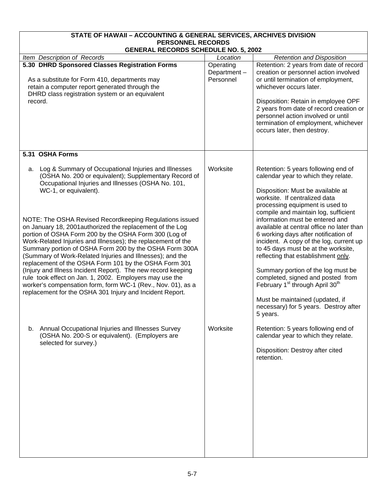| STATE OF HAWAII - ACCOUNTING & GENERAL SERVICES, ARCHIVES DIVISION                                                                                                                                                                                                                                                                                                                                                                                                                                                                                                                                                                                                                                                                                                                                                                                                                     |                                       |                                                                                                                                                                                                                                                                                                                                                                                                                                                                                                                                                                                                                                                                                                            |
|----------------------------------------------------------------------------------------------------------------------------------------------------------------------------------------------------------------------------------------------------------------------------------------------------------------------------------------------------------------------------------------------------------------------------------------------------------------------------------------------------------------------------------------------------------------------------------------------------------------------------------------------------------------------------------------------------------------------------------------------------------------------------------------------------------------------------------------------------------------------------------------|---------------------------------------|------------------------------------------------------------------------------------------------------------------------------------------------------------------------------------------------------------------------------------------------------------------------------------------------------------------------------------------------------------------------------------------------------------------------------------------------------------------------------------------------------------------------------------------------------------------------------------------------------------------------------------------------------------------------------------------------------------|
| <b>PERSONNEL RECORDS</b><br><b>GENERAL RECORDS SCHEDULE NO. 5, 2002</b>                                                                                                                                                                                                                                                                                                                                                                                                                                                                                                                                                                                                                                                                                                                                                                                                                |                                       |                                                                                                                                                                                                                                                                                                                                                                                                                                                                                                                                                                                                                                                                                                            |
| Item Description of Records                                                                                                                                                                                                                                                                                                                                                                                                                                                                                                                                                                                                                                                                                                                                                                                                                                                            | Location                              | <b>Retention and Disposition</b>                                                                                                                                                                                                                                                                                                                                                                                                                                                                                                                                                                                                                                                                           |
| 5.30 DHRD Sponsored Classes Registration Forms<br>As a substitute for Form 410, departments may<br>retain a computer report generated through the<br>DHRD class registration system or an equivalent<br>record.                                                                                                                                                                                                                                                                                                                                                                                                                                                                                                                                                                                                                                                                        | Operating<br>Department-<br>Personnel | Retention: 2 years from date of record<br>creation or personnel action involved<br>or until termination of employment,<br>whichever occurs later.<br>Disposition: Retain in employee OPF<br>2 years from date of record creation or<br>personnel action involved or until<br>termination of employment, whichever<br>occurs later, then destroy.                                                                                                                                                                                                                                                                                                                                                           |
| 5.31 OSHA Forms                                                                                                                                                                                                                                                                                                                                                                                                                                                                                                                                                                                                                                                                                                                                                                                                                                                                        |                                       |                                                                                                                                                                                                                                                                                                                                                                                                                                                                                                                                                                                                                                                                                                            |
| a. Log & Summary of Occupational Injuries and Illnesses<br>(OSHA No. 200 or equivalent); Supplementary Record of<br>Occupational Injuries and Illnesses (OSHA No. 101,<br>WC-1, or equivalent).<br>NOTE: The OSHA Revised Recordkeeping Regulations issued<br>on January 18, 2001 authorized the replacement of the Log<br>portion of OSHA Form 200 by the OSHA Form 300 (Log of<br>Work-Related Injuries and Illnesses); the replacement of the<br>Summary portion of OSHA Form 200 by the OSHA Form 300A<br>(Summary of Work-Related Injuries and Illnesses); and the<br>replacement of the OSHA Form 101 by the OSHA Form 301<br>(Injury and Illness Incident Report). The new record keeping<br>rule took effect on Jan. 1, 2002. Employers may use the<br>worker's compensation form, form WC-1 (Rev., Nov. 01), as a<br>replacement for the OSHA 301 Injury and Incident Report. | Worksite                              | Retention: 5 years following end of<br>calendar year to which they relate.<br>Disposition: Must be available at<br>worksite. If centralized data<br>processing equipment is used to<br>compile and maintain log, sufficient<br>information must be entered and<br>available at central office no later than<br>6 working days after notification of<br>incident. A copy of the log, current up<br>to 45 days must be at the worksite,<br>reflecting that establishment only.<br>Summary portion of the log must be<br>completed, signed and posted from<br>February 1 <sup>st</sup> through April 30 <sup>th</sup><br>Must be maintained (updated, if<br>necessary) for 5 years. Destroy after<br>5 years. |
| Annual Occupational Injuries and Illnesses Survey<br>b.<br>(OSHA No. 200-S or equivalent). (Employers are<br>selected for survey.)                                                                                                                                                                                                                                                                                                                                                                                                                                                                                                                                                                                                                                                                                                                                                     | Worksite                              | Retention: 5 years following end of<br>calendar year to which they relate.<br>Disposition: Destroy after cited<br>retention.                                                                                                                                                                                                                                                                                                                                                                                                                                                                                                                                                                               |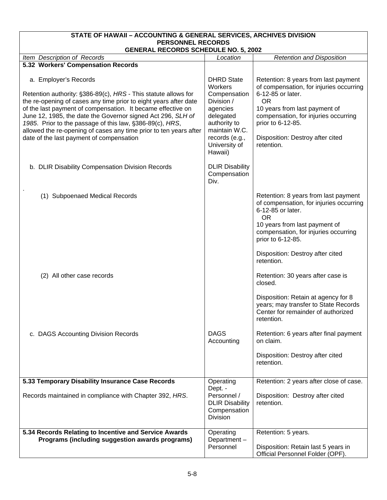| STATE OF HAWAII - ACCOUNTING & GENERAL SERVICES, ARCHIVES DIVISION<br><b>PERSONNEL RECORDS</b><br><b>GENERAL RECORDS SCHEDULE NO. 5, 2002</b>                                                                                                                                                                                                                                                                                                                          |                                                                                                                                                                    |                                                                                                                                                                                                                                                                   |  |
|------------------------------------------------------------------------------------------------------------------------------------------------------------------------------------------------------------------------------------------------------------------------------------------------------------------------------------------------------------------------------------------------------------------------------------------------------------------------|--------------------------------------------------------------------------------------------------------------------------------------------------------------------|-------------------------------------------------------------------------------------------------------------------------------------------------------------------------------------------------------------------------------------------------------------------|--|
| Item Description of Records                                                                                                                                                                                                                                                                                                                                                                                                                                            |                                                                                                                                                                    |                                                                                                                                                                                                                                                                   |  |
| 5.32 Workers' Compensation Records                                                                                                                                                                                                                                                                                                                                                                                                                                     | Location                                                                                                                                                           | <b>Retention and Disposition</b>                                                                                                                                                                                                                                  |  |
| a. Employer's Records<br>Retention authority: §386-89(c), HRS - This statute allows for<br>the re-opening of cases any time prior to eight years after date<br>of the last payment of compensation. It became effective on<br>June 12, 1985, the date the Governor signed Act 296, SLH of<br>1985. Prior to the passage of this law, §386-89(c), HRS,<br>allowed the re-opening of cases any time prior to ten years after<br>date of the last payment of compensation | <b>DHRD State</b><br>Workers<br>Compensation<br>Division /<br>agencies<br>delegated<br>authority to<br>maintain W.C.<br>records (e.g.,<br>University of<br>Hawaii) | Retention: 8 years from last payment<br>of compensation, for injuries occurring<br>6-12-85 or later.<br><b>OR</b><br>10 years from last payment of<br>compensation, for injuries occurring<br>prior to 6-12-85.<br>Disposition: Destroy after cited<br>retention. |  |
| b. DLIR Disability Compensation Division Records                                                                                                                                                                                                                                                                                                                                                                                                                       | <b>DLIR Disability</b><br>Compensation<br>Div.                                                                                                                     |                                                                                                                                                                                                                                                                   |  |
| (1) Subpoenaed Medical Records                                                                                                                                                                                                                                                                                                                                                                                                                                         |                                                                                                                                                                    | Retention: 8 years from last payment<br>of compensation, for injuries occurring<br>6-12-85 or later.<br><b>OR</b><br>10 years from last payment of<br>compensation, for injuries occurring<br>prior to 6-12-85.<br>Disposition: Destroy after cited<br>retention. |  |
| (2) All other case records                                                                                                                                                                                                                                                                                                                                                                                                                                             |                                                                                                                                                                    | Retention: 30 years after case is<br>closed.<br>Disposition: Retain at agency for 8<br>years; may transfer to State Records<br>Center for remainder of authorized<br>retention.                                                                                   |  |
| c. DAGS Accounting Division Records                                                                                                                                                                                                                                                                                                                                                                                                                                    | <b>DAGS</b><br>Accounting                                                                                                                                          | Retention: 6 years after final payment<br>on claim.<br>Disposition: Destroy after cited<br>retention.                                                                                                                                                             |  |
| 5.33 Temporary Disability Insurance Case Records                                                                                                                                                                                                                                                                                                                                                                                                                       | Operating                                                                                                                                                          | Retention: 2 years after close of case.                                                                                                                                                                                                                           |  |
| Records maintained in compliance with Chapter 392, HRS.                                                                                                                                                                                                                                                                                                                                                                                                                | Dept. -<br>Personnel /<br><b>DLIR Disability</b><br>Compensation<br><b>Division</b>                                                                                | Disposition: Destroy after cited<br>retention.                                                                                                                                                                                                                    |  |
| 5.34 Records Relating to Incentive and Service Awards                                                                                                                                                                                                                                                                                                                                                                                                                  | Operating                                                                                                                                                          | Retention: 5 years.                                                                                                                                                                                                                                               |  |
| Programs (including suggestion awards programs)                                                                                                                                                                                                                                                                                                                                                                                                                        | Department-<br>Personnel                                                                                                                                           | Disposition: Retain last 5 years in<br>Official Personnel Folder (OPF).                                                                                                                                                                                           |  |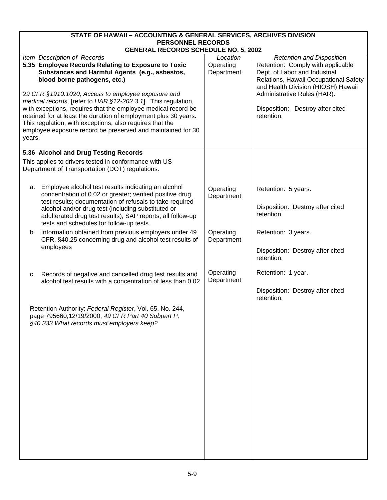| STATE OF HAWAII - ACCOUNTING & GENERAL SERVICES, ARCHIVES DIVISION<br><b>PERSONNEL RECORDS</b>                                                                                                                                                                                                                                                                                                                                                                                                                                        |                         |                                                                                                                                                                                                                                    |  |
|---------------------------------------------------------------------------------------------------------------------------------------------------------------------------------------------------------------------------------------------------------------------------------------------------------------------------------------------------------------------------------------------------------------------------------------------------------------------------------------------------------------------------------------|-------------------------|------------------------------------------------------------------------------------------------------------------------------------------------------------------------------------------------------------------------------------|--|
| <b>GENERAL RECORDS SCHEDULE NO. 5, 2002</b>                                                                                                                                                                                                                                                                                                                                                                                                                                                                                           |                         |                                                                                                                                                                                                                                    |  |
| Item Description of Records                                                                                                                                                                                                                                                                                                                                                                                                                                                                                                           | Location                | <b>Retention and Disposition</b>                                                                                                                                                                                                   |  |
| 5.35 Employee Records Relating to Exposure to Toxic<br>Substances and Harmful Agents (e.g., asbestos,<br>blood borne pathogens, etc.)<br>29 CFR §1910.1020, Access to employee exposure and<br>medical records, [refer to HAR §12-202.3.1]. This regulation,<br>with exceptions, requires that the employee medical record be<br>retained for at least the duration of employment plus 30 years.<br>This regulation, with exceptions, also requires that the<br>employee exposure record be preserved and maintained for 30<br>years. | Operating<br>Department | Retention: Comply with applicable<br>Dept. of Labor and Industrial<br>Relations, Hawaii Occupational Safety<br>and Health Division (HIOSH) Hawaii<br>Administrative Rules (HAR).<br>Disposition: Destroy after cited<br>retention. |  |
| 5.36 Alcohol and Drug Testing Records                                                                                                                                                                                                                                                                                                                                                                                                                                                                                                 |                         |                                                                                                                                                                                                                                    |  |
| This applies to drivers tested in conformance with US<br>Department of Transportation (DOT) regulations.                                                                                                                                                                                                                                                                                                                                                                                                                              |                         |                                                                                                                                                                                                                                    |  |
| Employee alcohol test results indicating an alcohol<br>а.<br>concentration of 0.02 or greater; verified positive drug<br>test results; documentation of refusals to take required<br>alcohol and/or drug test (including substituted or<br>adulterated drug test results); SAP reports; all follow-up<br>tests and schedules for follow-up tests.                                                                                                                                                                                     | Operating<br>Department | Retention: 5 years.<br>Disposition: Destroy after cited<br>retention.                                                                                                                                                              |  |
| Information obtained from previous employers under 49<br>b.<br>CFR, §40.25 concerning drug and alcohol test results of<br>employees                                                                                                                                                                                                                                                                                                                                                                                                   | Operating<br>Department | Retention: 3 years.<br>Disposition: Destroy after cited<br>retention.                                                                                                                                                              |  |
| Records of negative and cancelled drug test results and<br>c.<br>alcohol test results with a concentration of less than 0.02<br>Retention Authority: Federal Register, Vol. 65, No. 244,<br>page 795660,12/19/2000, 49 CFR Part 40 Subpart P,<br>§40.333 What records must employers keep?                                                                                                                                                                                                                                            | Operating<br>Department | Retention: 1 year.<br>Disposition: Destroy after cited<br>retention.                                                                                                                                                               |  |
|                                                                                                                                                                                                                                                                                                                                                                                                                                                                                                                                       |                         |                                                                                                                                                                                                                                    |  |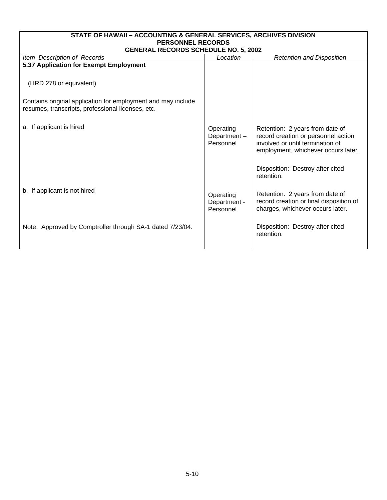| STATE OF HAWAII - ACCOUNTING & GENERAL SERVICES, ARCHIVES DIVISION<br><b>PERSONNEL RECORDS</b>                    |                                        |                                                                                                                                                   |  |  |
|-------------------------------------------------------------------------------------------------------------------|----------------------------------------|---------------------------------------------------------------------------------------------------------------------------------------------------|--|--|
| <b>GENERAL RECORDS SCHEDULE NO. 5, 2002</b>                                                                       |                                        |                                                                                                                                                   |  |  |
| Item Description of Records<br><b>Retention and Disposition</b><br>Location                                       |                                        |                                                                                                                                                   |  |  |
| 5.37 Application for Exempt Employment                                                                            |                                        |                                                                                                                                                   |  |  |
| (HRD 278 or equivalent)                                                                                           |                                        |                                                                                                                                                   |  |  |
| Contains original application for employment and may include<br>resumes, transcripts, professional licenses, etc. |                                        |                                                                                                                                                   |  |  |
| a. If applicant is hired                                                                                          | Operating<br>Department-<br>Personnel  | Retention: 2 years from date of<br>record creation or personnel action<br>involved or until termination of<br>employment, whichever occurs later. |  |  |
|                                                                                                                   |                                        | Disposition: Destroy after cited<br>retention.                                                                                                    |  |  |
| b. If applicant is not hired                                                                                      | Operating<br>Department -<br>Personnel | Retention: 2 years from date of<br>record creation or final disposition of<br>charges, whichever occurs later.                                    |  |  |
| Note: Approved by Comptroller through SA-1 dated 7/23/04.                                                         |                                        | Disposition: Destroy after cited<br>retention.                                                                                                    |  |  |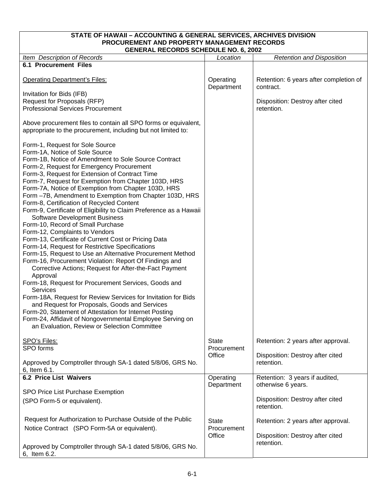| STATE OF HAWAII - ACCOUNTING & GENERAL SERVICES, ARCHIVES DIVISION<br>PROCUREMENT AND PROPERTY MANAGEMENT RECORDS                                                                                                                                                                                                                                                                                                                                                                                                                                                                                                                                                                                                                                                                                                                                                                                                                                                                                                                                                                                                                                                                                                                                                                                                |                             |                                                      |  |
|------------------------------------------------------------------------------------------------------------------------------------------------------------------------------------------------------------------------------------------------------------------------------------------------------------------------------------------------------------------------------------------------------------------------------------------------------------------------------------------------------------------------------------------------------------------------------------------------------------------------------------------------------------------------------------------------------------------------------------------------------------------------------------------------------------------------------------------------------------------------------------------------------------------------------------------------------------------------------------------------------------------------------------------------------------------------------------------------------------------------------------------------------------------------------------------------------------------------------------------------------------------------------------------------------------------|-----------------------------|------------------------------------------------------|--|
| <b>GENERAL RECORDS SCHEDULE NO. 6, 2002</b>                                                                                                                                                                                                                                                                                                                                                                                                                                                                                                                                                                                                                                                                                                                                                                                                                                                                                                                                                                                                                                                                                                                                                                                                                                                                      |                             |                                                      |  |
| Item Description of Records                                                                                                                                                                                                                                                                                                                                                                                                                                                                                                                                                                                                                                                                                                                                                                                                                                                                                                                                                                                                                                                                                                                                                                                                                                                                                      | Location                    | <b>Retention and Disposition</b>                     |  |
| <b>6.1 Procurement Files</b>                                                                                                                                                                                                                                                                                                                                                                                                                                                                                                                                                                                                                                                                                                                                                                                                                                                                                                                                                                                                                                                                                                                                                                                                                                                                                     |                             |                                                      |  |
| <b>Operating Department's Files:</b>                                                                                                                                                                                                                                                                                                                                                                                                                                                                                                                                                                                                                                                                                                                                                                                                                                                                                                                                                                                                                                                                                                                                                                                                                                                                             | Operating<br>Department     | Retention: 6 years after completion of<br>contract.  |  |
| Invitation for Bids (IFB)                                                                                                                                                                                                                                                                                                                                                                                                                                                                                                                                                                                                                                                                                                                                                                                                                                                                                                                                                                                                                                                                                                                                                                                                                                                                                        |                             |                                                      |  |
| Request for Proposals (RFP)                                                                                                                                                                                                                                                                                                                                                                                                                                                                                                                                                                                                                                                                                                                                                                                                                                                                                                                                                                                                                                                                                                                                                                                                                                                                                      |                             | Disposition: Destroy after cited                     |  |
| <b>Professional Services Procurement</b>                                                                                                                                                                                                                                                                                                                                                                                                                                                                                                                                                                                                                                                                                                                                                                                                                                                                                                                                                                                                                                                                                                                                                                                                                                                                         |                             | retention.                                           |  |
| Above procurement files to contain all SPO forms or equivalent,<br>appropriate to the procurement, including but not limited to:                                                                                                                                                                                                                                                                                                                                                                                                                                                                                                                                                                                                                                                                                                                                                                                                                                                                                                                                                                                                                                                                                                                                                                                 |                             |                                                      |  |
| Form-1, Request for Sole Source<br>Form-1A, Notice of Sole Source<br>Form-1B, Notice of Amendment to Sole Source Contract<br>Form-2, Request for Emergency Procurement<br>Form-3, Request for Extension of Contract Time<br>Form-7, Request for Exemption from Chapter 103D, HRS<br>Form-7A, Notice of Exemption from Chapter 103D, HRS<br>Form -7B, Amendment to Exemption from Chapter 103D, HRS<br>Form-8, Certification of Recycled Content<br>Form-9, Certificate of Eligibility to Claim Preference as a Hawaii<br><b>Software Development Business</b><br>Form-10, Record of Small Purchase<br>Form-12, Complaints to Vendors<br>Form-13, Certificate of Current Cost or Pricing Data<br>Form-14, Request for Restrictive Specifications<br>Form-15, Request to Use an Alternative Procurement Method<br>Form-16, Procurement Violation: Report Of Findings and<br>Corrective Actions; Request for After-the-Fact Payment<br>Approval<br>Form-18, Request for Procurement Services, Goods and<br><b>Services</b><br>Form-18A, Request for Review Services for Invitation for Bids<br>and Request for Proposals, Goods and Services<br>Form-20, Statement of Attestation for Internet Posting<br>Form-24, Affidavit of Nongovernmental Employee Serving on<br>an Evaluation, Review or Selection Committee |                             |                                                      |  |
| SPO's Files:<br>SPO forms                                                                                                                                                                                                                                                                                                                                                                                                                                                                                                                                                                                                                                                                                                                                                                                                                                                                                                                                                                                                                                                                                                                                                                                                                                                                                        | <b>State</b><br>Procurement | Retention: 2 years after approval.                   |  |
|                                                                                                                                                                                                                                                                                                                                                                                                                                                                                                                                                                                                                                                                                                                                                                                                                                                                                                                                                                                                                                                                                                                                                                                                                                                                                                                  | Office                      | Disposition: Destroy after cited                     |  |
| Approved by Comptroller through SA-1 dated 5/8/06, GRS No.                                                                                                                                                                                                                                                                                                                                                                                                                                                                                                                                                                                                                                                                                                                                                                                                                                                                                                                                                                                                                                                                                                                                                                                                                                                       |                             | retention.                                           |  |
| 6, Item 6.1.                                                                                                                                                                                                                                                                                                                                                                                                                                                                                                                                                                                                                                                                                                                                                                                                                                                                                                                                                                                                                                                                                                                                                                                                                                                                                                     |                             |                                                      |  |
| <b>6.2 Price List Waivers</b>                                                                                                                                                                                                                                                                                                                                                                                                                                                                                                                                                                                                                                                                                                                                                                                                                                                                                                                                                                                                                                                                                                                                                                                                                                                                                    | Operating<br>Department     | Retention: 3 years if audited,<br>otherwise 6 years. |  |
| SPO Price List Purchase Exemption                                                                                                                                                                                                                                                                                                                                                                                                                                                                                                                                                                                                                                                                                                                                                                                                                                                                                                                                                                                                                                                                                                                                                                                                                                                                                |                             |                                                      |  |
| (SPO Form-5 or equivalent).                                                                                                                                                                                                                                                                                                                                                                                                                                                                                                                                                                                                                                                                                                                                                                                                                                                                                                                                                                                                                                                                                                                                                                                                                                                                                      |                             | Disposition: Destroy after cited<br>retention.       |  |
| Request for Authorization to Purchase Outside of the Public                                                                                                                                                                                                                                                                                                                                                                                                                                                                                                                                                                                                                                                                                                                                                                                                                                                                                                                                                                                                                                                                                                                                                                                                                                                      | <b>State</b>                | Retention: 2 years after approval.                   |  |
| Notice Contract (SPO Form-5A or equivalent).                                                                                                                                                                                                                                                                                                                                                                                                                                                                                                                                                                                                                                                                                                                                                                                                                                                                                                                                                                                                                                                                                                                                                                                                                                                                     | Procurement<br>Office       | Disposition: Destroy after cited                     |  |
| Approved by Comptroller through SA-1 dated 5/8/06, GRS No.<br>6, Item 6.2.                                                                                                                                                                                                                                                                                                                                                                                                                                                                                                                                                                                                                                                                                                                                                                                                                                                                                                                                                                                                                                                                                                                                                                                                                                       |                             | retention.                                           |  |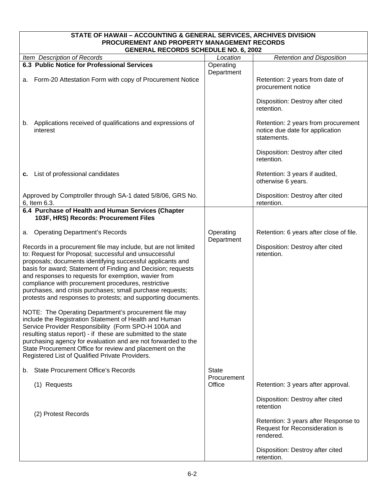| STATE OF HAWAII - ACCOUNTING & GENERAL SERVICES, ARCHIVES DIVISION<br>PROCUREMENT AND PROPERTY MANAGEMENT RECORDS                                                                                                                                                                                                                                                                                                                                                                                  |                             |                                                                                       |  |
|----------------------------------------------------------------------------------------------------------------------------------------------------------------------------------------------------------------------------------------------------------------------------------------------------------------------------------------------------------------------------------------------------------------------------------------------------------------------------------------------------|-----------------------------|---------------------------------------------------------------------------------------|--|
| <b>GENERAL RECORDS SCHEDULE NO. 6, 2002</b>                                                                                                                                                                                                                                                                                                                                                                                                                                                        |                             |                                                                                       |  |
| Item Description of Records                                                                                                                                                                                                                                                                                                                                                                                                                                                                        | Location                    | <b>Retention and Disposition</b>                                                      |  |
| 6.3 Public Notice for Professional Services                                                                                                                                                                                                                                                                                                                                                                                                                                                        | Operating                   |                                                                                       |  |
| a. Form-20 Attestation Form with copy of Procurement Notice                                                                                                                                                                                                                                                                                                                                                                                                                                        | Department                  | Retention: 2 years from date of<br>procurement notice                                 |  |
|                                                                                                                                                                                                                                                                                                                                                                                                                                                                                                    |                             | Disposition: Destroy after cited<br>retention.                                        |  |
| b. Applications received of qualifications and expressions of<br>interest                                                                                                                                                                                                                                                                                                                                                                                                                          |                             | Retention: 2 years from procurement<br>notice due date for application<br>statements. |  |
|                                                                                                                                                                                                                                                                                                                                                                                                                                                                                                    |                             | Disposition: Destroy after cited<br>retention.                                        |  |
| c. List of professional candidates                                                                                                                                                                                                                                                                                                                                                                                                                                                                 |                             | Retention: 3 years if audited,<br>otherwise 6 years.                                  |  |
| Approved by Comptroller through SA-1 dated 5/8/06, GRS No.<br>6, Item 6.3.                                                                                                                                                                                                                                                                                                                                                                                                                         |                             | Disposition: Destroy after cited<br>retention.                                        |  |
| 6.4 Purchase of Health and Human Services (Chapter<br>103F, HRS) Records: Procurement Files                                                                                                                                                                                                                                                                                                                                                                                                        |                             |                                                                                       |  |
| <b>Operating Department's Records</b><br>а.                                                                                                                                                                                                                                                                                                                                                                                                                                                        | Operating<br>Department     | Retention: 6 years after close of file.                                               |  |
| Records in a procurement file may include, but are not limited<br>to: Request for Proposal; successful and unsuccessful<br>proposals; documents identifying successful applicants and<br>basis for award; Statement of Finding and Decision; requests<br>and responses to requests for exemption, wavier from<br>compliance with procurement procedures, restrictive<br>purchases, and crisis purchases; small purchase requests;<br>protests and responses to protests; and supporting documents. |                             | Disposition: Destroy after cited<br>retention.                                        |  |
| NOTE: The Operating Department's procurement file may<br>include the Registration Statement of Health and Human<br>Service Provider Responsibility (Form SPO-H 100A and<br>resulting status report) - if these are submitted to the state<br>purchasing agency for evaluation and are not forwarded to the<br>State Procurement Office for review and placement on the<br>Registered List of Qualified Private Providers.                                                                          |                             |                                                                                       |  |
| <b>State Procurement Office's Records</b><br>b.                                                                                                                                                                                                                                                                                                                                                                                                                                                    | <b>State</b><br>Procurement |                                                                                       |  |
| (1) Requests                                                                                                                                                                                                                                                                                                                                                                                                                                                                                       | Office                      | Retention: 3 years after approval.                                                    |  |
| (2) Protest Records                                                                                                                                                                                                                                                                                                                                                                                                                                                                                |                             | Disposition: Destroy after cited<br>retention                                         |  |
|                                                                                                                                                                                                                                                                                                                                                                                                                                                                                                    |                             | Retention: 3 years after Response to<br>Request for Reconsideration is<br>rendered.   |  |
|                                                                                                                                                                                                                                                                                                                                                                                                                                                                                                    |                             | Disposition: Destroy after cited<br>retention.                                        |  |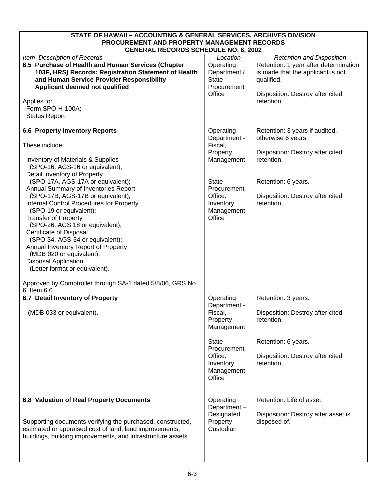| STATE OF HAWAII - ACCOUNTING & GENERAL SERVICES, ARCHIVES DIVISION                                                                                                                                                                                                                                                                                                                                                                                                |                                                                             |                                                                                                                                           |  |
|-------------------------------------------------------------------------------------------------------------------------------------------------------------------------------------------------------------------------------------------------------------------------------------------------------------------------------------------------------------------------------------------------------------------------------------------------------------------|-----------------------------------------------------------------------------|-------------------------------------------------------------------------------------------------------------------------------------------|--|
| PROCUREMENT AND PROPERTY MANAGEMENT RECORDS<br><b>GENERAL RECORDS SCHEDULE NO. 6, 2002</b>                                                                                                                                                                                                                                                                                                                                                                        |                                                                             |                                                                                                                                           |  |
| Item Description of Records                                                                                                                                                                                                                                                                                                                                                                                                                                       | Location                                                                    | <b>Retention and Disposition</b>                                                                                                          |  |
| 6.5 Purchase of Health and Human Services (Chapter<br>103F, HRS) Records: Registration Statement of Health<br>and Human Service Provider Responsibility -<br>Applicant deemed not qualified<br>Applies to:<br>Form SPO-H-100A;                                                                                                                                                                                                                                    | Operating<br>Department /<br><b>State</b><br>Procurement<br>Office          | Retention: 1 year after determination<br>is made that the applicant is not<br>qualified.<br>Disposition: Destroy after cited<br>retention |  |
| <b>Status Report</b>                                                                                                                                                                                                                                                                                                                                                                                                                                              |                                                                             |                                                                                                                                           |  |
| <b>6.6 Property Inventory Reports</b><br>These include:                                                                                                                                                                                                                                                                                                                                                                                                           | Operating<br>Department -<br>Fiscal,                                        | Retention: 3 years if audited,<br>otherwise 6 years.                                                                                      |  |
| <b>Inventory of Materials &amp; Supplies</b><br>(SPO-16, AGS-16 or equivalent);<br>Detail Inventory of Property                                                                                                                                                                                                                                                                                                                                                   | Property<br>Management                                                      | Disposition: Destroy after cited<br>retention.                                                                                            |  |
| (SPO-17A, AGS-17A or equivalent);<br>Annual Summary of Inventories Report                                                                                                                                                                                                                                                                                                                                                                                         | <b>State</b><br>Procurement                                                 | Retention: 6 years.                                                                                                                       |  |
| (SPO-17B, AGS-17B or equivalent);<br><b>Internal Control Procedures for Property</b><br>(SPO-19 or equivalent);<br><b>Transfer of Property</b><br>(SPO-26, AGS 18 or equivalent);<br>Certificate of Disposal<br>(SPO-34, AGS-34 or equivalent);<br>Annual Inventory Report of Property<br>(MDB 020 or equivalent).<br><b>Disposal Application</b><br>(Letter format or equivalent).<br>Approved by Comptroller through SA-1 dated 5/8/06, GRS No.<br>6, Item 6.6. | Office:<br>Inventory<br>Management<br>Office                                | Disposition: Destroy after cited<br>retention.                                                                                            |  |
| 6.7 Detail Inventory of Property                                                                                                                                                                                                                                                                                                                                                                                                                                  | Operating                                                                   | Retention: 3 years.                                                                                                                       |  |
| (MDB 033 or equivalent).                                                                                                                                                                                                                                                                                                                                                                                                                                          | Department -<br>Fiscal,<br>Property<br>Management                           | Disposition: Destroy after cited<br>retention.                                                                                            |  |
|                                                                                                                                                                                                                                                                                                                                                                                                                                                                   | <b>State</b><br>Procurement<br>Office:<br>Inventory<br>Management<br>Office | Retention: 6 years.<br>Disposition: Destroy after cited<br>retention.                                                                     |  |
| 6.8 Valuation of Real Property Documents<br>Supporting documents verifying the purchased, constructed,<br>estimated or appraised cost of land, land improvements,<br>buildings, building improvements, and infrastructure assets.                                                                                                                                                                                                                                 | Operating<br>Department-<br>Designated<br>Property<br>Custodian             | Retention: Life of asset.<br>Disposition: Destroy after asset is<br>disposed of.                                                          |  |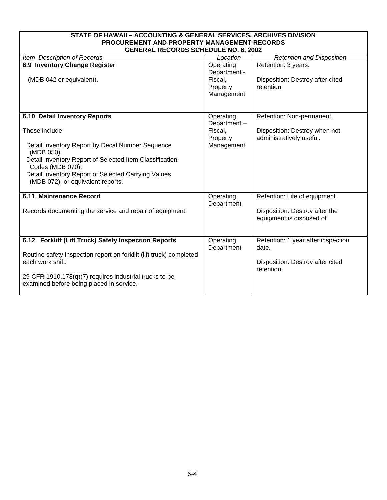| STATE OF HAWAII - ACCOUNTING & GENERAL SERVICES, ARCHIVES DIVISION                                                                                                                                                                                    |                                                                |                                                                                               |  |  |
|-------------------------------------------------------------------------------------------------------------------------------------------------------------------------------------------------------------------------------------------------------|----------------------------------------------------------------|-----------------------------------------------------------------------------------------------|--|--|
| PROCUREMENT AND PROPERTY MANAGEMENT RECORDS                                                                                                                                                                                                           |                                                                |                                                                                               |  |  |
| <b>GENERAL RECORDS SCHEDULE NO. 6, 2002</b>                                                                                                                                                                                                           |                                                                |                                                                                               |  |  |
| Item Description of Records                                                                                                                                                                                                                           | Location                                                       | <b>Retention and Disposition</b>                                                              |  |  |
| 6.9 Inventory Change Register<br>(MDB 042 or equivalent).                                                                                                                                                                                             | Operating<br>Department -<br>Fiscal,<br>Property<br>Management | Retention: 3 years.<br>Disposition: Destroy after cited<br>retention.                         |  |  |
| 6.10 Detail Inventory Reports<br>These include:                                                                                                                                                                                                       | Operating<br>Department-<br>Fiscal,<br>Property                | Retention: Non-permanent.<br>Disposition: Destroy when not<br>administratively useful.        |  |  |
| Detail Inventory Report by Decal Number Sequence<br>(MDB 050);<br>Detail Inventory Report of Selected Item Classification<br>Codes (MDB 070);<br>Detail Inventory Report of Selected Carrying Values<br>(MDB 072); or equivalent reports.             | Management                                                     |                                                                                               |  |  |
| 6.11 Maintenance Record<br>Records documenting the service and repair of equipment.                                                                                                                                                                   | Operating<br>Department                                        | Retention: Life of equipment.<br>Disposition: Destroy after the<br>equipment is disposed of.  |  |  |
| 6.12 Forklift (Lift Truck) Safety Inspection Reports<br>Routine safety inspection report on forklift (lift truck) completed<br>each work shift.<br>29 CFR 1910.178(q)(7) requires industrial trucks to be<br>examined before being placed in service. | Operating<br>Department                                        | Retention: 1 year after inspection<br>date.<br>Disposition: Destroy after cited<br>retention. |  |  |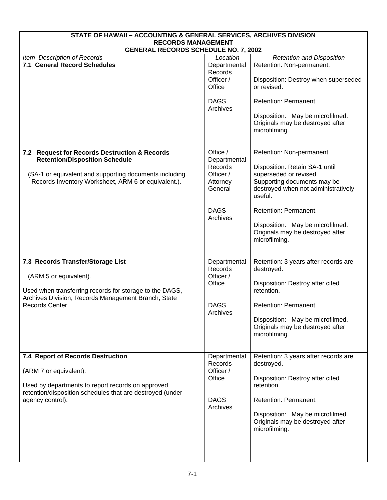| STATE OF HAWAII - ACCOUNTING & GENERAL SERVICES, ARCHIVES DIVISION                                                                                                                                      |                                                                                                    |                                                                                                                                                                                                                                                                                          |  |  |
|---------------------------------------------------------------------------------------------------------------------------------------------------------------------------------------------------------|----------------------------------------------------------------------------------------------------|------------------------------------------------------------------------------------------------------------------------------------------------------------------------------------------------------------------------------------------------------------------------------------------|--|--|
| <b>RECORDS MANAGEMENT</b><br><b>GENERAL RECORDS SCHEDULE NO. 7, 2002</b>                                                                                                                                |                                                                                                    |                                                                                                                                                                                                                                                                                          |  |  |
| Item Description of Records                                                                                                                                                                             | Location                                                                                           | <b>Retention and Disposition</b>                                                                                                                                                                                                                                                         |  |  |
| 7.1 General Record Schedules                                                                                                                                                                            | Departmental<br>Records<br>Officer /<br>Office                                                     | Retention: Non-permanent.<br>Disposition: Destroy when superseded<br>or revised.                                                                                                                                                                                                         |  |  |
|                                                                                                                                                                                                         | <b>DAGS</b><br>Archives                                                                            | Retention: Permanent.<br>Disposition: May be microfilmed.<br>Originals may be destroyed after<br>microfilming.                                                                                                                                                                           |  |  |
| 7.2 Request for Records Destruction & Records<br><b>Retention/Disposition Schedule</b><br>(SA-1 or equivalent and supporting documents including<br>Records Inventory Worksheet, ARM 6 or equivalent.). | Office /<br>Departmental<br>Records<br>Officer /<br>Attorney<br>General<br><b>DAGS</b><br>Archives | Retention: Non-permanent.<br>Disposition: Retain SA-1 until<br>superseded or revised.<br>Supporting documents may be<br>destroyed when not administratively<br>useful.<br>Retention: Permanent.<br>Disposition: May be microfilmed.<br>Originals may be destroyed after<br>microfilming. |  |  |
| 7.3 Records Transfer/Storage List<br>(ARM 5 or equivalent).<br>Used when transferring records for storage to the DAGS,<br>Archives Division, Records Management Branch, State<br>Records Center.        | Departmental<br>Records<br>Officer /<br>Office<br><b>DAGS</b><br>Archives                          | Retention: 3 years after records are<br>destroyed.<br>Disposition: Destroy after cited<br>retention.<br>Retention: Permanent.<br>Disposition: May be microfilmed.<br>Originals may be destroyed after<br>microfilming.                                                                   |  |  |
| 7.4 Report of Records Destruction<br>(ARM 7 or equivalent).<br>Used by departments to report records on approved<br>retention/disposition schedules that are destroyed (under<br>agency control).       | Departmental<br>Records<br>Officer /<br>Office<br><b>DAGS</b><br>Archives                          | Retention: 3 years after records are<br>destroyed.<br>Disposition: Destroy after cited<br>retention.<br>Retention: Permanent.<br>Disposition: May be microfilmed.<br>Originals may be destroyed after<br>microfilming.                                                                   |  |  |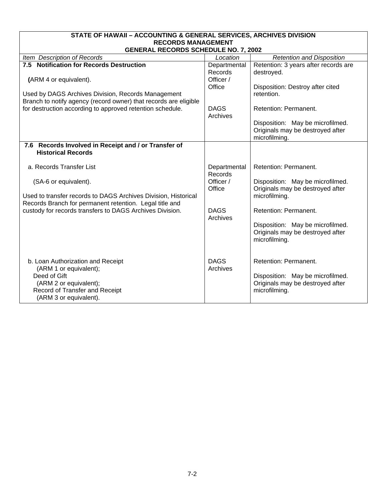| STATE OF HAWAII - ACCOUNTING & GENERAL SERVICES, ARCHIVES DIVISION                                                        |                                      |                                                                                       |  |
|---------------------------------------------------------------------------------------------------------------------------|--------------------------------------|---------------------------------------------------------------------------------------|--|
| <b>RECORDS MANAGEMENT</b><br><b>GENERAL RECORDS SCHEDULE NO. 7, 2002</b>                                                  |                                      |                                                                                       |  |
| Item Description of Records                                                                                               | Location                             | <b>Retention and Disposition</b>                                                      |  |
| 7.5 Notification for Records Destruction<br>(ARM 4 or equivalent).                                                        | Departmental<br>Records<br>Officer / | Retention: 3 years after records are<br>destroyed.                                    |  |
| Used by DAGS Archives Division, Records Management<br>Branch to notify agency (record owner) that records are eligible    | Office                               | Disposition: Destroy after cited<br>retention.                                        |  |
| for destruction according to approved retention schedule.                                                                 | <b>DAGS</b><br>Archives              | Retention: Permanent.                                                                 |  |
|                                                                                                                           |                                      | Disposition: May be microfilmed.<br>Originals may be destroyed after<br>microfilming. |  |
| 7.6 Records Involved in Receipt and / or Transfer of<br><b>Historical Records</b>                                         |                                      |                                                                                       |  |
| a. Records Transfer List                                                                                                  | Departmental<br>Records              | Retention: Permanent.                                                                 |  |
| (SA-6 or equivalent).                                                                                                     | Officer /<br>Office                  | Disposition: May be microfilmed.<br>Originals may be destroyed after                  |  |
| Used to transfer records to DAGS Archives Division, Historical<br>Records Branch for permanent retention. Legal title and |                                      | microfilming.                                                                         |  |
| custody for records transfers to DAGS Archives Division.                                                                  | <b>DAGS</b><br>Archives              | Retention: Permanent.                                                                 |  |
|                                                                                                                           |                                      | Disposition: May be microfilmed.<br>Originals may be destroyed after<br>microfilming. |  |
| b. Loan Authorization and Receipt<br>(ARM 1 or equivalent);                                                               | <b>DAGS</b><br>Archives              | Retention: Permanent.                                                                 |  |
| Deed of Gift<br>(ARM 2 or equivalent);<br>Record of Transfer and Receipt<br>(ARM 3 or equivalent).                        |                                      | Disposition: May be microfilmed.<br>Originals may be destroyed after<br>microfilming. |  |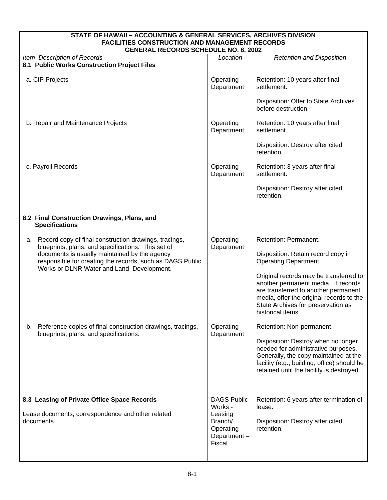| STATE OF HAWAII - ACCOUNTING & GENERAL SERVICES, ARCHIVES DIVISION<br><b>FACILITIES CONSTRUCTION AND MANAGEMENT RECORDS</b><br><b>GENERAL RECORDS SCHEDULE NO. 8, 2002</b>                                                                                                   |                                                                                           |                                                                                                                                                                                                                                                                                                                             |  |
|------------------------------------------------------------------------------------------------------------------------------------------------------------------------------------------------------------------------------------------------------------------------------|-------------------------------------------------------------------------------------------|-----------------------------------------------------------------------------------------------------------------------------------------------------------------------------------------------------------------------------------------------------------------------------------------------------------------------------|--|
| Item Description of Records                                                                                                                                                                                                                                                  | Location                                                                                  | <b>Retention and Disposition</b>                                                                                                                                                                                                                                                                                            |  |
| 8.1 Public Works Construction Project Files                                                                                                                                                                                                                                  |                                                                                           |                                                                                                                                                                                                                                                                                                                             |  |
| a. CIP Projects                                                                                                                                                                                                                                                              | Operating<br>Department                                                                   | Retention: 10 years after final<br>settlement.<br>Disposition: Offer to State Archives<br>before destruction.                                                                                                                                                                                                               |  |
| b. Repair and Maintenance Projects                                                                                                                                                                                                                                           | Operating<br>Department                                                                   | Retention: 10 years after final<br>settlement.<br>Disposition: Destroy after cited<br>retention.                                                                                                                                                                                                                            |  |
| c. Payroll Records                                                                                                                                                                                                                                                           | Operating<br>Department                                                                   | Retention: 3 years after final<br>settlement.<br>Disposition: Destroy after cited<br>retention.                                                                                                                                                                                                                             |  |
| 8.2 Final Construction Drawings, Plans, and<br><b>Specifications</b>                                                                                                                                                                                                         |                                                                                           |                                                                                                                                                                                                                                                                                                                             |  |
| Record copy of final construction drawings, tracings,<br>а.<br>blueprints, plans, and specifications. This set of<br>documents is usually maintained by the agency<br>responsible for creating the records, such as DAGS Public<br>Works or DLNR Water and Land Development. | Operating<br>Department                                                                   | Retention: Permanent.<br>Disposition: Retain record copy in<br><b>Operating Department.</b><br>Original records may be transferred to<br>another permanent media. If records<br>are transferred to another permanent<br>media, offer the original records to the<br>State Archives for preservation as<br>historical items. |  |
| Reference copies of final construction drawings, tracings,<br>b.<br>blueprints, plans, and specifications.                                                                                                                                                                   | Operating<br>Department                                                                   | Retention: Non-permanent.<br>Disposition: Destroy when no longer<br>needed for administrative purposes.<br>Generally, the copy maintained at the<br>facility (e.g., building, office) should be<br>retained until the facility is destroyed.                                                                                |  |
| 8.3 Leasing of Private Office Space Records<br>Lease documents, correspondence and other related<br>documents.                                                                                                                                                               | <b>DAGS Public</b><br>Works -<br>Leasing<br>Branch/<br>Operating<br>Department-<br>Fiscal | Retention: 6 years after termination of<br>lease.<br>Disposition: Destroy after cited<br>retention.                                                                                                                                                                                                                         |  |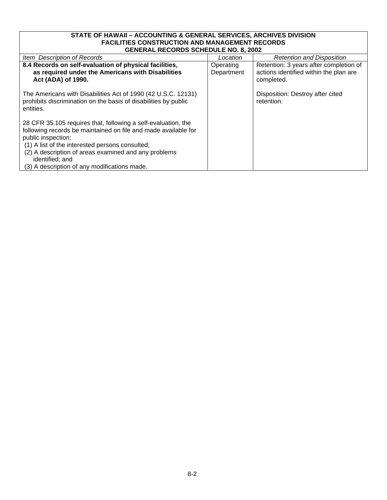#### **STATE OF HAWAII – ACCOUNTING & GENERAL SERVICES, ARCHIVES DIVISION FACILITIES CONSTRUCTION AND MANAGEMENT RECORDS GENERAL RECORDS SCHEDULE NO. 8, 2002**

| GENERAL RECORDS SCHEDULE NO. 8, 2002                                                                                                                                                                                                                                                                                                |                         |                                                                                                |  |
|-------------------------------------------------------------------------------------------------------------------------------------------------------------------------------------------------------------------------------------------------------------------------------------------------------------------------------------|-------------------------|------------------------------------------------------------------------------------------------|--|
| Item Description of Records                                                                                                                                                                                                                                                                                                         | Location                | <b>Retention and Disposition</b>                                                               |  |
| 8.4 Records on self-evaluation of physical facilities,<br>as required under the Americans with Disabilities<br>Act (ADA) of 1990.                                                                                                                                                                                                   | Operating<br>Department | Retention: 3 years after completion of<br>actions identified within the plan are<br>completed. |  |
| The Americans with Disabilities Act of 1990 (42 U.S.C. 12131)<br>prohibits discrimination on the basis of disabilities by public<br>entities.                                                                                                                                                                                       |                         | Disposition: Destroy after cited<br>retention.                                                 |  |
| 28 CFR 35.105 requires that, following a self-evaluation, the<br>following records be maintained on file and made available for<br>public inspection:<br>(1) A list of the interested persons consulted;<br>(2) A description of areas examined and any problems<br>identified; and<br>(3) A description of any modifications made. |                         |                                                                                                |  |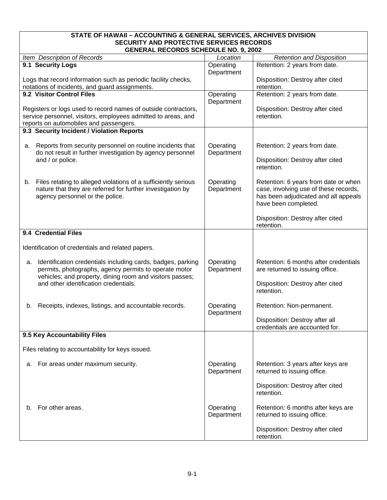# **STATE OF HAWAII – ACCOUNTING & GENERAL SERVICES, ARCHIVES DIVISION SECURITY AND PROTECTIVE SERVICES RECORDS**

| <b>GENERAL RECORDS SCHEDULE NO. 9, 2002</b>                                                                      |                         |                                                |  |
|------------------------------------------------------------------------------------------------------------------|-------------------------|------------------------------------------------|--|
| Item Description of Records                                                                                      | Location                | <b>Retention and Disposition</b>               |  |
| 9.1 Security Logs                                                                                                | Operating<br>Department | Retention: 2 years from date.                  |  |
| Logs that record information such as periodic facility checks,<br>notations of incidents, and guard assignments. |                         | Disposition: Destroy after cited<br>retention. |  |
| 9.2 Visitor Control Files                                                                                        | Operating               | Retention: 2 years from date.                  |  |
|                                                                                                                  | Department              |                                                |  |
| Registers or logs used to record names of outside contractors,                                                   |                         | Disposition: Destroy after cited               |  |
| service personnel, visitors, employees admitted to areas, and                                                    |                         | retention.                                     |  |
| reports on automobiles and passengers.                                                                           |                         |                                                |  |
| 9.3 Security Incident / Violation Reports                                                                        |                         |                                                |  |
| Reports from security personnel on routine incidents that<br>а.                                                  | Operating               | Retention: 2 years from date.                  |  |
| do not result in further investigation by agency personnel                                                       | Department              |                                                |  |
| and / or police.                                                                                                 |                         | Disposition: Destroy after cited<br>retention. |  |
|                                                                                                                  |                         |                                                |  |
| Files relating to alleged violations of a sufficiently serious<br>b.                                             | Operating               | Retention: 6 years from date or when           |  |
| nature that they are referred for further investigation by                                                       | Department              | case, involving use of these records,          |  |
| agency personnel or the police.                                                                                  |                         | has been adjudicated and all appeals           |  |
|                                                                                                                  |                         | have been completed.                           |  |
|                                                                                                                  |                         | Disposition: Destroy after cited               |  |
|                                                                                                                  |                         | retention.                                     |  |
| 9.4 Credential Files                                                                                             |                         |                                                |  |
| Identification of credentials and related papers.                                                                |                         |                                                |  |
| Identification credentials including cards, badges, parking<br>а.                                                | Operating               | Retention: 6 months after credentials          |  |
| permits, photographs, agency permits to operate motor                                                            | Department              | are returned to issuing office.                |  |
| vehicles; and property, dining room and visitors passes;<br>and other identification credentials.                |                         | Disposition: Destroy after cited               |  |
|                                                                                                                  |                         | retention.                                     |  |
|                                                                                                                  |                         | Retention: Non-permanent.                      |  |
| Receipts, indexes, listings, and accountable records.<br>b.                                                      | Operating<br>Department |                                                |  |
|                                                                                                                  |                         | Disposition: Destroy after all                 |  |
|                                                                                                                  |                         | credentials are accounted for.                 |  |
| 9.5 Key Accountability Files                                                                                     |                         |                                                |  |
| Files relating to accountability for keys issued.                                                                |                         |                                                |  |
| For areas under maximum security.<br>а.                                                                          | Operating               | Retention: 3 years after keys are              |  |
|                                                                                                                  | Department              | returned to issuing office.                    |  |
|                                                                                                                  |                         |                                                |  |
|                                                                                                                  |                         | Disposition: Destroy after cited<br>retention. |  |
|                                                                                                                  |                         |                                                |  |
| For other areas.<br>b.                                                                                           | Operating               | Retention: 6 months after keys are             |  |
|                                                                                                                  | Department              | returned to issuing office.                    |  |
|                                                                                                                  |                         | Disposition: Destroy after cited               |  |
|                                                                                                                  |                         | retention.                                     |  |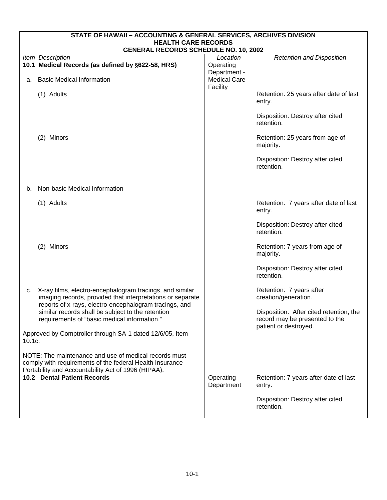| STATE OF HAWAII - ACCOUNTING & GENERAL SERVICES, ARCHIVES DIVISION |                                                                                                                                                                                  |                                                 |                                                                                                    |  |  |
|--------------------------------------------------------------------|----------------------------------------------------------------------------------------------------------------------------------------------------------------------------------|-------------------------------------------------|----------------------------------------------------------------------------------------------------|--|--|
|                                                                    | <b>HEALTH CARE RECORDS</b><br><b>GENERAL RECORDS SCHEDULE NO. 10, 2002</b>                                                                                                       |                                                 |                                                                                                    |  |  |
|                                                                    | Item Description                                                                                                                                                                 | Location                                        | <b>Retention and Disposition</b>                                                                   |  |  |
|                                                                    | 10.1 Medical Records (as defined by §622-58, HRS)                                                                                                                                | Operating                                       |                                                                                                    |  |  |
| a.                                                                 | <b>Basic Medical Information</b>                                                                                                                                                 | Department -<br><b>Medical Care</b><br>Facility |                                                                                                    |  |  |
|                                                                    | (1) Adults                                                                                                                                                                       |                                                 | Retention: 25 years after date of last<br>entry.                                                   |  |  |
|                                                                    |                                                                                                                                                                                  |                                                 | Disposition: Destroy after cited<br>retention.                                                     |  |  |
|                                                                    | (2) Minors                                                                                                                                                                       |                                                 | Retention: 25 years from age of<br>majority.                                                       |  |  |
|                                                                    |                                                                                                                                                                                  |                                                 | Disposition: Destroy after cited<br>retention.                                                     |  |  |
| b.                                                                 | Non-basic Medical Information                                                                                                                                                    |                                                 |                                                                                                    |  |  |
|                                                                    | (1) Adults                                                                                                                                                                       |                                                 | Retention: 7 years after date of last<br>entry.                                                    |  |  |
|                                                                    |                                                                                                                                                                                  |                                                 | Disposition: Destroy after cited<br>retention.                                                     |  |  |
|                                                                    | (2) Minors                                                                                                                                                                       |                                                 | Retention: 7 years from age of<br>majority.                                                        |  |  |
|                                                                    |                                                                                                                                                                                  |                                                 | Disposition: Destroy after cited<br>retention.                                                     |  |  |
| c.                                                                 | X-ray films, electro-encephalogram tracings, and similar<br>imaging records, provided that interpretations or separate<br>reports of x-rays, electro-encephalogram tracings, and |                                                 | Retention: 7 years after<br>creation/generation.                                                   |  |  |
|                                                                    | similar records shall be subject to the retention<br>requirements of "basic medical information."                                                                                |                                                 | Disposition: After cited retention, the<br>record may be presented to the<br>patient or destroyed. |  |  |
| 10.1c.                                                             | Approved by Comptroller through SA-1 dated 12/6/05, Item                                                                                                                         |                                                 |                                                                                                    |  |  |
|                                                                    | NOTE: The maintenance and use of medical records must<br>comply with requirements of the federal Health Insurance<br>Portability and Accountability Act of 1996 (HIPAA).         |                                                 |                                                                                                    |  |  |
|                                                                    | <b>10.2 Dental Patient Records</b>                                                                                                                                               | Operating<br>Department                         | Retention: 7 years after date of last<br>entry.                                                    |  |  |
|                                                                    |                                                                                                                                                                                  |                                                 | Disposition: Destroy after cited<br>retention.                                                     |  |  |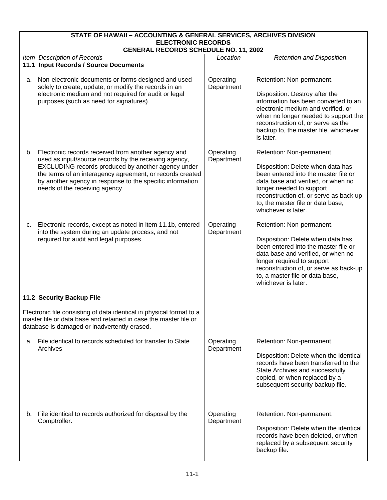|    | STATE OF HAWAII - ACCOUNTING & GENERAL SERVICES, ARCHIVES DIVISION<br><b>ELECTRONIC RECORDS</b><br><b>GENERAL RECORDS SCHEDULE NO. 11, 2002</b>                                                                                                                                                                                |                         |                                                                                                                                                                                                                                                                                |  |
|----|--------------------------------------------------------------------------------------------------------------------------------------------------------------------------------------------------------------------------------------------------------------------------------------------------------------------------------|-------------------------|--------------------------------------------------------------------------------------------------------------------------------------------------------------------------------------------------------------------------------------------------------------------------------|--|
|    | Item Description of Records                                                                                                                                                                                                                                                                                                    | Location                | <b>Retention and Disposition</b>                                                                                                                                                                                                                                               |  |
|    | 11.1 Input Records / Source Documents                                                                                                                                                                                                                                                                                          |                         |                                                                                                                                                                                                                                                                                |  |
| а. | Non-electronic documents or forms designed and used<br>solely to create, update, or modify the records in an<br>electronic medium and not required for audit or legal<br>purposes (such as need for signatures).                                                                                                               | Operating<br>Department | Retention: Non-permanent.<br>Disposition: Destroy after the<br>information has been converted to an<br>electronic medium and verified, or<br>when no longer needed to support the<br>reconstruction of, or serve as the<br>backup to, the master file, whichever<br>is later.  |  |
| b. | Electronic records received from another agency and<br>used as input/source records by the receiving agency,<br>EXCLUDING records produced by another agency under<br>the terms of an interagency agreement, or records created<br>by another agency in response to the specific information<br>needs of the receiving agency. | Operating<br>Department | Retention: Non-permanent.<br>Disposition: Delete when data has<br>been entered into the master file or<br>data base and verified, or when no<br>longer needed to support<br>reconstruction of, or serve as back up<br>to, the master file or data base,<br>whichever is later. |  |
| c. | Electronic records, except as noted in item 11.1b, entered<br>into the system during an update process, and not<br>required for audit and legal purposes.                                                                                                                                                                      | Operating<br>Department | Retention: Non-permanent.<br>Disposition: Delete when data has<br>been entered into the master file or<br>data base and verified, or when no<br>longer required to support<br>reconstruction of, or serve as back-up<br>to, a master file or data base,<br>whichever is later. |  |
|    | 11.2 Security Backup File                                                                                                                                                                                                                                                                                                      |                         |                                                                                                                                                                                                                                                                                |  |
|    | Electronic file consisting of data identical in physical format to a<br>master file or data base and retained in case the master file or<br>database is damaged or inadvertently erased.                                                                                                                                       |                         |                                                                                                                                                                                                                                                                                |  |
| а. | File identical to records scheduled for transfer to State<br>Archives                                                                                                                                                                                                                                                          | Operating<br>Department | Retention: Non-permanent.<br>Disposition: Delete when the identical<br>records have been transferred to the<br>State Archives and successfully<br>copied, or when replaced by a<br>subsequent security backup file.                                                            |  |
|    | b. File identical to records authorized for disposal by the<br>Comptroller.                                                                                                                                                                                                                                                    | Operating<br>Department | Retention: Non-permanent.<br>Disposition: Delete when the identical<br>records have been deleted, or when<br>replaced by a subsequent security<br>backup file.                                                                                                                 |  |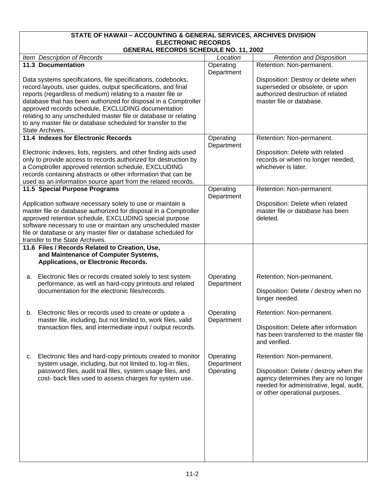# **STATE OF HAWAII – ACCOUNTING & GENERAL SERVICES, ARCHIVES DIVISION ELECTRONIC RECORDS**

| <b>GENERAL RECORDS SCHEDULE NO. 11, 2002</b>                                                                                  |                         |                                                                                |  |
|-------------------------------------------------------------------------------------------------------------------------------|-------------------------|--------------------------------------------------------------------------------|--|
| Item Description of Records                                                                                                   | Location                | <b>Retention and Disposition</b>                                               |  |
| <b>11.3 Documentation</b>                                                                                                     | Operating<br>Department | Retention: Non-permanent.                                                      |  |
| Data systems specifications, file specifications, codebooks,                                                                  |                         | Disposition: Destroy or delete when                                            |  |
| record layouts, user guides, output specifications, and final                                                                 |                         | superseded or obsolete, or upon                                                |  |
| reports (regardless of medium) relating to a master file or                                                                   |                         | authorized destruction of related                                              |  |
| database that has been authorized for disposal in a Comptroller                                                               |                         | master file or database.                                                       |  |
| approved records schedule, EXCLUDING documentation                                                                            |                         |                                                                                |  |
| relating to any unscheduled master file or database or relating                                                               |                         |                                                                                |  |
| to any master file or database scheduled for transfer to the                                                                  |                         |                                                                                |  |
| State Archives.                                                                                                               |                         |                                                                                |  |
| 11.4 Indexes for Electronic Records                                                                                           | Operating               | Retention: Non-permanent.                                                      |  |
|                                                                                                                               | Department              |                                                                                |  |
| Electronic indexes, lists, registers, and other finding aids used                                                             |                         | Disposition: Delete with related                                               |  |
| only to provide access to records authorized for destruction by                                                               |                         | records or when no longer needed,                                              |  |
| a Comptroller approved retention schedule, EXCLUDING                                                                          |                         | whichever is later.                                                            |  |
| records containing abstracts or other information that can be                                                                 |                         |                                                                                |  |
| used as an information source apart from the related records.                                                                 |                         |                                                                                |  |
| 11.5 Special Purpose Programs                                                                                                 | Operating<br>Department | Retention: Non-permanent.                                                      |  |
| Application software necessary solely to use or maintain a                                                                    |                         | Disposition: Delete when related                                               |  |
| master file or database authorized for disposal in a Comptroller                                                              |                         | master file or database has been                                               |  |
| approved retention schedule, EXCLUDING special purpose                                                                        |                         | deleted.                                                                       |  |
| software necessary to use or maintain any unscheduled master                                                                  |                         |                                                                                |  |
| file or database or any master filer or database scheduled for                                                                |                         |                                                                                |  |
| transfer to the State Archives.<br>11.6 Files / Records Related to Creation, Use,                                             |                         |                                                                                |  |
| and Maintenance of Computer Systems,                                                                                          |                         |                                                                                |  |
| Applications, or Electronic Records.                                                                                          |                         |                                                                                |  |
| Electronic files or records created solely to test system<br>а.<br>performance, as well as hard-copy printouts and related    | Operating<br>Department | Retention: Non-permanent.                                                      |  |
| documentation for the electronic files/records.                                                                               |                         | Disposition: Delete / destroy when no                                          |  |
|                                                                                                                               |                         | longer needed.                                                                 |  |
| Electronic files or records used to create or update a<br>b.<br>master file, including, but not limited to, work files, valid | Operating<br>Department | Retention: Non-permanent.                                                      |  |
| transaction files, and intermediate input / output records.                                                                   |                         | Disposition: Delete after information                                          |  |
|                                                                                                                               |                         | has been transferred to the master file<br>and verified.                       |  |
| Electronic files and hard-copy printouts created to monitor<br>C.                                                             | Operating               | Retention: Non-permanent.                                                      |  |
| system usage, including, but not limited to, log-in files,<br>password files, audit trail files, system usage files, and      | Department              |                                                                                |  |
| cost- back files used to assess charges for system use.                                                                       | Operating               | Disposition: Delete / destroy when the<br>agency determines they are no longer |  |
|                                                                                                                               |                         | needed for administrative, legal, audit,                                       |  |
|                                                                                                                               |                         | or other operational purposes.                                                 |  |
|                                                                                                                               |                         |                                                                                |  |
|                                                                                                                               |                         |                                                                                |  |
|                                                                                                                               |                         |                                                                                |  |
|                                                                                                                               |                         |                                                                                |  |
|                                                                                                                               |                         |                                                                                |  |
|                                                                                                                               |                         |                                                                                |  |
|                                                                                                                               |                         |                                                                                |  |
|                                                                                                                               |                         |                                                                                |  |
|                                                                                                                               |                         |                                                                                |  |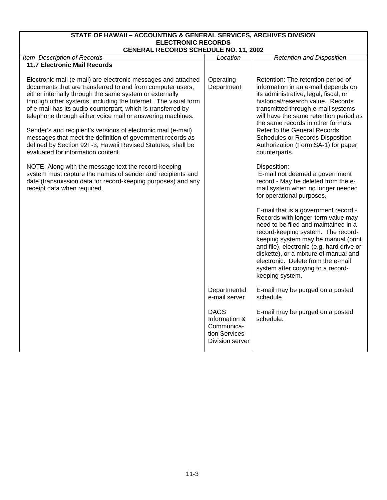## **STATE OF HAWAII – ACCOUNTING & GENERAL SERVICES, ARCHIVES DIVISION ELECTRONIC RECORDS**

| <b>GENERAL RECORDS SCHEDULE NO. 11, 2002</b>                                                                                                                                                                                                                                                                                                                                           |                                                                                |                                                                                                                                                                                                                                                                                                                                                                                     |  |
|----------------------------------------------------------------------------------------------------------------------------------------------------------------------------------------------------------------------------------------------------------------------------------------------------------------------------------------------------------------------------------------|--------------------------------------------------------------------------------|-------------------------------------------------------------------------------------------------------------------------------------------------------------------------------------------------------------------------------------------------------------------------------------------------------------------------------------------------------------------------------------|--|
| Item Description of Records                                                                                                                                                                                                                                                                                                                                                            | Location                                                                       | <b>Retention and Disposition</b>                                                                                                                                                                                                                                                                                                                                                    |  |
| <b>11.7 Electronic Mail Records</b>                                                                                                                                                                                                                                                                                                                                                    |                                                                                |                                                                                                                                                                                                                                                                                                                                                                                     |  |
| Electronic mail (e-mail) are electronic messages and attached<br>documents that are transferred to and from computer users,<br>either internally through the same system or externally<br>through other systems, including the Internet. The visual form<br>of e-mail has its audio counterpart, which is transferred by<br>telephone through either voice mail or answering machines. | Operating<br>Department                                                        | Retention: The retention period of<br>information in an e-mail depends on<br>its administrative, legal, fiscal, or<br>historical/research value. Records<br>transmitted through e-mail systems<br>will have the same retention period as<br>the same records in other formats.                                                                                                      |  |
| Sender's and recipient's versions of electronic mail (e-mail)<br>messages that meet the definition of government records as<br>defined by Section 92F-3, Hawaii Revised Statutes, shall be<br>evaluated for information content.                                                                                                                                                       |                                                                                | <b>Refer to the General Records</b><br><b>Schedules or Records Disposition</b><br>Authorization (Form SA-1) for paper<br>counterparts.                                                                                                                                                                                                                                              |  |
| NOTE: Along with the message text the record-keeping<br>system must capture the names of sender and recipients and<br>date (transmission data for record-keeping purposes) and any<br>receipt data when required.                                                                                                                                                                      |                                                                                | Disposition:<br>E-mail not deemed a government<br>record - May be deleted from the e-<br>mail system when no longer needed<br>for operational purposes.                                                                                                                                                                                                                             |  |
|                                                                                                                                                                                                                                                                                                                                                                                        |                                                                                | E-mail that is a government record -<br>Records with longer-term value may<br>need to be filed and maintained in a<br>record-keeping system. The record-<br>keeping system may be manual (print<br>and file), electronic (e.g. hard drive or<br>diskette), or a mixture of manual and<br>electronic. Delete from the e-mail<br>system after copying to a record-<br>keeping system. |  |
|                                                                                                                                                                                                                                                                                                                                                                                        | Departmental<br>e-mail server                                                  | E-mail may be purged on a posted<br>schedule.                                                                                                                                                                                                                                                                                                                                       |  |
|                                                                                                                                                                                                                                                                                                                                                                                        | <b>DAGS</b><br>Information &<br>Communica-<br>tion Services<br>Division server | E-mail may be purged on a posted<br>schedule.                                                                                                                                                                                                                                                                                                                                       |  |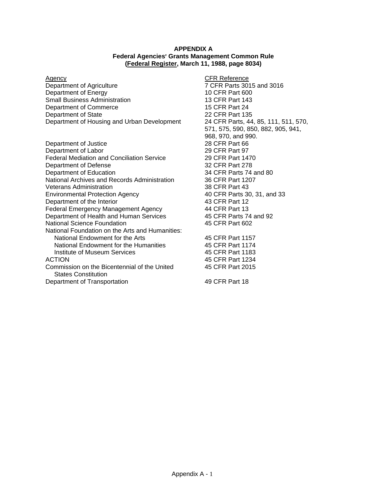#### **APPENDIX A Federal Agencies' Grants Management Common Rule (Federal Register, March 11, 1988, page 8034)**

Department of Agriculture 7 CFR Parts 3015 and 3016 Department of Energy 10 CFR Part 600 Small Business Administration 13 CFR Part 143 Department of Commerce 15 CFR Part 24<br>
Department of State 135 Department of State Department of Housing and Urban Development 24 CFR Parts, 44, 85, 111, 511, 570,

Department of Justice 28 CFR Part 66 Department of Labor 29 CFR Part 97 Federal Mediation and Conciliation Service 29 CFR Part 1470 Department of Defense 32 CFR Part 278 Department of Education 34 CFR Parts 74 and 80 National Archives and Records Administration 36 CFR Part 1207 Veterans Administration<br>
Environmental Protection Agency<br>
38 CFR Parts 30, 31, and 33 Environmental Protection Agency Department of the Interior and the Interior 43 CFR Part 12<br>
Federal Emergency Management Agency 44 CFR Part 13 Federal Emergency Management Agency 144 CFR Part 13<br>
Department of Health and Human Services 45 CFR Parts 74 and 92 Department of Health and Human Services National Science Foundation 45 CFR Part 602 National Foundation on the Arts and Humanities: National Endowment for the Arts 45 CFR Part 1157 National Endowment for the Humanities 45 CFR Part 1174 Institute of Museum Services 45 CFR Part 1183 ACTION 45 CFR Part 1234 Commission on the Bicentennial of the United 45 CFR Part 2015 States Constitution

Department of Transportation 49 CFR Part 18

Agency **Agency CFR** Reference 571, 575, 590, 850, 882, 905, 941, 968, 970, and 990.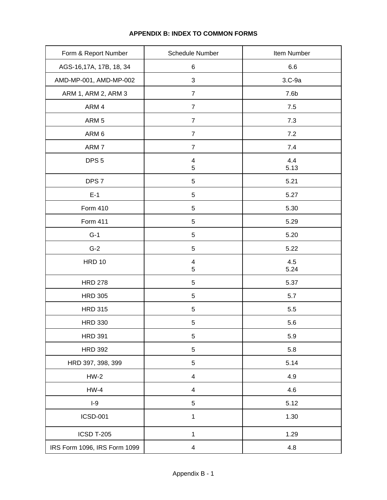| Form & Report Number         | Schedule Number              | Item Number      |
|------------------------------|------------------------------|------------------|
| AGS-16,17A, 17B, 18, 34      | 6                            | 6.6              |
| AMD-MP-001, AMD-MP-002       | 3                            | 3.C-9a           |
| ARM 1, ARM 2, ARM 3          | $\overline{7}$               | 7.6 <sub>b</sub> |
| ARM 4                        | $\overline{7}$               | $7.5\,$          |
| ARM <sub>5</sub>             | $\overline{7}$               | 7.3              |
| ARM 6                        | $\overline{7}$               | 7.2              |
| ARM <sub>7</sub>             | $\overline{7}$               | 7.4              |
| DPS <sub>5</sub>             | $\overline{\mathbf{4}}$<br>5 | 4.4<br>5.13      |
| DPS <sub>7</sub>             | $\sqrt{5}$                   | 5.21             |
| $E-1$                        | 5                            | 5.27             |
| Form 410                     | 5                            | 5.30             |
| Form 411                     | 5                            | 5.29             |
| $G-1$                        | 5                            | 5.20             |
| $G-2$                        | 5                            | 5.22             |
| <b>HRD 10</b>                | $\overline{\mathbf{4}}$<br>5 | 4.5<br>5.24      |
| <b>HRD 278</b>               | 5                            | 5.37             |
| <b>HRD 305</b>               | 5                            | 5.7              |
| <b>HRD 315</b>               | $\sqrt{5}$                   | 5.5              |
| <b>HRD 330</b>               | 5                            | 5.6              |
| <b>HRD 391</b>               | $\sqrt{5}$                   | 5.9              |
| <b>HRD 392</b>               | 5                            | 5.8              |
| HRD 397, 398, 399            | 5                            | 5.14             |
| $HW-2$                       | $\overline{4}$               | 4.9              |
| $HW-4$                       | $\overline{4}$               | 4.6              |
| $I-9$                        | 5                            | 5.12             |
| <b>ICSD-001</b>              | 1                            | 1.30             |
| <b>ICSD T-205</b>            | 1                            | 1.29             |
| IRS Form 1096, IRS Form 1099 | $\overline{\mathbf{4}}$      | 4.8              |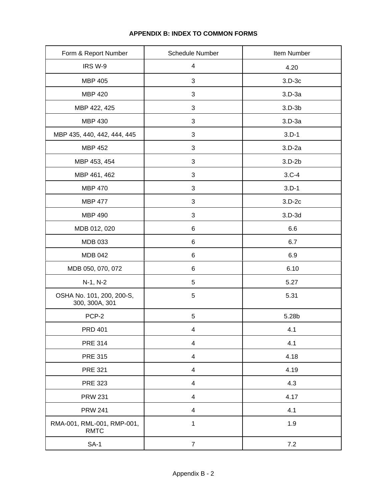| Form & Report Number                        | Schedule Number          | Item Number |
|---------------------------------------------|--------------------------|-------------|
| IRS W-9                                     | $\overline{\mathbf{4}}$  | 4.20        |
| <b>MBP 405</b>                              | 3                        | $3.D-3c$    |
| <b>MBP 420</b>                              | 3                        | $3.D-3a$    |
| MBP 422, 425                                | 3                        | $3.D-3b$    |
| <b>MBP 430</b>                              | 3                        | $3.D-3a$    |
| MBP 435, 440, 442, 444, 445                 | 3                        | $3.D-1$     |
| <b>MBP 452</b>                              | 3                        | $3.D-2a$    |
| MBP 453, 454                                | 3                        | $3.D-2b$    |
| MBP 461, 462                                | 3                        | $3.C-4$     |
| <b>MBP 470</b>                              | 3                        | $3.D-1$     |
| <b>MBP 477</b>                              | 3                        | $3.D-2c$    |
| <b>MBP 490</b>                              | 3                        | $3.D-3d$    |
| MDB 012, 020                                | 6                        | 6.6         |
| <b>MDB 033</b>                              | 6                        | 6.7         |
| <b>MDB 042</b>                              | 6                        | 6.9         |
| MDB 050, 070, 072                           | 6                        | 6.10        |
| N-1, N-2                                    | 5                        | 5.27        |
| OSHA No. 101, 200, 200-S,<br>300, 300A, 301 | 5                        | 5.31        |
| PCP-2                                       | 5                        | 5.28b       |
| <b>PRD 401</b>                              | $\overline{\mathbf{4}}$  | 4.1         |
| <b>PRE 314</b>                              | 4                        | 4.1         |
| <b>PRE 315</b>                              | $\overline{4}$           | 4.18        |
| <b>PRE 321</b>                              | $\overline{4}$           | 4.19        |
| <b>PRE 323</b>                              | 4                        | 4.3         |
| <b>PRW 231</b>                              | 4                        | 4.17        |
| <b>PRW 241</b>                              | $\overline{\mathcal{A}}$ | 4.1         |
| RMA-001, RML-001, RMP-001,<br><b>RMTC</b>   | $\mathbf 1$              | 1.9         |
| $SA-1$                                      | $\overline{7}$           | 7.2         |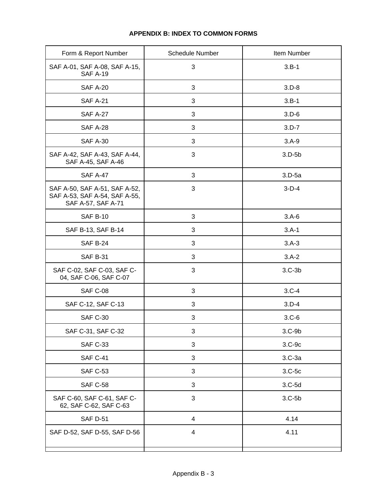| Form & Report Number                                                                 | <b>Schedule Number</b> | Item Number |
|--------------------------------------------------------------------------------------|------------------------|-------------|
| SAF A-01, SAF A-08, SAF A-15,<br><b>SAF A-19</b>                                     | 3                      | $3.B-1$     |
| <b>SAF A-20</b>                                                                      | 3                      | $3.D-8$     |
| <b>SAF A-21</b>                                                                      | 3                      | $3.B-1$     |
| <b>SAF A-27</b>                                                                      | 3                      | $3.D-6$     |
| <b>SAF A-28</b>                                                                      | 3                      | $3.D-7$     |
| <b>SAF A-30</b>                                                                      | 3                      | $3.A-9$     |
| SAF A-42, SAF A-43, SAF A-44,<br>SAF A-45, SAF A-46                                  | 3                      | $3.D-5b$    |
| <b>SAF A-47</b>                                                                      | 3                      | $3.D-5a$    |
| SAF A-50, SAF A-51, SAF A-52,<br>SAF A-53, SAF A-54, SAF A-55,<br>SAF A-57, SAF A-71 | 3                      | $3-D-4$     |
| <b>SAF B-10</b>                                                                      | 3                      | $3.A-6$     |
| SAF B-13, SAF B-14                                                                   | 3                      | $3.A-1$     |
| <b>SAF B-24</b>                                                                      | 3                      | $3.A-3$     |
| <b>SAF B-31</b>                                                                      | 3                      | $3.A-2$     |
| SAF C-02, SAF C-03, SAF C-<br>04, SAF C-06, SAF C-07                                 | 3                      | $3.C-3b$    |
| <b>SAF C-08</b>                                                                      | 3                      | $3.C-4$     |
| SAF C-12, SAF C-13                                                                   | 3                      | $3.D-4$     |
| <b>SAF C-30</b>                                                                      | 3                      | $3.C-6$     |
| SAF C-31, SAF C-32                                                                   | 3                      | $3.C-9b$    |
| <b>SAF C-33</b>                                                                      | 3                      | $3.C-9c$    |
| <b>SAF C-41</b>                                                                      | 3                      | $3.C-3a$    |
| <b>SAF C-53</b>                                                                      | 3                      | $3.C-5c$    |
| <b>SAF C-58</b>                                                                      | 3                      | $3.C-5d$    |
| SAF C-60, SAF C-61, SAF C-<br>62, SAF C-62, SAF C-63                                 | 3                      | $3.C-5b$    |
| <b>SAF D-51</b>                                                                      | $\overline{4}$         | 4.14        |
| SAF D-52, SAF D-55, SAF D-56                                                         | $\overline{4}$         | 4.11        |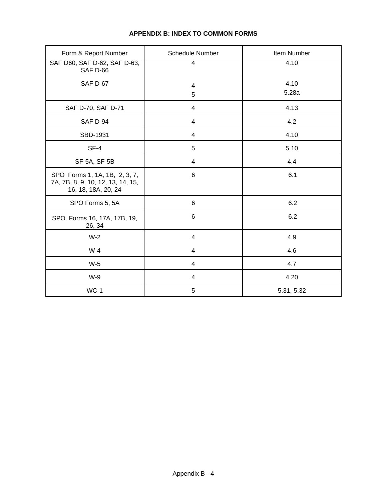| Form & Report Number                                                                      | <b>Schedule Number</b>  | Item Number   |
|-------------------------------------------------------------------------------------------|-------------------------|---------------|
| SAF D60, SAF D-62, SAF D-63,<br>SAF D-66                                                  | 4                       | 4.10          |
| <b>SAF D-67</b>                                                                           | $\overline{4}$<br>5     | 4.10<br>5.28a |
| SAF D-70, SAF D-71                                                                        | $\overline{4}$          | 4.13          |
| SAF D-94                                                                                  | $\overline{4}$          | 4.2           |
| SBD-1931                                                                                  | 4                       | 4.10          |
| $SF-4$                                                                                    | 5                       | 5.10          |
| SF-5A, SF-5B                                                                              | 4                       | 4.4           |
| SPO Forms 1, 1A, 1B, 2, 3, 7,<br>7A, 7B, 8, 9, 10, 12, 13, 14, 15,<br>16, 18, 18A, 20, 24 | 6                       | 6.1           |
| SPO Forms 5, 5A                                                                           | 6                       | 6.2           |
| SPO Forms 16, 17A, 17B, 19,<br>26, 34                                                     | 6                       | 6.2           |
| $W-2$                                                                                     | $\overline{\mathbf{4}}$ | 4.9           |
| $W-4$                                                                                     | $\overline{\mathbf{4}}$ | 4.6           |
| $W-5$                                                                                     | 4                       | 4.7           |
| W-9                                                                                       | 4                       | 4.20          |
| $WC-1$                                                                                    | 5                       | 5.31, 5.32    |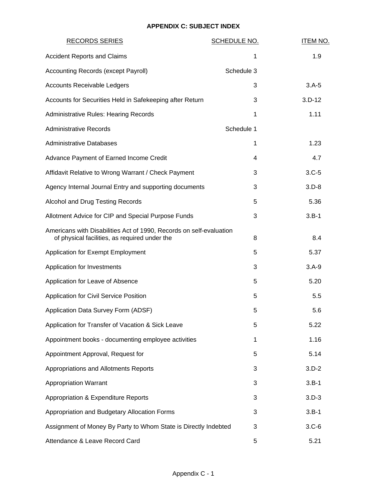| <b>RECORDS SERIES</b>                                                                                                | <b>SCHEDULE NO.</b> | <b>ITEM NO.</b> |
|----------------------------------------------------------------------------------------------------------------------|---------------------|-----------------|
| <b>Accident Reports and Claims</b>                                                                                   | 1                   | 1.9             |
| Accounting Records (except Payroll)                                                                                  | Schedule 3          |                 |
| <b>Accounts Receivable Ledgers</b>                                                                                   | 3                   | $3.A-5$         |
| Accounts for Securities Held in Safekeeping after Return                                                             | 3                   | $3.D-12$        |
| <b>Administrative Rules: Hearing Records</b>                                                                         | 1                   | 1.11            |
| <b>Administrative Records</b>                                                                                        | Schedule 1          |                 |
| <b>Administrative Databases</b>                                                                                      | 1                   | 1.23            |
| Advance Payment of Earned Income Credit                                                                              | 4                   | 4.7             |
| Affidavit Relative to Wrong Warrant / Check Payment                                                                  | 3                   | $3.C-5$         |
| Agency Internal Journal Entry and supporting documents                                                               | 3                   | $3.D-8$         |
| Alcohol and Drug Testing Records                                                                                     | 5                   | 5.36            |
| Allotment Advice for CIP and Special Purpose Funds                                                                   | 3                   | $3.B-1$         |
| Americans with Disabilities Act of 1990, Records on self-evaluation<br>of physical facilities, as required under the | 8                   | 8.4             |
| Application for Exempt Employment                                                                                    | 5                   | 5.37            |
| Application for Investments                                                                                          | 3                   | $3.A-9$         |
| Application for Leave of Absence                                                                                     | 5                   | 5.20            |
| Application for Civil Service Position                                                                               | 5                   | 5.5             |
| Application Data Survey Form (ADSF)                                                                                  | 5                   | 5.6             |
| Application for Transfer of Vacation & Sick Leave                                                                    | 5                   | 5.22            |
| Appointment books - documenting employee activities                                                                  | 1                   | 1.16            |
| Appointment Approval, Request for                                                                                    | 5                   | 5.14            |
| Appropriations and Allotments Reports                                                                                | 3                   | $3.D-2$         |
| <b>Appropriation Warrant</b>                                                                                         | 3                   | $3.B-1$         |
| Appropriation & Expenditure Reports                                                                                  | 3                   | $3.D-3$         |
| Appropriation and Budgetary Allocation Forms                                                                         | 3                   | $3.B-1$         |
| Assignment of Money By Party to Whom State is Directly Indebted                                                      | 3                   | $3.C-6$         |
| Attendance & Leave Record Card                                                                                       | 5                   | 5.21            |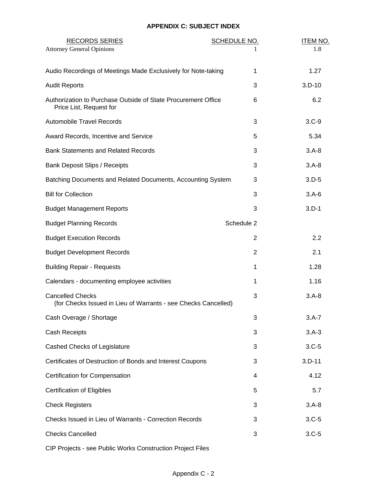| <b>RECORDS SERIES</b><br><b>Attorney General Opinions</b>                                 | <b>SCHEDULE NO.</b> | <b>ITEM NO.</b><br>1.8 |
|-------------------------------------------------------------------------------------------|---------------------|------------------------|
| Audio Recordings of Meetings Made Exclusively for Note-taking                             | 1                   | 1.27                   |
| <b>Audit Reports</b>                                                                      | 3                   | $3.D-10$               |
| Authorization to Purchase Outside of State Procurement Office<br>Price List, Request for  | 6                   | 6.2                    |
| <b>Automobile Travel Records</b>                                                          | 3                   | $3.C-9$                |
| Award Records, Incentive and Service                                                      | 5                   | 5.34                   |
| <b>Bank Statements and Related Records</b>                                                | 3                   | $3.A - 8$              |
| <b>Bank Deposit Slips / Receipts</b>                                                      | 3                   | $3.A-8$                |
| Batching Documents and Related Documents, Accounting System                               | 3                   | $3.D-5$                |
| <b>Bill for Collection</b>                                                                | 3                   | $3.A-6$                |
| <b>Budget Management Reports</b>                                                          | 3                   | $3.D-1$                |
| <b>Budget Planning Records</b>                                                            | Schedule 2          |                        |
| <b>Budget Execution Records</b>                                                           | 2                   | 2.2                    |
| <b>Budget Development Records</b>                                                         | $\overline{2}$      | 2.1                    |
| <b>Building Repair - Requests</b>                                                         | 1                   | 1.28                   |
| Calendars - documenting employee activities                                               | 1                   | 1.16                   |
| <b>Cancelled Checks</b><br>(for Checks Issued in Lieu of Warrants - see Checks Cancelled) | 3                   | $3.A-8$                |
| Cash Overage / Shortage                                                                   | 3                   | $3.A-7$                |
| <b>Cash Receipts</b>                                                                      | 3                   | $3.A-3$                |
| Cashed Checks of Legislature                                                              | 3                   | $3.C-5$                |
| Certificates of Destruction of Bonds and Interest Coupons                                 | 3                   | $3.D-11$               |
| Certification for Compensation                                                            | 4                   | 4.12                   |
| <b>Certification of Eligibles</b>                                                         | 5                   | 5.7                    |
| <b>Check Registers</b>                                                                    | 3                   | $3.A-8$                |
| Checks Issued in Lieu of Warrants - Correction Records                                    | 3                   | $3.C-5$                |
| <b>Checks Cancelled</b>                                                                   | 3                   | $3.C-5$                |
|                                                                                           |                     |                        |

CIP Projects - see Public Works Construction Project Files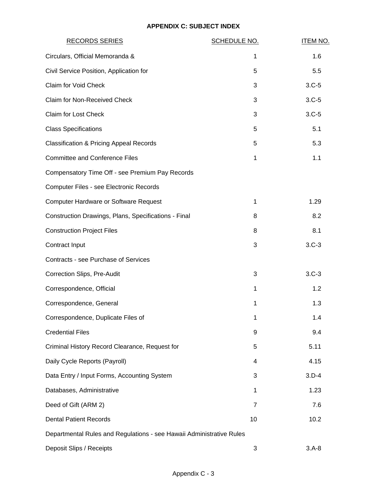| <b>RECORDS SERIES</b>                                                | <b>SCHEDULE NO.</b> | <b>ITEM NO.</b> |
|----------------------------------------------------------------------|---------------------|-----------------|
| Circulars, Official Memoranda &                                      | 1                   | 1.6             |
| Civil Service Position, Application for                              | 5                   | 5.5             |
| Claim for Void Check                                                 | 3                   | $3.C-5$         |
| Claim for Non-Received Check                                         | 3                   | $3.C-5$         |
| <b>Claim for Lost Check</b>                                          | 3                   | $3.C-5$         |
| <b>Class Specifications</b>                                          | 5                   | 5.1             |
| <b>Classification &amp; Pricing Appeal Records</b>                   | 5                   | 5.3             |
| <b>Committee and Conference Files</b>                                | 1                   | 1.1             |
| Compensatory Time Off - see Premium Pay Records                      |                     |                 |
| Computer Files - see Electronic Records                              |                     |                 |
| <b>Computer Hardware or Software Request</b>                         | 1                   | 1.29            |
| Construction Drawings, Plans, Specifications - Final                 | 8                   | 8.2             |
| <b>Construction Project Files</b>                                    | 8                   | 8.1             |
| Contract Input                                                       | 3                   | $3.C-3$         |
| Contracts - see Purchase of Services                                 |                     |                 |
| Correction Slips, Pre-Audit                                          | 3                   | $3.C-3$         |
| Correspondence, Official                                             | 1                   | 1.2             |
| Correspondence, General                                              | 1                   | 1.3             |
| Correspondence, Duplicate Files of                                   | 1                   | 1.4             |
| <b>Credential Files</b>                                              | 9                   | 9.4             |
| Criminal History Record Clearance, Request for                       | 5                   | 5.11            |
| Daily Cycle Reports (Payroll)                                        | 4                   | 4.15            |
| Data Entry / Input Forms, Accounting System                          | 3                   | $3.D-4$         |
| Databases, Administrative                                            | 1                   | 1.23            |
| Deed of Gift (ARM 2)                                                 | 7                   | 7.6             |
| <b>Dental Patient Records</b>                                        | 10                  | 10.2            |
| Departmental Rules and Regulations - see Hawaii Administrative Rules |                     |                 |
| Deposit Slips / Receipts                                             | 3                   | $3.A-8$         |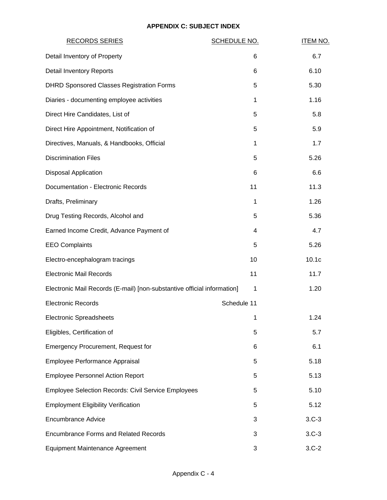| <b>RECORDS SERIES</b>                                                   | <b>SCHEDULE NO.</b> | <b>ITEM NO.</b> |
|-------------------------------------------------------------------------|---------------------|-----------------|
| Detail Inventory of Property                                            | 6                   | 6.7             |
| <b>Detail Inventory Reports</b>                                         | 6                   | 6.10            |
| <b>DHRD Sponsored Classes Registration Forms</b>                        | 5                   | 5.30            |
| Diaries - documenting employee activities                               | 1                   | 1.16            |
| Direct Hire Candidates, List of                                         | 5                   | 5.8             |
| Direct Hire Appointment, Notification of                                | 5                   | 5.9             |
| Directives, Manuals, & Handbooks, Official                              | 1                   | 1.7             |
| <b>Discrimination Files</b>                                             | 5                   | 5.26            |
| <b>Disposal Application</b>                                             | 6                   | 6.6             |
| Documentation - Electronic Records                                      | 11                  | 11.3            |
| Drafts, Preliminary                                                     | 1                   | 1.26            |
| Drug Testing Records, Alcohol and                                       | 5                   | 5.36            |
| Earned Income Credit, Advance Payment of                                | 4                   | 4.7             |
| <b>EEO Complaints</b>                                                   | 5                   | 5.26            |
| Electro-encephalogram tracings                                          | 10                  | 10.1c           |
| <b>Electronic Mail Records</b>                                          | 11                  | 11.7            |
| Electronic Mail Records (E-mail) [non-substantive official information] | 1                   | 1.20            |
| <b>Electronic Records</b>                                               | Schedule 11         |                 |
| <b>Electronic Spreadsheets</b>                                          | 1                   | 1.24            |
| Eligibles, Certification of                                             | 5                   | 5.7             |
| <b>Emergency Procurement, Request for</b>                               | 6                   | 6.1             |
| Employee Performance Appraisal                                          | 5                   | 5.18            |
| <b>Employee Personnel Action Report</b>                                 | 5                   | 5.13            |
| <b>Employee Selection Records: Civil Service Employees</b>              | 5                   | 5.10            |
| <b>Employment Eligibility Verification</b>                              | 5                   | 5.12            |
| <b>Encumbrance Advice</b>                                               | 3                   | $3.C-3$         |
| <b>Encumbrance Forms and Related Records</b>                            | 3                   | $3.C-3$         |
| <b>Equipment Maintenance Agreement</b>                                  | 3                   | $3.C-2$         |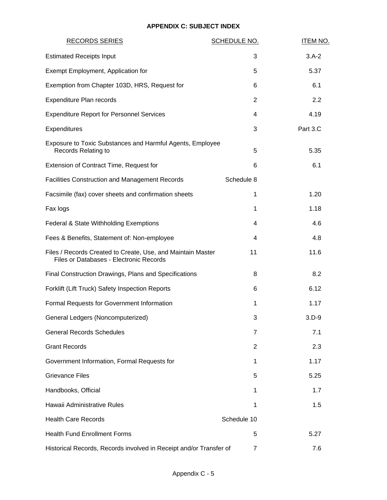| <b>RECORDS SERIES</b>                                                                                  | <b>SCHEDULE NO.</b> | <b>ITEM NO.</b> |
|--------------------------------------------------------------------------------------------------------|---------------------|-----------------|
| <b>Estimated Receipts Input</b>                                                                        | 3                   | $3.A-2$         |
| Exempt Employment, Application for                                                                     | 5                   | 5.37            |
| Exemption from Chapter 103D, HRS, Request for                                                          | 6                   | 6.1             |
| Expenditure Plan records                                                                               | 2                   | 2.2             |
| <b>Expenditure Report for Personnel Services</b>                                                       | 4                   | 4.19            |
| Expenditures                                                                                           | 3                   | Part 3.C        |
| Exposure to Toxic Substances and Harmful Agents, Employee<br>Records Relating to                       | 5                   | 5.35            |
| Extension of Contract Time, Request for                                                                | 6                   | 6.1             |
| <b>Facilities Construction and Management Records</b>                                                  | Schedule 8          |                 |
| Facsimile (fax) cover sheets and confirmation sheets                                                   | 1                   | 1.20            |
| Fax logs                                                                                               | 1                   | 1.18            |
| Federal & State Withholding Exemptions                                                                 | 4                   | 4.6             |
| Fees & Benefits, Statement of: Non-employee                                                            | 4                   | 4.8             |
| Files / Records Created to Create, Use, and Maintain Master<br>Files or Databases - Electronic Records | 11                  | 11.6            |
| Final Construction Drawings, Plans and Specifications                                                  | 8                   | 8.2             |
| Forklift (Lift Truck) Safety Inspection Reports                                                        | 6                   | 6.12            |
| Formal Requests for Government Information                                                             | 1                   | 1.17            |
| General Ledgers (Noncomputerized)                                                                      | 3                   | $3.D-9$         |
| <b>General Records Schedules</b>                                                                       | 7                   | 7.1             |
| <b>Grant Records</b>                                                                                   | $\overline{2}$      | 2.3             |
| Government Information, Formal Requests for                                                            | 1                   | 1.17            |
| <b>Grievance Files</b>                                                                                 | 5                   | 5.25            |
| Handbooks, Official                                                                                    | 1                   | 1.7             |
| Hawaii Administrative Rules                                                                            | 1                   | 1.5             |
| <b>Health Care Records</b>                                                                             | Schedule 10         |                 |
| <b>Health Fund Enrollment Forms</b>                                                                    | 5                   | 5.27            |
| Historical Records, Records involved in Receipt and/or Transfer of                                     | 7                   | 7.6             |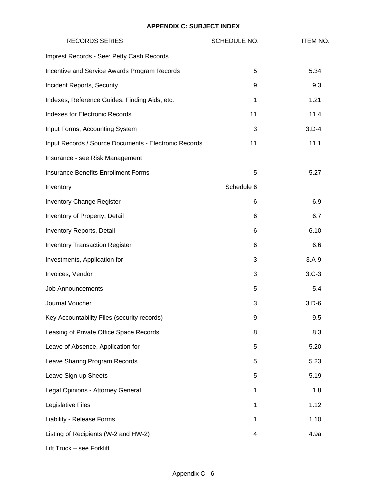| <b>RECORDS SERIES</b>                                 | <b>SCHEDULE NO.</b> | <b>ITEM NO.</b> |
|-------------------------------------------------------|---------------------|-----------------|
| Imprest Records - See: Petty Cash Records             |                     |                 |
| Incentive and Service Awards Program Records          | 5                   | 5.34            |
| Incident Reports, Security                            | 9                   | 9.3             |
| Indexes, Reference Guides, Finding Aids, etc.         | $\mathbf{1}$        | 1.21            |
| <b>Indexes for Electronic Records</b>                 | 11                  | 11.4            |
| Input Forms, Accounting System                        | 3                   | $3.D-4$         |
| Input Records / Source Documents - Electronic Records | 11                  | 11.1            |
| Insurance - see Risk Management                       |                     |                 |
| <b>Insurance Benefits Enrollment Forms</b>            | 5                   | 5.27            |
| Inventory                                             | Schedule 6          |                 |
| <b>Inventory Change Register</b>                      | 6                   | 6.9             |
| Inventory of Property, Detail                         | 6                   | 6.7             |
| Inventory Reports, Detail                             | 6                   | 6.10            |
| <b>Inventory Transaction Register</b>                 | 6                   | 6.6             |
| Investments, Application for                          | 3                   | $3.A-9$         |
| Invoices, Vendor                                      | 3                   | $3.C-3$         |
| <b>Job Announcements</b>                              | 5                   | 5.4             |
| Journal Voucher                                       | 3                   | $3.D-6$         |
| Key Accountability Files (security records)           | 9                   | 9.5             |
| Leasing of Private Office Space Records               | 8                   | 8.3             |
| Leave of Absence, Application for                     | 5                   | 5.20            |
| Leave Sharing Program Records                         | 5                   | 5.23            |
| Leave Sign-up Sheets                                  | 5                   | 5.19            |
| Legal Opinions - Attorney General                     | 1                   | 1.8             |
| Legislative Files                                     | 1                   | 1.12            |
| Liability - Release Forms                             | 1                   | 1.10            |
| Listing of Recipients (W-2 and HW-2)                  | 4                   | 4.9a            |
| Lift Truck - see Forklift                             |                     |                 |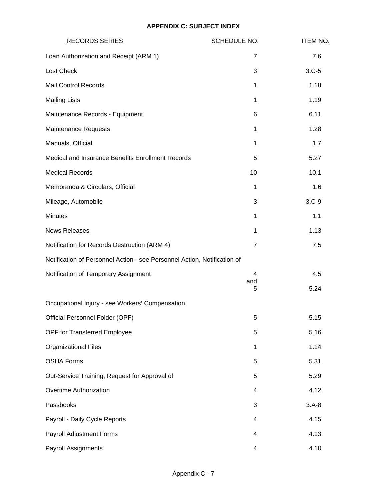| <b>RECORDS SERIES</b>                                                    | <b>SCHEDULE NO.</b> | <b>ITEM NO.</b> |
|--------------------------------------------------------------------------|---------------------|-----------------|
| Loan Authorization and Receipt (ARM 1)                                   | 7                   | 7.6             |
| <b>Lost Check</b>                                                        | 3                   | $3.C-5$         |
| <b>Mail Control Records</b>                                              | 1                   | 1.18            |
| <b>Mailing Lists</b>                                                     | 1                   | 1.19            |
| Maintenance Records - Equipment                                          | 6                   | 6.11            |
| Maintenance Requests                                                     | 1                   | 1.28            |
| Manuals, Official                                                        | 1                   | 1.7             |
| Medical and Insurance Benefits Enrollment Records                        | 5                   | 5.27            |
| <b>Medical Records</b>                                                   | 10                  | 10.1            |
| Memoranda & Circulars, Official                                          | 1                   | 1.6             |
| Mileage, Automobile                                                      | 3                   | $3.C-9$         |
| <b>Minutes</b>                                                           | 1                   | 1.1             |
| <b>News Releases</b>                                                     | 1                   | 1.13            |
| Notification for Records Destruction (ARM 4)                             | $\overline{7}$      | 7.5             |
| Notification of Personnel Action - see Personnel Action, Notification of |                     |                 |
| Notification of Temporary Assignment                                     | 4                   | 4.5             |
|                                                                          | and<br>5            | 5.24            |
| Occupational Injury - see Workers' Compensation                          |                     |                 |
| Official Personnel Folder (OPF)                                          | 5                   | 5.15            |
| OPF for Transferred Employee                                             | 5                   | 5.16            |
| <b>Organizational Files</b>                                              | $\mathbf 1$         | 1.14            |
| <b>OSHA Forms</b>                                                        | 5                   | 5.31            |
| Out-Service Training, Request for Approval of                            | 5                   | 5.29            |
| Overtime Authorization                                                   | 4                   | 4.12            |
| Passbooks                                                                | 3                   | $3.A-8$         |
| Payroll - Daily Cycle Reports                                            | 4                   | 4.15            |
| Payroll Adjustment Forms                                                 | 4                   | 4.13            |
| Payroll Assignments                                                      | 4                   | 4.10            |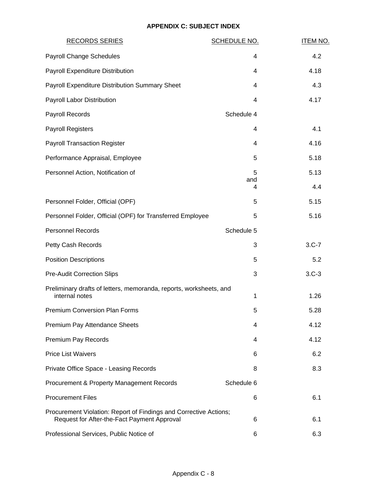| <b>RECORDS SERIES</b>                                                                                            | <b>SCHEDULE NO.</b> | <b>ITEM NO.</b> |
|------------------------------------------------------------------------------------------------------------------|---------------------|-----------------|
| Payroll Change Schedules                                                                                         | 4                   | 4.2             |
| Payroll Expenditure Distribution                                                                                 | 4                   | 4.18            |
| Payroll Expenditure Distribution Summary Sheet                                                                   | 4                   | 4.3             |
| Payroll Labor Distribution                                                                                       | 4                   | 4.17            |
| Payroll Records                                                                                                  | Schedule 4          |                 |
| <b>Payroll Registers</b>                                                                                         | 4                   | 4.1             |
| <b>Payroll Transaction Register</b>                                                                              | 4                   | 4.16            |
| Performance Appraisal, Employee                                                                                  | 5                   | 5.18            |
| Personnel Action, Notification of                                                                                | 5                   | 5.13            |
|                                                                                                                  | and<br>4            | 4.4             |
| Personnel Folder, Official (OPF)                                                                                 | 5                   | 5.15            |
| Personnel Folder, Official (OPF) for Transferred Employee                                                        | 5                   | 5.16            |
| <b>Personnel Records</b>                                                                                         | Schedule 5          |                 |
| Petty Cash Records                                                                                               | 3                   | $3.C-7$         |
| <b>Position Descriptions</b>                                                                                     | 5                   | 5.2             |
| <b>Pre-Audit Correction Slips</b>                                                                                | 3                   | $3.C-3$         |
| Preliminary drafts of letters, memoranda, reports, worksheets, and<br>internal notes                             | 1                   | 1.26            |
| <b>Premium Conversion Plan Forms</b>                                                                             | 5                   | 5.28            |
| Premium Pay Attendance Sheets                                                                                    | 4                   | 4.12            |
| Premium Pay Records                                                                                              | 4                   | 4.12            |
| <b>Price List Waivers</b>                                                                                        | 6                   | 6.2             |
| Private Office Space - Leasing Records                                                                           | 8                   | 8.3             |
| Procurement & Property Management Records                                                                        | Schedule 6          |                 |
| <b>Procurement Files</b>                                                                                         | 6                   | 6.1             |
| Procurement Violation: Report of Findings and Corrective Actions;<br>Request for After-the-Fact Payment Approval | 6                   | 6.1             |
| Professional Services, Public Notice of                                                                          | 6                   | 6.3             |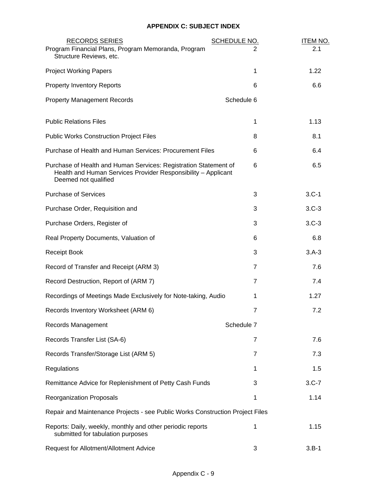| <b>RECORDS SERIES</b><br>Program Financial Plans, Program Memoranda, Program<br>Structure Reviews, etc.                                                   | <b>SCHEDULE NO.</b><br>2 | <b>ITEM NO.</b><br>2.1 |
|-----------------------------------------------------------------------------------------------------------------------------------------------------------|--------------------------|------------------------|
| <b>Project Working Papers</b>                                                                                                                             | 1                        | 1.22                   |
| <b>Property Inventory Reports</b>                                                                                                                         | 6                        | 6.6                    |
| <b>Property Management Records</b>                                                                                                                        | Schedule 6               |                        |
| <b>Public Relations Files</b>                                                                                                                             | 1                        | 1.13                   |
| <b>Public Works Construction Project Files</b>                                                                                                            | 8                        | 8.1                    |
| Purchase of Health and Human Services: Procurement Files                                                                                                  | 6                        | 6.4                    |
| Purchase of Health and Human Services: Registration Statement of<br>Health and Human Services Provider Responsibility - Applicant<br>Deemed not qualified | 6                        | 6.5                    |
| <b>Purchase of Services</b>                                                                                                                               | 3                        | $3.C-1$                |
| Purchase Order, Requisition and                                                                                                                           | 3                        | $3.C-3$                |
| Purchase Orders, Register of                                                                                                                              | 3                        | $3.C-3$                |
| Real Property Documents, Valuation of                                                                                                                     | 6                        | 6.8                    |
| <b>Receipt Book</b>                                                                                                                                       | 3                        | $3.A-3$                |
| Record of Transfer and Receipt (ARM 3)                                                                                                                    | $\overline{7}$           | 7.6                    |
| Record Destruction, Report of (ARM 7)                                                                                                                     | $\overline{7}$           | 7.4                    |
| Recordings of Meetings Made Exclusively for Note-taking, Audio                                                                                            | 1                        | 1.27                   |
| Records Inventory Worksheet (ARM 6)                                                                                                                       | $\overline{7}$           | 7.2                    |
| Records Management                                                                                                                                        | Schedule 7               |                        |
| Records Transfer List (SA-6)                                                                                                                              | $\overline{7}$           | 7.6                    |
| Records Transfer/Storage List (ARM 5)                                                                                                                     | $\overline{7}$           | 7.3                    |
| Regulations                                                                                                                                               | 1                        | 1.5                    |
| Remittance Advice for Replenishment of Petty Cash Funds                                                                                                   | 3                        | $3.C-7$                |
| Reorganization Proposals                                                                                                                                  | 1                        | 1.14                   |
| Repair and Maintenance Projects - see Public Works Construction Project Files                                                                             |                          |                        |
| Reports: Daily, weekly, monthly and other periodic reports<br>submitted for tabulation purposes                                                           | 1                        | 1.15                   |
| Request for Allotment/Allotment Advice                                                                                                                    | 3                        | $3.B-1$                |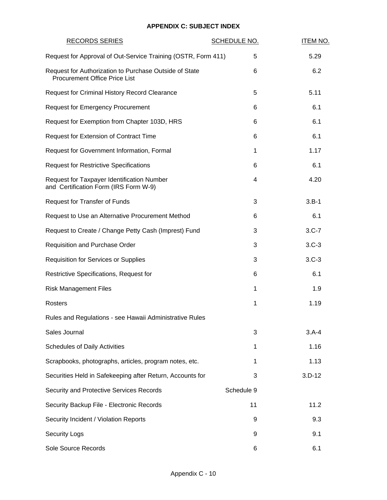## **APPENDIX C: SUBJECT INDEX**

| <b>RECORDS SERIES</b>                                                                          | SCHEDULE NO. | <b>ITEM NO.</b> |
|------------------------------------------------------------------------------------------------|--------------|-----------------|
| Request for Approval of Out-Service Training (OSTR, Form 411)                                  | 5            | 5.29            |
| Request for Authorization to Purchase Outside of State<br><b>Procurement Office Price List</b> | 6            | 6.2             |
| <b>Request for Criminal History Record Clearance</b>                                           | 5            | 5.11            |
| <b>Request for Emergency Procurement</b>                                                       | 6            | 6.1             |
| Request for Exemption from Chapter 103D, HRS                                                   | 6            | 6.1             |
| Request for Extension of Contract Time                                                         | 6            | 6.1             |
| Request for Government Information, Formal                                                     | 1            | 1.17            |
| <b>Request for Restrictive Specifications</b>                                                  | 6            | 6.1             |
| Request for Taxpayer Identification Number<br>and Certification Form (IRS Form W-9)            | 4            | 4.20            |
| Request for Transfer of Funds                                                                  | 3            | $3.B-1$         |
| Request to Use an Alternative Procurement Method                                               | 6            | 6.1             |
| Request to Create / Change Petty Cash (Imprest) Fund                                           | 3            | $3.C-7$         |
| Requisition and Purchase Order                                                                 | 3            | $3.C-3$         |
| <b>Requisition for Services or Supplies</b>                                                    | 3            | $3.C-3$         |
| Restrictive Specifications, Request for                                                        | 6            | 6.1             |
| <b>Risk Management Files</b>                                                                   | 1            | 1.9             |
| Rosters                                                                                        | 1            | 1.19            |
| Rules and Regulations - see Hawaii Administrative Rules                                        |              |                 |
| Sales Journal                                                                                  | 3            | $3.A-4$         |
| <b>Schedules of Daily Activities</b>                                                           | 1            | 1.16            |
| Scrapbooks, photographs, articles, program notes, etc.                                         | 1            | 1.13            |
| Securities Held in Safekeeping after Return, Accounts for                                      | 3            | $3.D-12$        |
| Security and Protective Services Records                                                       | Schedule 9   |                 |
| Security Backup File - Electronic Records                                                      | 11           | 11.2            |
| Security Incident / Violation Reports                                                          | 9            | 9.3             |
| <b>Security Logs</b>                                                                           | 9            | 9.1             |
| Sole Source Records                                                                            | 6            | 6.1             |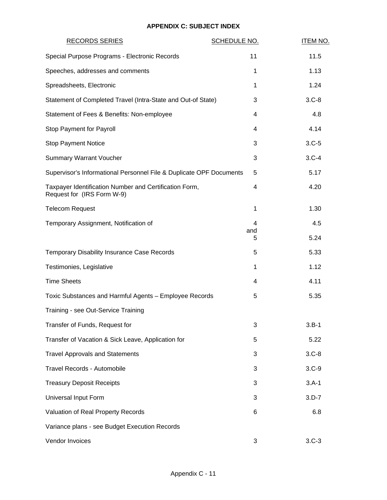## **APPENDIX C: SUBJECT INDEX**

| <b>RECORDS SERIES</b>                                                                | <b>SCHEDULE NO.</b> | <b>ITEM NO.</b> |
|--------------------------------------------------------------------------------------|---------------------|-----------------|
| Special Purpose Programs - Electronic Records                                        | 11                  | 11.5            |
| Speeches, addresses and comments                                                     | 1                   | 1.13            |
| Spreadsheets, Electronic                                                             | 1                   | 1.24            |
| Statement of Completed Travel (Intra-State and Out-of State)                         | 3                   | $3.C-8$         |
| Statement of Fees & Benefits: Non-employee                                           | 4                   | 4.8             |
| Stop Payment for Payroll                                                             | 4                   | 4.14            |
| <b>Stop Payment Notice</b>                                                           | 3                   | $3.C-5$         |
| <b>Summary Warrant Voucher</b>                                                       | 3                   | $3.C-4$         |
| Supervisor's Informational Personnel File & Duplicate OPF Documents                  | 5                   | 5.17            |
| Taxpayer Identification Number and Certification Form,<br>Request for (IRS Form W-9) | 4                   | 4.20            |
| <b>Telecom Request</b>                                                               | 1                   | 1.30            |
| Temporary Assignment, Notification of                                                | 4                   | 4.5             |
|                                                                                      | and<br>5            | 5.24            |
| Temporary Disability Insurance Case Records                                          | 5                   | 5.33            |
| Testimonies, Legislative                                                             | 1                   | 1.12            |
| <b>Time Sheets</b>                                                                   | 4                   | 4.11            |
| Toxic Substances and Harmful Agents - Employee Records                               | 5                   | 5.35            |
| Training - see Out-Service Training                                                  |                     |                 |
| Transfer of Funds, Request for                                                       | 3                   | $3.B-1$         |
| Transfer of Vacation & Sick Leave, Application for                                   | 5                   | 5.22            |
| <b>Travel Approvals and Statements</b>                                               | 3                   | $3.C-8$         |
| <b>Travel Records - Automobile</b>                                                   | 3                   | $3.C-9$         |
| <b>Treasury Deposit Receipts</b>                                                     | 3                   | $3.A-1$         |
| Universal Input Form                                                                 | 3                   | $3.D-7$         |
| Valuation of Real Property Records                                                   | 6                   | 6.8             |
| Variance plans - see Budget Execution Records                                        |                     |                 |
| Vendor Invoices                                                                      | 3                   | $3.C-3$         |